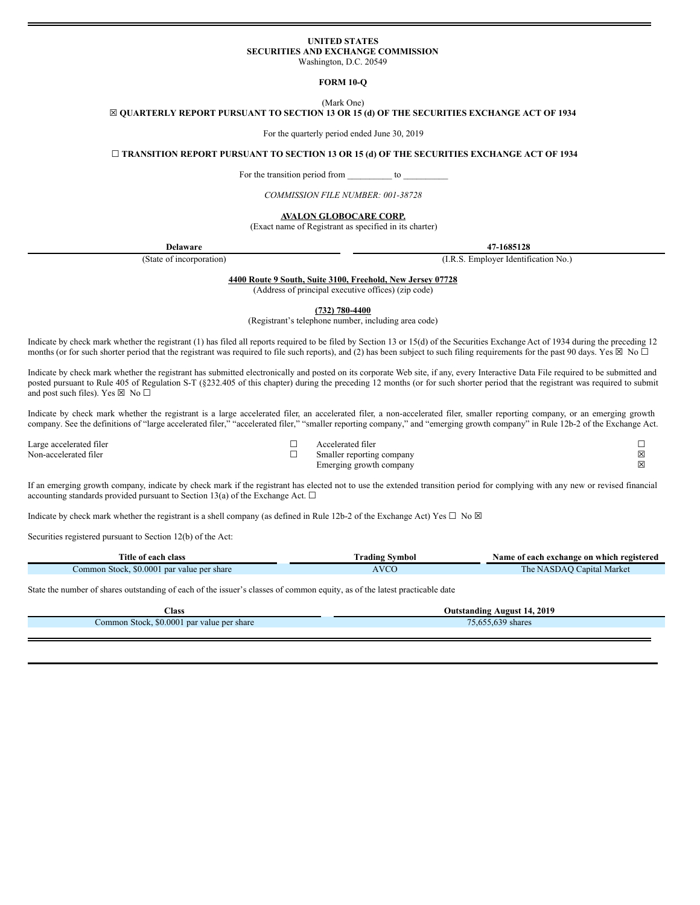# **UNITED STATES SECURITIES AND EXCHANGE COMMISSION**

Washington, D.C. 20549

**FORM 10-Q**

(Mark One)

☒ **QUARTERLY REPORT PURSUANT TO SECTION 13 OR 15 (d) OF THE SECURITIES EXCHANGE ACT OF 1934**

For the quarterly period ended June 30, 2019

☐ **TRANSITION REPORT PURSUANT TO SECTION 13 OR 15 (d) OF THE SECURITIES EXCHANGE ACT OF 1934**

For the transition period from to

*COMMISSION FILE NUMBER: 001-38728*

#### **AVALON GLOBOCARE CORP.**

(Exact name of Registrant as specified in its charter)

**Delaware 47-1685128**

(State of incorporation) (I.R.S. Employer Identification No.)

**4400 Route 9 South, Suite 3100, Freehold, New Jersey 07728**

(Address of principal executive offices) (zip code)

**(732) 780-4400**

(Registrant's telephone number, including area code)

Indicate by check mark whether the registrant (1) has filed all reports required to be filed by Section 13 or 15(d) of the Securities Exchange Act of 1934 during the preceding 12 months (or for such shorter period that the registrant was required to file such reports), and (2) has been subject to such filing requirements for the past 90 days. Yes  $\boxtimes$  No  $\Box$ 

Indicate by check mark whether the registrant has submitted electronically and posted on its corporate Web site, if any, every Interactive Data File required to be submitted and posted pursuant to Rule 405 of Regulation S-T (§232.405 of this chapter) during the preceding 12 months (or for such shorter period that the registrant was required to submit and post such files). Yes  $\boxtimes$  No  $\square$ 

Indicate by check mark whether the registrant is a large accelerated filer, an accelerated filer, a non-accelerated filer, smaller reporting company, or an emerging growth company. See the definitions of "large accelerated filer," "accelerated filer," "smaller reporting company," and "emerging growth company" in Rule 12b-2 of the Exchange Act.

| Large accelerated filer | Accelerated filer         |   |
|-------------------------|---------------------------|---|
| Non-accelerated filer   | Smaller reporting company | 冈 |
|                         | Emerging growth company   | 冈 |

If an emerging growth company, indicate by check mark if the registrant has elected not to use the extended transition period for complying with any new or revised financial accounting standards provided pursuant to Section 13(a) of the Exchange Act.  $\square$ 

Indicate by check mark whether the registrant is a shell company (as defined in Rule 12b-2 of the Exchange Act) Yes  $\Box$  No  $\boxtimes$ 

Securities registered pursuant to Section 12(b) of the Act:

| Title of each class                                | Symbol<br>Trading | Name of each exchange on which registered |  |  |
|----------------------------------------------------|-------------------|-------------------------------------------|--|--|
| Stock. \$0,0001<br>l par value per share<br>Common | 77 V U U          | Market<br>l he<br>apital<br><b>NASDAC</b> |  |  |

State the number of shares outstanding of each of the issuer's classes of common equity, as of the latest practicable date.

| $\textcolor{red}{\textbf{Class}}$          | <b>Outstanding August 14, 2019</b> |
|--------------------------------------------|------------------------------------|
| Common Stock, \$0,0001 par value per share | 75,655,639 shares                  |
|                                            |                                    |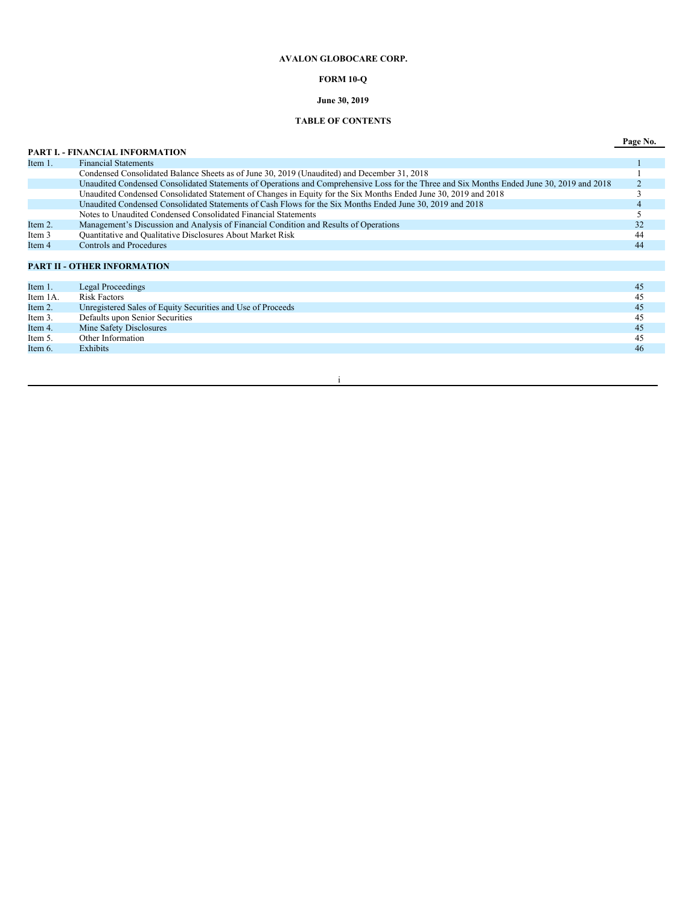# **AVALON GLOBOCARE CORP.**

# **FORM 10-Q**

# **June 30, 2019**

# **TABLE OF CONTENTS**

|          |                                                                                                                                            | Page No. |
|----------|--------------------------------------------------------------------------------------------------------------------------------------------|----------|
|          | <b>PART I. - FINANCIAL INFORMATION</b>                                                                                                     |          |
| Item 1.  | <b>Financial Statements</b>                                                                                                                |          |
|          | Condensed Consolidated Balance Sheets as of June 30, 2019 (Unaudited) and December 31, 2018                                                |          |
|          | Unaudited Condensed Consolidated Statements of Operations and Comprehensive Loss for the Three and Six Months Ended June 30, 2019 and 2018 |          |
|          | Unaudited Condensed Consolidated Statement of Changes in Equity for the Six Months Ended June 30, 2019 and 2018                            |          |
|          | Unaudited Condensed Consolidated Statements of Cash Flows for the Six Months Ended June 30, 2019 and 2018                                  |          |
|          | Notes to Unaudited Condensed Consolidated Financial Statements                                                                             |          |
| Item 2.  | Management's Discussion and Analysis of Financial Condition and Results of Operations                                                      | 32       |
| Item 3   | Quantitative and Qualitative Disclosures About Market Risk                                                                                 | 44       |
| Item 4   | <b>Controls and Procedures</b>                                                                                                             | 44       |
|          |                                                                                                                                            |          |
|          | <b>PART II - OTHER INFORMATION</b>                                                                                                         |          |
|          |                                                                                                                                            |          |
| Item 1.  | <b>Legal Proceedings</b>                                                                                                                   | 45       |
| Item 1A. | <b>Risk Factors</b>                                                                                                                        | 45       |
| Item 2.  | Unregistered Sales of Equity Securities and Use of Proceeds                                                                                | 45       |
| Item 3.  | Defaults upon Senior Securities                                                                                                            | 45       |
| Item 4.  | Mine Safety Disclosures                                                                                                                    | 45       |
| Item 5.  | Other Information                                                                                                                          | 45       |
| Item 6.  | Exhibits                                                                                                                                   | 46       |

i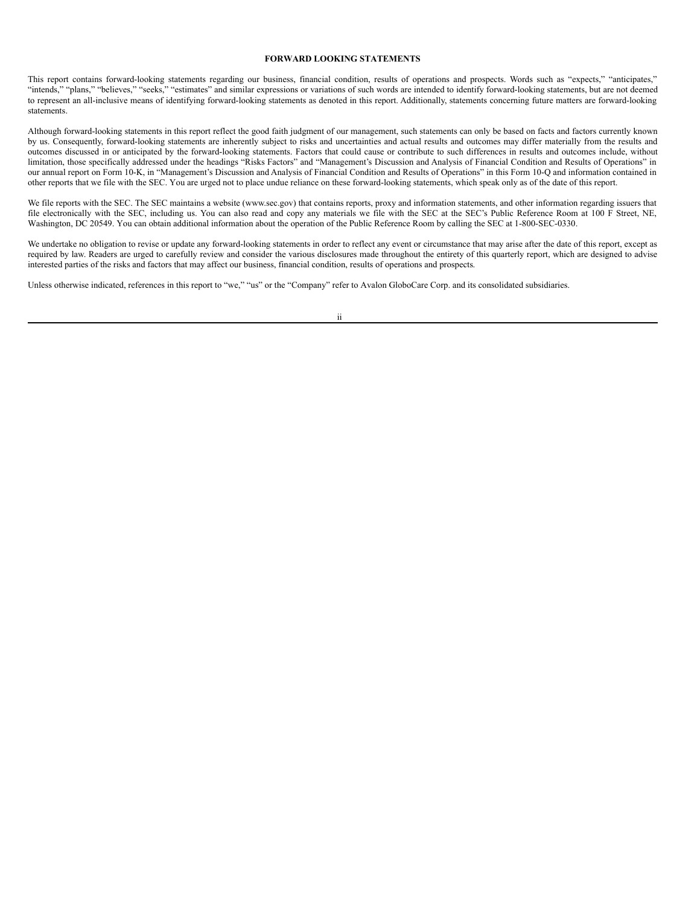## **FORWARD LOOKING STATEMENTS**

This report contains forward-looking statements regarding our business, financial condition, results of operations and prospects. Words such as "expects," "anticipates," "intends," "plans," "believes," "seeks," "estimates" and similar expressions or variations of such words are intended to identify forward-looking statements, but are not deemed to represent an all-inclusive means of identifying forward-looking statements as denoted in this report. Additionally, statements concerning future matters are forward-looking statements.

Although forward-looking statements in this report reflect the good faith judgment of our management, such statements can only be based on facts and factors currently known by us. Consequently, forward-looking statements are inherently subject to risks and uncertainties and actual results and outcomes may differ materially from the results and outcomes discussed in or anticipated by the forward-looking statements. Factors that could cause or contribute to such differences in results and outcomes include, without limitation, those specifically addressed under the headings "Risks Factors" and "Management's Discussion and Analysis of Financial Condition and Results of Operations" in our annual report on Form 10-K, in "Management's Discussion and Analysis of Financial Condition and Results of Operations" in this Form 10-Q and information contained in other reports that we file with the SEC. You are urged not to place undue reliance on these forward-looking statements, which speak only as of the date of this report.

We file reports with the SEC. The SEC maintains a website (www.sec.gov) that contains reports, proxy and information statements, and other information regarding issuers that file electronically with the SEC, including us. You can also read and copy any materials we file with the SEC at the SEC's Public Reference Room at 100 F Street, NE, Washington, DC 20549. You can obtain additional information about the operation of the Public Reference Room by calling the SEC at 1-800-SEC-0330.

We undertake no obligation to revise or update any forward-looking statements in order to reflect any event or circumstance that may arise after the date of this report, except as required by law. Readers are urged to carefully review and consider the various disclosures made throughout the entirety of this quarterly report, which are designed to advise interested parties of the risks and factors that may affect our business, financial condition, results of operations and prospects.

Unless otherwise indicated, references in this report to "we," "us" or the "Company" refer to Avalon GloboCare Corp. and its consolidated subsidiaries.

ii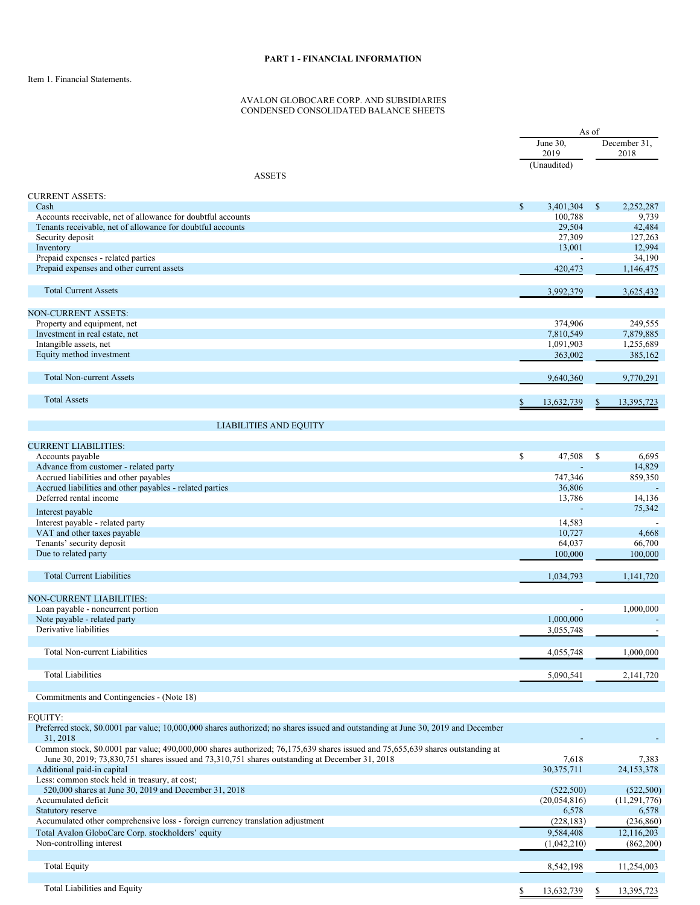# **PART 1 - FINANCIAL INFORMATION**

# Item 1. Financial Statements.

#### AVALON GLOBOCARE CORP. AND SUBSIDIARIES CONDENSED CONSOLIDATED BALANCE SHEETS

|                                                                                                                                               |              | As of                    |               |              |  |
|-----------------------------------------------------------------------------------------------------------------------------------------------|--------------|--------------------------|---------------|--------------|--|
|                                                                                                                                               |              | June 30,                 |               | December 31, |  |
|                                                                                                                                               |              | 2019                     |               | 2018         |  |
|                                                                                                                                               |              | (Unaudited)              |               |              |  |
| <b>ASSETS</b>                                                                                                                                 |              |                          |               |              |  |
|                                                                                                                                               |              |                          |               |              |  |
| <b>CURRENT ASSETS:</b>                                                                                                                        |              |                          |               |              |  |
| Cash                                                                                                                                          | $\mathbb{S}$ | 3,401,304                | $\mathbb{S}$  | 2,252,287    |  |
| Accounts receivable, net of allowance for doubtful accounts                                                                                   |              | 100,788                  |               | 9,739        |  |
| Tenants receivable, net of allowance for doubtful accounts                                                                                    |              | 29,504                   |               | 42,484       |  |
| Security deposit                                                                                                                              |              | 27,309                   |               | 127,263      |  |
| Inventory                                                                                                                                     |              | 13,001                   |               | 12,994       |  |
| Prepaid expenses - related parties                                                                                                            |              |                          |               | 34,190       |  |
| Prepaid expenses and other current assets                                                                                                     |              | 420,473                  |               | 1,146,475    |  |
| <b>Total Current Assets</b>                                                                                                                   |              | 3,992,379                |               | 3,625,432    |  |
|                                                                                                                                               |              |                          |               |              |  |
| <b>NON-CURRENT ASSETS:</b>                                                                                                                    |              |                          |               |              |  |
| Property and equipment, net                                                                                                                   |              | 374,906                  |               | 249,555      |  |
| Investment in real estate, net                                                                                                                |              | 7,810,549                |               | 7,879,885    |  |
| Intangible assets, net                                                                                                                        |              | 1,091,903                |               | 1,255,689    |  |
| Equity method investment                                                                                                                      |              | 363,002                  |               | 385,162      |  |
|                                                                                                                                               |              |                          |               |              |  |
| <b>Total Non-current Assets</b>                                                                                                               |              | 9,640,360                |               | 9,770,291    |  |
|                                                                                                                                               |              |                          |               |              |  |
| <b>Total Assets</b>                                                                                                                           |              | 13,632,739               | <sup>\$</sup> | 13,395,723   |  |
|                                                                                                                                               |              |                          |               |              |  |
| <b>LIABILITIES AND EQUITY</b>                                                                                                                 |              |                          |               |              |  |
|                                                                                                                                               |              |                          |               |              |  |
| <b>CURRENT LIABILITIES:</b>                                                                                                                   |              |                          |               |              |  |
| Accounts payable                                                                                                                              | $\mathbb{S}$ | 47,508                   | - \$          | 6.695        |  |
| Advance from customer - related party                                                                                                         |              |                          |               | 14,829       |  |
| Accrued liabilities and other payables                                                                                                        |              | 747,346                  |               | 859,350      |  |
| Accrued liabilities and other payables - related parties                                                                                      |              | 36,806                   |               |              |  |
| Deferred rental income                                                                                                                        |              | 13,786                   |               | 14,136       |  |
| Interest payable                                                                                                                              |              |                          |               | 75,342       |  |
|                                                                                                                                               |              |                          |               |              |  |
| Interest payable - related party                                                                                                              |              | 14,583                   |               |              |  |
| VAT and other taxes payable                                                                                                                   |              | 10,727                   |               | 4,668        |  |
| Tenants' security deposit                                                                                                                     |              | 64,037                   |               | 66,700       |  |
| Due to related party                                                                                                                          |              | 100,000                  |               | 100,000      |  |
| <b>Total Current Liabilities</b>                                                                                                              |              |                          |               |              |  |
|                                                                                                                                               |              | 1,034,793                |               | 1,141,720    |  |
| <b>NON-CURRENT LIABILITIES:</b>                                                                                                               |              |                          |               |              |  |
| Loan payable - noncurrent portion                                                                                                             |              | $\overline{\phantom{a}}$ |               | 1,000,000    |  |
| Note payable - related party                                                                                                                  |              |                          |               |              |  |
| Derivative liabilities                                                                                                                        |              | 1,000,000                |               |              |  |
|                                                                                                                                               |              | 3,055,748                |               |              |  |
| <b>Total Non-current Liabilities</b>                                                                                                          |              |                          |               |              |  |
|                                                                                                                                               |              | 4,055,748                |               | 1,000,000    |  |
| <b>Total Liabilities</b>                                                                                                                      |              | 5,090,541                |               | 2,141,720    |  |
|                                                                                                                                               |              |                          |               |              |  |
| Commitments and Contingencies - (Note 18)                                                                                                     |              |                          |               |              |  |
|                                                                                                                                               |              |                          |               |              |  |
| EQUITY:                                                                                                                                       |              |                          |               |              |  |
| Preferred stock, \$0.0001 par value; 10,000,000 shares authorized; no shares issued and outstanding at June 30, 2019 and December<br>31, 2018 |              |                          |               |              |  |
| Common stock, \$0.0001 par value; 490,000,000 shares authorized; 76,175,639 shares issued and 75,655,639 shares outstanding at                |              |                          |               |              |  |
| June 30, 2019; 73,830,751 shares issued and 73,310,751 shares outstanding at December 31, 2018                                                |              | 7,618                    |               | 7,383        |  |
| Additional paid-in capital                                                                                                                    |              | 30,375,711               |               | 24, 153, 378 |  |
| Less: common stock held in treasury, at cost;                                                                                                 |              |                          |               |              |  |
| 520,000 shares at June 30, 2019 and December 31, 2018                                                                                         |              | (522, 500)               |               | (522, 500)   |  |
| Accumulated deficit                                                                                                                           |              | (20,054,816)             |               | (11,291,776) |  |
| Statutory reserve                                                                                                                             |              | 6,578                    |               | 6,578        |  |
| Accumulated other comprehensive loss - foreign currency translation adjustment                                                                |              | (228, 183)               |               | (236, 860)   |  |
| Total Avalon GloboCare Corp. stockholders' equity                                                                                             |              | 9,584,408                |               | 12,116,203   |  |
| Non-controlling interest                                                                                                                      |              |                          |               |              |  |
|                                                                                                                                               |              | (1,042,210)              |               | (862,200)    |  |
|                                                                                                                                               |              |                          |               |              |  |
| <b>Total Equity</b>                                                                                                                           |              | 8,542,198                |               | 11,254,003   |  |
| Total Liabilities and Equity                                                                                                                  |              |                          |               |              |  |
|                                                                                                                                               |              | 13,632,739               | \$            | 13,395,723   |  |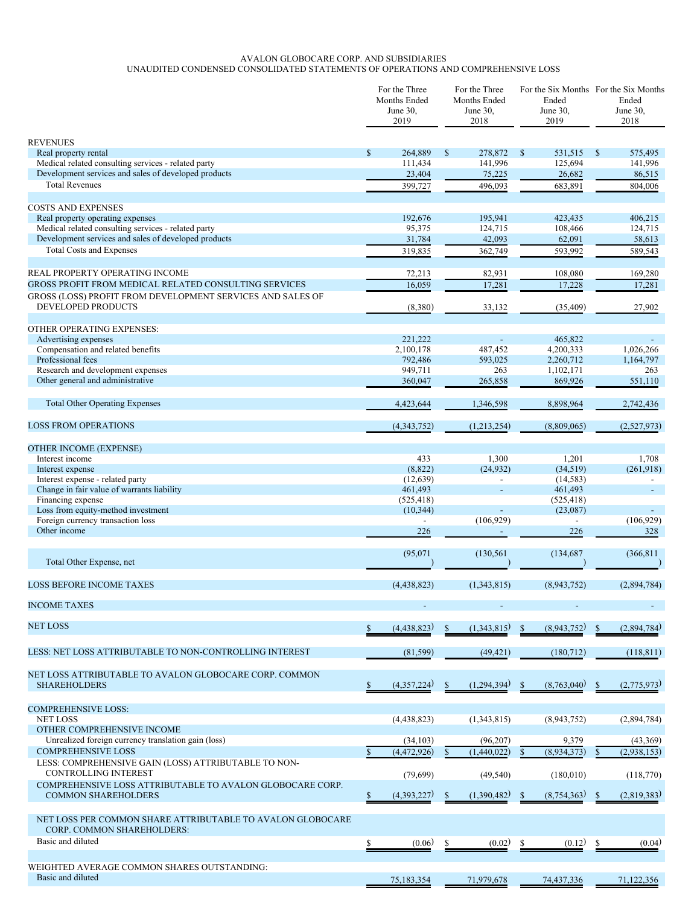## AVALON GLOBOCARE CORP. AND SUBSIDIARIES UNAUDITED CONDENSED CONSOLIDATED STATEMENTS OF OPERATIONS AND COMPREHENSIVE LOSS

|                                                                                          | For the Three<br>Months Ended<br>June 30,<br>2019 | For the Three<br>Months Ended<br>June 30,<br>2018 | For the Six Months For the Six Months<br>Ended<br>June 30,<br>2019 | Ended<br>June 30,<br>2018    |
|------------------------------------------------------------------------------------------|---------------------------------------------------|---------------------------------------------------|--------------------------------------------------------------------|------------------------------|
|                                                                                          |                                                   |                                                   |                                                                    |                              |
| <b>REVENUES</b><br>Real property rental                                                  | $\mathbb{S}$<br>264,889                           | $\mathsf{\$}$<br>278,872                          | $\mathbb{S}$<br>531,515                                            | $\mathbb{S}$<br>575,495      |
| Medical related consulting services - related party                                      | 111,434                                           | 141,996                                           | 125,694                                                            | 141,996                      |
| Development services and sales of developed products                                     | 23,404                                            | 75,225                                            | 26,682                                                             | 86,515                       |
| <b>Total Revenues</b>                                                                    | 399,727                                           | 496,093                                           | 683,891                                                            | 804,006                      |
|                                                                                          |                                                   |                                                   |                                                                    |                              |
| <b>COSTS AND EXPENSES</b><br>Real property operating expenses                            | 192,676                                           | 195,941                                           | 423,435                                                            | 406,215                      |
| Medical related consulting services - related party                                      | 95,375                                            | 124,715                                           | 108,466                                                            | 124,715                      |
| Development services and sales of developed products                                     | 31,784                                            | 42,093                                            | 62,091                                                             | 58,613                       |
| <b>Total Costs and Expenses</b>                                                          | 319,835                                           | 362,749                                           | 593,992                                                            | 589,543                      |
|                                                                                          |                                                   |                                                   |                                                                    |                              |
| REAL PROPERTY OPERATING INCOME                                                           | 72,213                                            | 82,931                                            | 108,080                                                            | 169,280                      |
| GROSS PROFIT FROM MEDICAL RELATED CONSULTING SERVICES                                    | 16,059                                            | 17,281                                            | 17,228                                                             | 17,281                       |
| GROSS (LOSS) PROFIT FROM DEVELOPMENT SERVICES AND SALES OF<br>DEVELOPED PRODUCTS         | (8,380)                                           | 33,132                                            | (35, 409)                                                          | 27,902                       |
|                                                                                          |                                                   |                                                   |                                                                    |                              |
| <b>OTHER OPERATING EXPENSES:</b>                                                         |                                                   |                                                   |                                                                    |                              |
| Advertising expenses                                                                     | 221,222                                           | L.                                                | 465,822                                                            |                              |
| Compensation and related benefits<br>Professional fees                                   | 2,100,178                                         | 487,452<br>593,025                                | 4,200,333<br>2,260,712                                             | 1,026,266<br>1,164,797       |
| Research and development expenses                                                        | 792,486<br>949,711                                | 263                                               | 1,102,171                                                          | 263                          |
| Other general and administrative                                                         | 360,047                                           | 265,858                                           | 869,926                                                            | 551,110                      |
|                                                                                          |                                                   |                                                   |                                                                    |                              |
| <b>Total Other Operating Expenses</b>                                                    | 4,423,644                                         | 1,346,598                                         | 8,898,964                                                          | 2,742,436                    |
| <b>LOSS FROM OPERATIONS</b>                                                              | (4,343,752)                                       | (1,213,254)                                       | (8,809,065)                                                        | (2,527,973)                  |
| <b>OTHER INCOME (EXPENSE)</b>                                                            |                                                   |                                                   |                                                                    |                              |
| Interest income                                                                          | 433                                               | 1,300                                             | 1,201                                                              | 1,708                        |
| Interest expense                                                                         | (8, 822)                                          | (24, 932)                                         | (34, 519)                                                          | (261,918)                    |
| Interest expense - related party                                                         | (12, 639)                                         | $\overline{\phantom{a}}$                          | (14, 583)                                                          |                              |
| Change in fair value of warrants liability                                               | 461,493                                           |                                                   | 461,493                                                            |                              |
| Financing expense<br>Loss from equity-method investment                                  | (525, 418)<br>(10, 344)                           |                                                   | (525, 418)<br>(23,087)                                             |                              |
| Foreign currency transaction loss                                                        |                                                   | (106, 929)                                        |                                                                    | (106, 929)                   |
| Other income                                                                             | 226                                               |                                                   | 226                                                                | 328                          |
|                                                                                          |                                                   |                                                   |                                                                    |                              |
| Total Other Expense, net                                                                 | (95,071)                                          | (130, 561)                                        | (134, 687)                                                         | (366, 811)                   |
| <b>LOSS BEFORE INCOME TAXES</b>                                                          | (4,438,823)                                       | (1,343,815)                                       | (8,943,752)                                                        | (2,894,784)                  |
| <b>INCOME TAXES</b>                                                                      |                                                   |                                                   |                                                                    |                              |
| <b>NET LOSS</b>                                                                          |                                                   |                                                   |                                                                    |                              |
|                                                                                          | (4,438,823)                                       | (1,343,815)<br><sup>\$</sup>                      | (8,943,752)<br>$\mathbb{S}$                                        | (2,894,784)<br><sup>\$</sup> |
| LESS: NET LOSS ATTRIBUTABLE TO NON-CONTROLLING INTEREST                                  | (81, 599)                                         | (49, 421)                                         | (180, 712)                                                         | (118, 811)                   |
| NET LOSS ATTRIBUTABLE TO AVALON GLOBOCARE CORP. COMMON<br><b>SHAREHOLDERS</b>            | (4,357,224)<br>\$                                 | (1,294,394)<br><sup>\$</sup>                      | (8,763,040)<br><sup>\$</sup>                                       | (2,775,973)<br><sup>\$</sup> |
| <b>COMPREHENSIVE LOSS:</b>                                                               |                                                   |                                                   |                                                                    |                              |
| <b>NET LOSS</b><br>OTHER COMPREHENSIVE INCOME                                            | (4, 438, 823)                                     | (1,343,815)                                       | (8,943,752)                                                        | (2,894,784)                  |
| Unrealized foreign currency translation gain (loss)                                      | (34, 103)                                         | (96,207)                                          | 9,379                                                              | (43,369)                     |
| <b>COMPREHENSIVE LOSS</b>                                                                | (4,472,926)<br>S                                  | $\mathsf{\$}$<br>(1,440,022)                      | (8,934,373)<br>\$                                                  | (2,938,153)<br>$\mathbb{S}$  |
| LESS: COMPREHENSIVE GAIN (LOSS) ATTRIBUTABLE TO NON-                                     |                                                   |                                                   |                                                                    |                              |
| <b>CONTROLLING INTEREST</b><br>COMPREHENSIVE LOSS ATTRIBUTABLE TO AVALON GLOBOCARE CORP. | (79, 699)                                         | (49, 540)                                         | (180, 010)                                                         | (118,770)                    |
| <b>COMMON SHAREHOLDERS</b>                                                               | \$<br>(4,393,227)                                 | (1,390,482)<br>\$                                 | (8, 754, 363)                                                      | (2,819,383)<br><sup>\$</sup> |
| NET LOSS PER COMMON SHARE ATTRIBUTABLE TO AVALON GLOBOCARE<br>CORP. COMMON SHAREHOLDERS: |                                                   |                                                   |                                                                    |                              |
| Basic and diluted                                                                        | (0.06)<br>S                                       | (0.02)<br>\$                                      | (0.12)<br>\$                                                       | (0.04)<br>\$                 |
|                                                                                          |                                                   |                                                   |                                                                    |                              |
| WEIGHTED AVERAGE COMMON SHARES OUTSTANDING:                                              |                                                   |                                                   |                                                                    |                              |
| Basic and diluted                                                                        | 75,183,354                                        | 71,979,678                                        | 74,437,336                                                         | 71,122,356                   |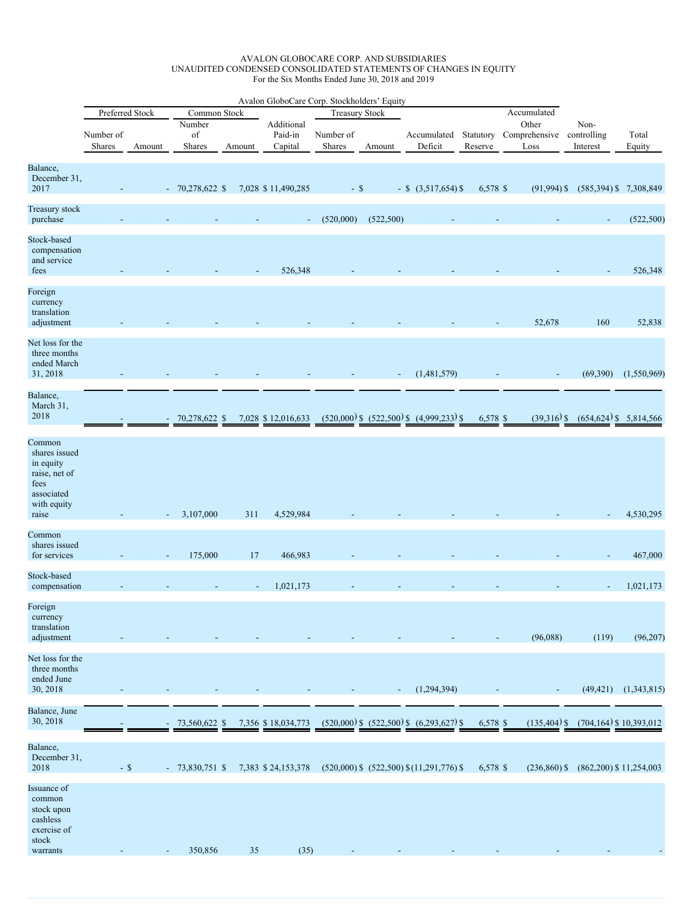#### AVALON GLOBOCARE CORP. AND SUBSIDIARIES UNAUDITED CONDENSED CONSOLIDATED STATEMENTS OF CHANGES IN EQUITY For the Six Months Ended June 30, 2018 and 2019

|                                                                                                     |                     | Preferred Stock | Common Stock           |        | Avalon GloboCare Corp. Stockholders' Equity | <b>Treasury Stock</b> |            |                                                 |                      | Accumulated                    |                                 |                            |
|-----------------------------------------------------------------------------------------------------|---------------------|-----------------|------------------------|--------|---------------------------------------------|-----------------------|------------|-------------------------------------------------|----------------------|--------------------------------|---------------------------------|----------------------------|
|                                                                                                     | Number of<br>Shares | Amount          | Number<br>of<br>Shares | Amount | Additional<br>Paid-in<br>Capital            | Number of<br>Shares   | Amount     | Accumulated<br>Deficit                          | Statutory<br>Reserve | Other<br>Comprehensive<br>Loss | Non-<br>controlling<br>Interest | Total<br>Equity            |
| Balance,<br>December 31,<br>2017                                                                    |                     |                 | $-70,278,622$ \$       |        | 7,028 \$11,490,285                          | $-$ \$                |            | $-$ \$ $(3,517,654)$ \$                         | 6,578 \$             | $(91, 994)$ \$                 |                                 | $(585,394)$ \$7,308,849    |
| <b>Treasury stock</b><br>purchase                                                                   |                     |                 |                        |        |                                             | (520,000)             | (522, 500) |                                                 |                      |                                |                                 | (522, 500)                 |
| Stock-based<br>compensation<br>and service<br>fees                                                  |                     |                 |                        |        | 526,348                                     |                       |            |                                                 |                      |                                |                                 | 526,348                    |
| Foreign<br>currency<br>translation<br>adjustment                                                    |                     |                 |                        |        |                                             |                       |            |                                                 |                      | 52,678                         | 160                             | 52,838                     |
| Net loss for the<br>three months<br>ended March<br>31, 2018                                         |                     |                 |                        |        |                                             |                       |            | (1,481,579)                                     |                      |                                | (69,390)                        | (1,550,969)                |
| Balance,<br>March 31,<br>2018                                                                       |                     |                 | 70,278,622 \$          |        | 7,028 \$12,016,633                          |                       |            | $(520,000)$ \$ $(522,500)$ \$ $(4,999,233)$ \$  | 6,578 \$             | $(39,316)$ \$                  | $(654, 624)$ \$ 5,814,566       |                            |
| Common<br>shares issued<br>in equity<br>raise, net of<br>fees<br>associated<br>with equity<br>raise |                     |                 | 3,107,000              | 311    | 4,529,984                                   |                       |            |                                                 |                      |                                |                                 | 4,530,295                  |
| Common<br>shares issued<br>for services                                                             |                     |                 | 175,000                | 17     | 466,983                                     |                       |            |                                                 |                      |                                |                                 | 467,000                    |
| Stock-based<br>compensation                                                                         |                     |                 |                        |        | 1,021,173                                   |                       |            |                                                 |                      |                                |                                 | 1,021,173                  |
| Foreign<br>currency<br>translation<br>adjustment                                                    |                     |                 |                        |        |                                             |                       |            |                                                 |                      | (96,088)                       | (119)                           | (96,207)                   |
| Net loss for the<br>three months<br>ended June<br>30, 2018                                          |                     |                 |                        |        |                                             |                       |            | (1,294,394)                                     |                      |                                | (49, 421)                       | (1,343,815)                |
| Balance, June<br>30, 2018                                                                           |                     |                 | 73,560,622 \$          |        | 7,356 \$18,034,773                          |                       |            | $(520,000)$ \$ $(522,500)$ \$ $(6,293,627)$ \$  | 6,578 \$             | $(135, 404)$ \$                |                                 | $(704, 164)$ \$ 10,393,012 |
| Balance,<br>December 31,<br>2018                                                                    |                     | $-$ \$          | $-73,830,751$ \$       |        | 7,383 \$ 24,153,378                         |                       |            | $(520,000)$ \$ $(522,500)$ \$ $(11,291,776)$ \$ | 6,578 \$             | $(236, 860)$ \$                |                                 | $(862,200)$ \$ 11,254,003  |
| Issuance of<br>common<br>stock upon<br>cashless<br>exercise of<br>stock<br>warrants                 |                     |                 | 350,856                | 35     | (35)                                        |                       |            |                                                 |                      |                                |                                 |                            |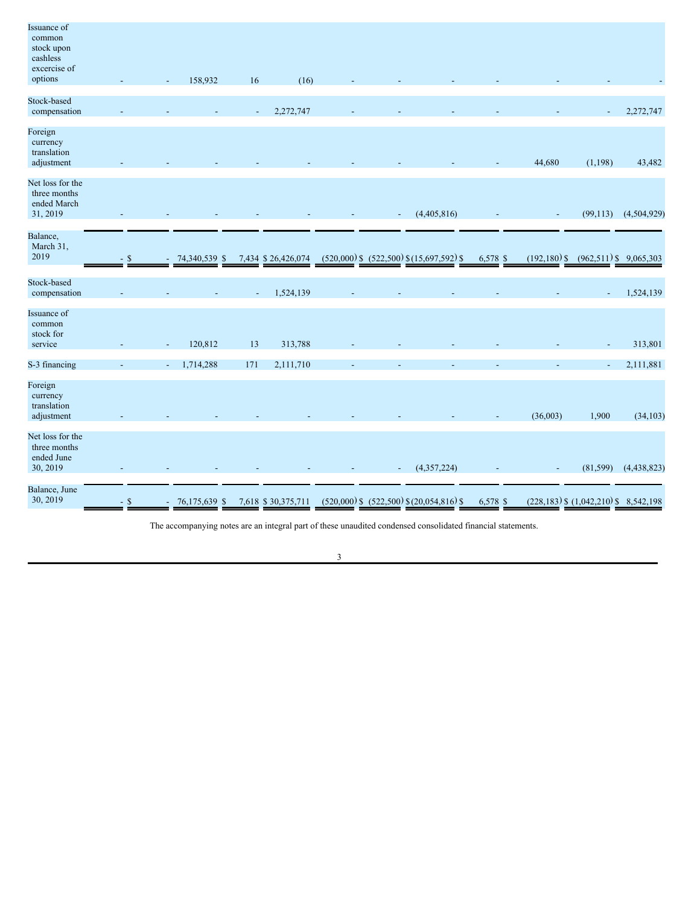| Issuance of<br>common<br>stock upon<br>cashless<br>excercise of<br>options |      | $\blacksquare$           | 158,932       | 16  | (16)               |  |                                                 |          |                 |                                           |                            |
|----------------------------------------------------------------------------|------|--------------------------|---------------|-----|--------------------|--|-------------------------------------------------|----------|-----------------|-------------------------------------------|----------------------------|
| Stock-based<br>compensation                                                |      |                          |               |     | 2,272,747          |  |                                                 |          |                 |                                           | 2,272,747                  |
| Foreign<br>currency<br>translation<br>adjustment                           |      |                          |               |     |                    |  |                                                 |          | 44,680          | (1, 198)                                  | 43,482                     |
| Net loss for the<br>three months<br>ended March<br>31, 2019                |      |                          |               |     |                    |  | (4,405,816)                                     |          |                 | (99, 113)                                 | (4,504,929)                |
| Balance,<br>March 31,<br>2019                                              | - \$ |                          | 74,340,539 \$ |     | 7,434 \$26,426,074 |  | $(520,000)$ \$ $(522,500)$ \$ $(15,697,592)$ \$ | 6,578 \$ | $(192, 180)$ \$ |                                           | $(962,511)$ \$ $9,065,303$ |
| Stock-based<br>compensation                                                |      |                          |               |     | 1,524,139          |  |                                                 |          |                 |                                           | 1,524,139                  |
| Issuance of<br>common<br>stock for<br>service                              |      | $\blacksquare$           | 120,812       | 13  | 313,788            |  |                                                 |          |                 | $\overline{\phantom{a}}$                  | 313,801                    |
| S-3 financing                                                              |      | $\blacksquare$           | 1,714,288     | 171 | 2,111,710          |  |                                                 |          |                 | ÷.                                        | 2,111,881                  |
| Foreign<br>currency<br>translation<br>adjustment                           |      |                          |               |     |                    |  |                                                 |          | (36,003)        | 1,900                                     | (34, 103)                  |
| Net loss for the<br>three months<br>ended June<br>30, 2019                 |      |                          |               |     |                    |  | (4,357,224)                                     |          |                 | (81, 599)                                 | (4,438,823)                |
| Balance, June<br>30, 2019                                                  | - \$ | $\overline{\phantom{a}}$ | 76,175,639 \$ |     | 7,618 \$30,375,711 |  | $(520,000)$ \$ $(522,500)$ \$ $(20,054,816)$ \$ | 6,578 \$ |                 | $(228,183)$ \$ $(1,042,210)$ \$ 8,542,198 |                            |

The accompanying notes are an integral part of these unaudited condensed consolidated financial statements.

3

<u> 1980 - Johann Barbara, martxa amerikan per</u>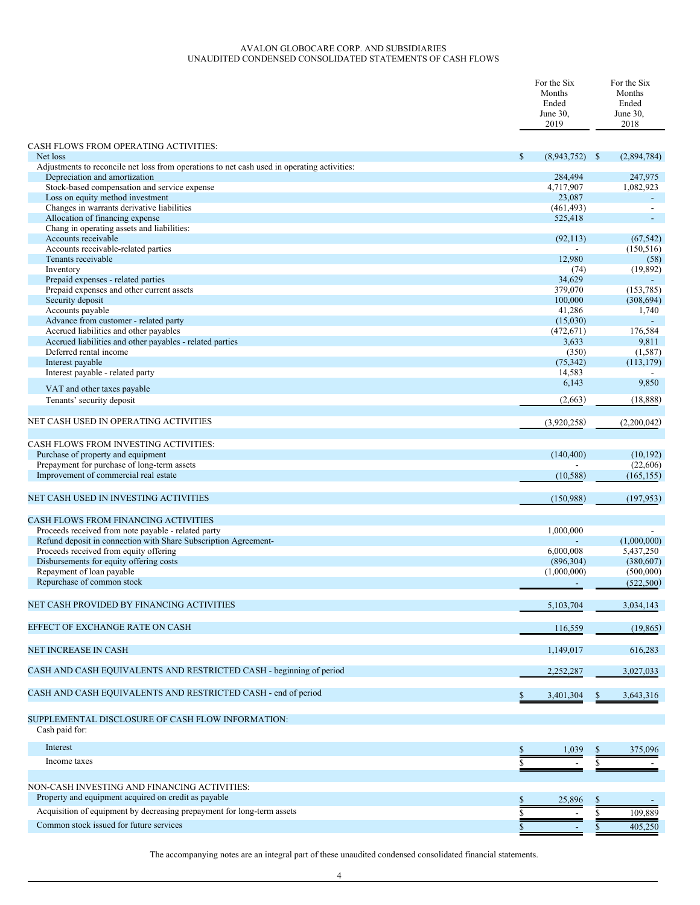# AVALON GLOBOCARE CORP. AND SUBSIDIARIES UNAUDITED CONDENSED CONSOLIDATED STATEMENTS OF CASH FLOWS

|                                                                                                         | For the Six<br>Months<br>Ended<br>June 30,<br>2019 | For the Six<br>Months<br>Ended<br>June 30,<br>2018 |
|---------------------------------------------------------------------------------------------------------|----------------------------------------------------|----------------------------------------------------|
| CASH FLOWS FROM OPERATING ACTIVITIES:                                                                   |                                                    |                                                    |
| Net loss<br>Adjustments to reconcile net loss from operations to net cash used in operating activities: | $\mathbb{S}$<br>(8,943,752)<br>- \$                | (2,894,784)                                        |
| Depreciation and amortization                                                                           | 284,494                                            | 247,975                                            |
| Stock-based compensation and service expense                                                            | 4,717,907                                          | 1,082,923                                          |
| Loss on equity method investment                                                                        | 23.087                                             |                                                    |
| Changes in warrants derivative liabilities                                                              | (461, 493)                                         | $\overline{\phantom{a}}$                           |
| Allocation of financing expense                                                                         | 525,418                                            | $\blacksquare$                                     |
| Chang in operating assets and liabilities:<br>Accounts receivable                                       |                                                    |                                                    |
| Accounts receivable-related parties                                                                     | (92, 113)                                          | (67, 542)<br>(150, 516)                            |
| Tenants receivable                                                                                      | 12,980                                             | (58)                                               |
| Inventory                                                                                               | (74)                                               | (19,892)                                           |
| Prepaid expenses - related parties                                                                      | 34,629                                             |                                                    |
| Prepaid expenses and other current assets                                                               | 379,070                                            | (153, 785)                                         |
| Security deposit                                                                                        | 100,000                                            | (308, 694)                                         |
| Accounts payable                                                                                        | 41,286                                             | 1,740                                              |
| Advance from customer - related party                                                                   | (15,030)                                           |                                                    |
| Accrued liabilities and other payables                                                                  | (472, 671)                                         | 176,584                                            |
| Accrued liabilities and other payables - related parties                                                | 3,633                                              | 9,811                                              |
| Deferred rental income<br>Interest payable                                                              | (350)                                              | (1, 587)<br>(113, 179)                             |
| Interest payable - related party                                                                        | (75, 342)<br>14,583                                |                                                    |
|                                                                                                         | 6,143                                              | 9,850                                              |
| VAT and other taxes payable                                                                             |                                                    |                                                    |
| Tenants' security deposit                                                                               | (2,663)                                            | (18, 888)                                          |
| NET CASH USED IN OPERATING ACTIVITIES                                                                   | (3,920,258)                                        | (2,200,042)                                        |
|                                                                                                         |                                                    |                                                    |
| CASH FLOWS FROM INVESTING ACTIVITIES:                                                                   |                                                    |                                                    |
| Purchase of property and equipment                                                                      | (140, 400)                                         | (10, 192)                                          |
| Prepayment for purchase of long-term assets                                                             |                                                    | (22,606)                                           |
| Improvement of commercial real estate                                                                   | (10, 588)                                          | (165, 155)                                         |
| NET CASH USED IN INVESTING ACTIVITIES                                                                   | (150,988)                                          | (197, 953)                                         |
| CASH FLOWS FROM FINANCING ACTIVITIES                                                                    |                                                    |                                                    |
| Proceeds received from note payable - related party                                                     | 1,000,000                                          |                                                    |
| Refund deposit in connection with Share Subscription Agreement-                                         |                                                    | (1,000,000)                                        |
| Proceeds received from equity offering                                                                  | 6,000,008                                          | 5,437,250                                          |
| Disbursements for equity offering costs                                                                 | (896, 304)                                         | (380, 607)                                         |
| Repayment of loan payable                                                                               | (1,000,000)                                        | (500,000)                                          |
| Repurchase of common stock                                                                              | $\overline{\phantom{a}}$                           | (522, 500)                                         |
| NET CASH PROVIDED BY FINANCING ACTIVITIES                                                               | 5,103,704                                          | 3,034,143                                          |
|                                                                                                         |                                                    |                                                    |
| EFFECT OF EXCHANGE RATE ON CASH                                                                         | 116,559                                            | (19, 865)                                          |
| <b>NET INCREASE IN CASH</b>                                                                             | 1,149,017                                          | 616,283                                            |
| CASH AND CASH EQUIVALENTS AND RESTRICTED CASH - beginning of period                                     | 2,252,287                                          | 3,027,033                                          |
| CASH AND CASH EQUIVALENTS AND RESTRICTED CASH - end of period                                           | 3,401,304                                          | 3,643,316                                          |
| SUPPLEMENTAL DISCLOSURE OF CASH FLOW INFORMATION:                                                       |                                                    |                                                    |
| Cash paid for:                                                                                          |                                                    |                                                    |
| Interest                                                                                                | 1,039<br>\$                                        | 375,096                                            |
| Income taxes                                                                                            |                                                    |                                                    |
| NON-CASH INVESTING AND FINANCING ACTIVITIES:                                                            |                                                    |                                                    |
| Property and equipment acquired on credit as payable                                                    |                                                    |                                                    |
|                                                                                                         | 25,896                                             |                                                    |
| Acquisition of equipment by decreasing prepayment for long-term assets                                  | S                                                  | 109,889                                            |
| Common stock issued for future services                                                                 | \$                                                 | 405,250                                            |

The accompanying notes are an integral part of these unaudited condensed consolidated financial statements.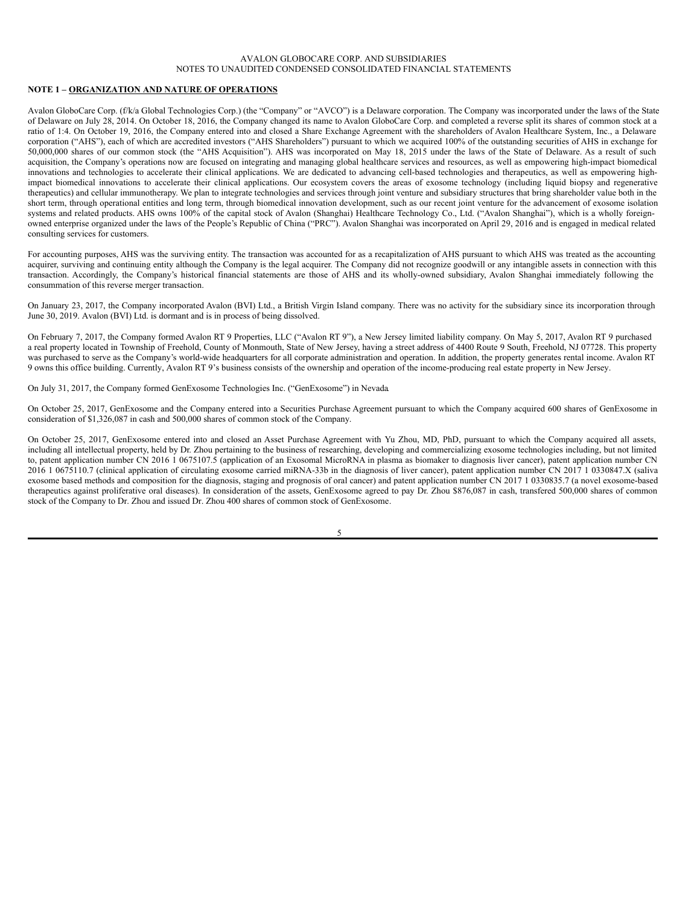## **NOTE 1 – ORGANIZATION AND NATURE OF OPERATIONS**

Avalon GloboCare Corp. (f/k/a Global Technologies Corp.) (the "Company" or "AVCO") is a Delaware corporation. The Company was incorporated under the laws of the State of Delaware on July 28, 2014. On October 18, 2016, the Company changed its name to Avalon GloboCare Corp. and completed a reverse split its shares of common stock at a ratio of 1:4. On October 19, 2016, the Company entered into and closed a Share Exchange Agreement with the shareholders of Avalon Healthcare System, Inc., a Delaware corporation ("AHS"), each of which are accredited investors ("AHS Shareholders") pursuant to which we acquired 100% of the outstanding securities of AHS in exchange for 50,000,000 shares of our common stock (the "AHS Acquisition"). AHS was incorporated on May 18, 2015 under the laws of the State of Delaware. As a result of such acquisition, the Company's operations now are focused on integrating and managing global healthcare services and resources, as well as empowering high-impact biomedical innovations and technologies to accelerate their clinical applications. We are dedicated to advancing cell-based technologies and therapeutics, as well as empowering highimpact biomedical innovations to accelerate their clinical applications. Our ecosystem covers the areas of exosome technology (including liquid biopsy and regenerative therapeutics) and cellular immunotherapy. We plan to integrate technologies and services through joint venture and subsidiary structures that bring shareholder value both in the short term, through operational entities and long term, through biomedical innovation development, such as our recent joint venture for the advancement of exosome isolation systems and related products. AHS owns 100% of the capital stock of Avalon (Shanghai) Healthcare Technology Co., Ltd. ("Avalon Shanghai"), which is a wholly foreignowned enterprise organized under the laws of the People's Republic of China ("PRC"). Avalon Shanghai was incorporated on April 29, 2016 and is engaged in medical related consulting services for customers.

For accounting purposes. AHS was the surviving entity. The transaction was accounted for as a recapitalization of AHS pursuant to which AHS was treated as the accounting acquirer, surviving and continuing entity although the Company is the legal acquirer. The Company did not recognize goodwill or any intangible assets in connection with this transaction. Accordingly, the Company's historical financial statements are those of AHS and its wholly-owned subsidiary, Avalon Shanghai immediately following the consummation of this reverse merger transaction.

On January 23, 2017, the Company incorporated Avalon (BVI) Ltd., a British Virgin Island company. There was no activity for the subsidiary since its incorporation through June 30, 2019. Avalon (BVI) Ltd. is dormant and is in process of being dissolved.

On February 7, 2017, the Company formed Avalon RT 9 Properties, LLC ("Avalon RT 9"), a New Jersey limited liability company. On May 5, 2017, Avalon RT 9 purchased a real property located in Township of Freehold, County of Monmouth, State of New Jersey, having a street address of 4400 Route 9 South, Freehold, NJ 07728. This property was purchased to serve as the Company's world-wide headquarters for all corporate administration and operation. In addition, the property generates rental income. Avalon RT 9 owns this office building. Currently, Avalon RT 9's business consists of the ownership and operation of the income-producing real estate property in New Jersey.

On July 31, 2017, the Company formed GenExosome Technologies Inc. ("GenExosome") in Nevada.

On October 25, 2017, GenExosome and the Company entered into a Securities Purchase Agreement pursuant to which the Company acquired 600 shares of GenExosome in consideration of \$1,326,087 in cash and 500,000 shares of common stock of the Company.

On October 25, 2017, GenExosome entered into and closed an Asset Purchase Agreement with Yu Zhou, MD, PhD, pursuant to which the Company acquired all assets, including all intellectual property, held by Dr. Zhou pertaining to the business of researching, developing and commercializing exosome technologies including, but not limited to, patent application number CN 2016 1 0675107.5 (application of an Exosomal MicroRNA in plasma as biomaker to diagnosis liver cancer), patent application number CN 2016 1 0675110.7 (clinical application of circulating exosome carried miRNA-33b in the diagnosis of liver cancer), patent application number CN 2017 1 0330847.X (saliva exosome based methods and composition for the diagnosis, staging and prognosis of oral cancer) and patent application number CN 2017 1 0330835.7 (a novel exosome-based therapeutics against proliferative oral diseases). In consideration of the assets, GenExosome agreed to pay Dr. Zhou \$876,087 in cash, transfered 500,000 shares of common stock of the Company to Dr. Zhou and issued Dr. Zhou 400 shares of common stock of GenExosome.

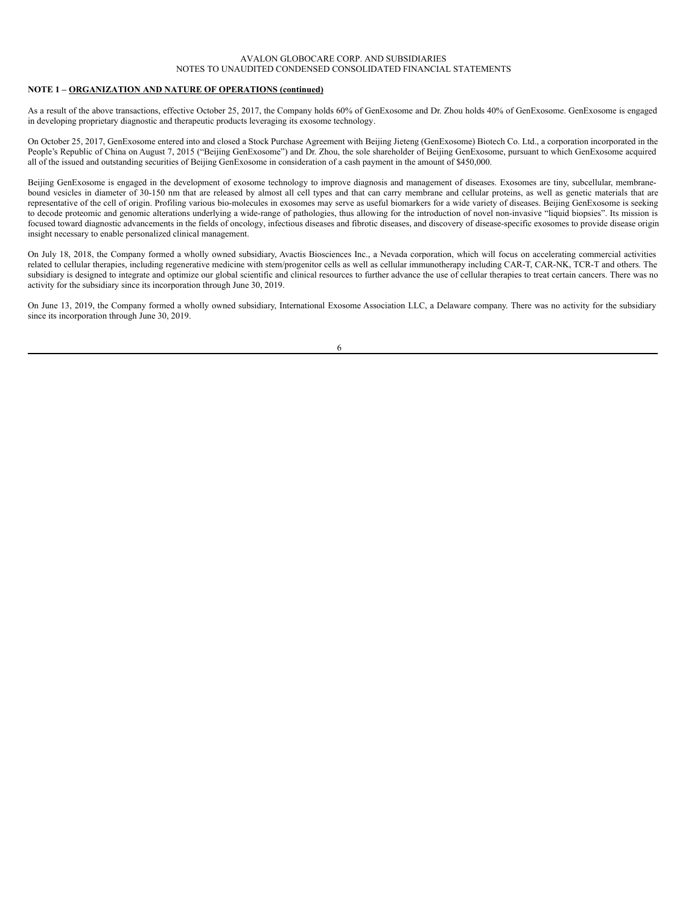# **NOTE 1 – ORGANIZATION AND NATURE OF OPERATIONS (continued)**

As a result of the above transactions, effective October 25, 2017, the Company holds 60% of GenExosome and Dr. Zhou holds 40% of GenExosome. GenExosome is engaged in developing proprietary diagnostic and therapeutic products leveraging its exosome technology.

On October 25, 2017, GenExosome entered into and closed a Stock Purchase Agreement with Beijing Jieteng (GenExosome) Biotech Co. Ltd., a corporation incorporated in the People's Republic of China on August 7, 2015 ("Beijing GenExosome") and Dr. Zhou, the sole shareholder of Beijing GenExosome, pursuant to which GenExosome acquired all of the issued and outstanding securities of Beijing GenExosome in consideration of a cash payment in the amount of \$450,000.

Beijing GenExosome is engaged in the development of exosome technology to improve diagnosis and management of diseases. Exosomes are tiny, subcellular, membranebound vesicles in diameter of 30-150 nm that are released by almost all cell types and that can carry membrane and cellular proteins, as well as genetic materials that are representative of the cell of origin. Profiling various bio-molecules in exosomes may serve as useful biomarkers for a wide variety of diseases. Beijing GenExosome is seeking to decode proteomic and genomic alterations underlying a wide-range of pathologies, thus allowing for the introduction of novel non-invasive "liquid biopsies". Its mission is focused toward diagnostic advancements in the fields of oncology, infectious diseases and fibrotic diseases, and discovery of disease-specific exosomes to provide disease origin insight necessary to enable personalized clinical management.

On July 18, 2018, the Company formed a wholly owned subsidiary, Avactis Biosciences Inc., a Nevada corporation, which will focus on accelerating commercial activities related to cellular therapies, including regenerative medicine with stem/progenitor cells as well as cellular immunotherapy including CAR-T, CAR-NK, TCR-T and others. The subsidiary is designed to integrate and optimize our global scientific and clinical resources to further advance the use of cellular therapies to treat certain cancers. There was no activity for the subsidiary since its incorporation through June 30, 2019.

On June 13, 2019, the Company formed a wholly owned subsidiary, International Exosome Association LLC, a Delaware company. There was no activity for the subsidiary since its incorporation through June 30, 2019.

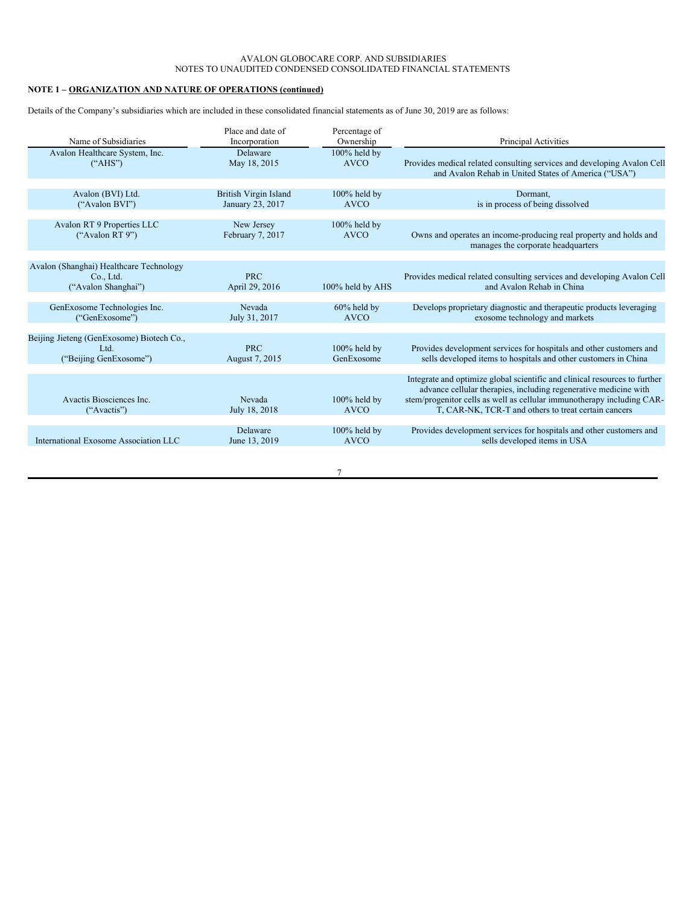# **NOTE 1 – ORGANIZATION AND NATURE OF OPERATIONS (continued)**

Details of the Company's subsidiaries which are included in these consolidated financial statements as of June 30, 2019 are as follows:

| Name of Subsidiaries<br>Avalon Healthcare System, Inc.<br>("AHS")           | Place and date of<br>Incorporation<br>Delaware<br>May 18, 2015 | Percentage of<br>Ownership<br>$100\%$ held by<br><b>AVCO</b> | Principal Activities<br>Provides medical related consulting services and developing Avalon Cell                                                                                                                                                                                  |
|-----------------------------------------------------------------------------|----------------------------------------------------------------|--------------------------------------------------------------|----------------------------------------------------------------------------------------------------------------------------------------------------------------------------------------------------------------------------------------------------------------------------------|
|                                                                             |                                                                |                                                              | and Avalon Rehab in United States of America ("USA")                                                                                                                                                                                                                             |
| Avalon (BVI) Ltd.<br>("Avalon BVI")                                         | <b>British Virgin Island</b><br>January 23, 2017               | $100\%$ held by<br><b>AVCO</b>                               | Dormant.<br>is in process of being dissolved                                                                                                                                                                                                                                     |
| Avalon RT 9 Properties LLC<br>("Avalon RT $9"$ )                            | New Jersey<br>February 7, 2017                                 | $100\%$ held by<br><b>AVCO</b>                               | Owns and operates an income-producing real property and holds and<br>manages the corporate headquarters                                                                                                                                                                          |
| Avalon (Shanghai) Healthcare Technology                                     |                                                                |                                                              |                                                                                                                                                                                                                                                                                  |
| Co., Ltd.<br>("Avalon Shanghai")                                            | <b>PRC</b><br>April 29, 2016                                   | 100% held by AHS                                             | Provides medical related consulting services and developing Avalon Cell<br>and Avalon Rehab in China                                                                                                                                                                             |
| GenExosome Technologies Inc.<br>("GenExosome")                              | Nevada<br>July 31, 2017                                        | 60% held by<br><b>AVCO</b>                                   | Develops proprietary diagnostic and therapeutic products leveraging<br>exosome technology and markets                                                                                                                                                                            |
|                                                                             |                                                                |                                                              |                                                                                                                                                                                                                                                                                  |
| Beijing Jieteng (GenExosome) Biotech Co.,<br>Ltd.<br>("Beijing GenExosome") | <b>PRC</b><br>August 7, 2015                                   | $100\%$ held by<br>GenExosome                                | Provides development services for hospitals and other customers and<br>sells developed items to hospitals and other customers in China                                                                                                                                           |
| Avactis Biosciences Inc.<br>("Avactis")                                     | Nevada<br>July 18, 2018                                        | 100% held by<br><b>AVCO</b>                                  | Integrate and optimize global scientific and clinical resources to further<br>advance cellular therapies, including regenerative medicine with<br>stem/progenitor cells as well as cellular immunotherapy including CAR-<br>T, CAR-NK, TCR-T and others to treat certain cancers |
| International Exosome Association LLC                                       | Delaware<br>June 13, 2019                                      | $100\%$ held by<br><b>AVCO</b>                               | Provides development services for hospitals and other customers and<br>sells developed items in USA                                                                                                                                                                              |
|                                                                             |                                                                |                                                              |                                                                                                                                                                                                                                                                                  |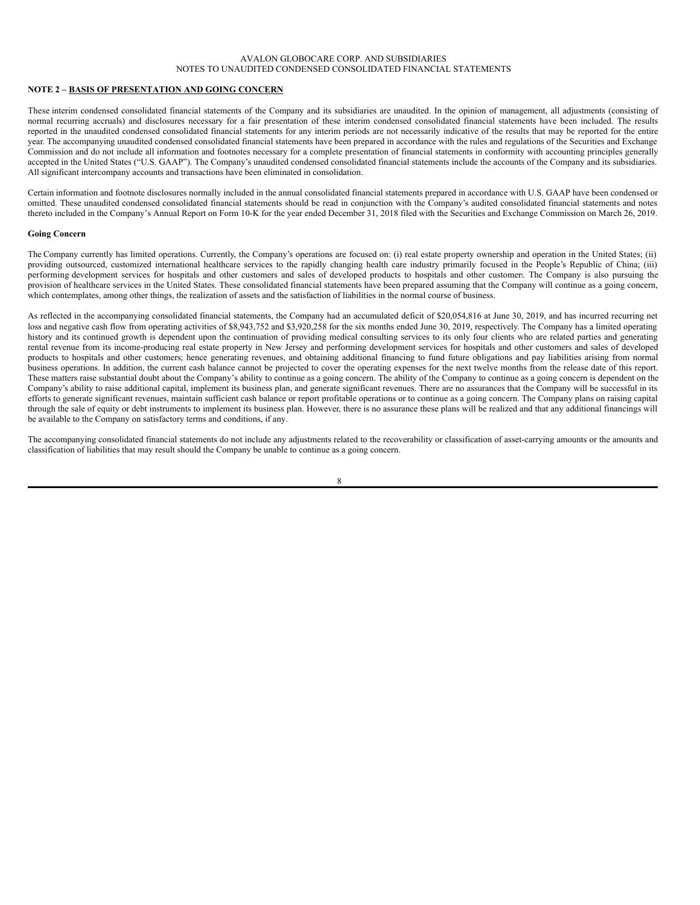# **NOTE 2 – BASIS OF PRESENTATION AND GOING CONCERN**

These interim condensed consolidated financial statements of the Company and its subsidiaries are unaudited. In the opinion of management, all adjustments (consisting of normal recurring accruals) and disclosures necessary for a fair presentation of these interim condensed consolidated financial statements have been included. The results reported in the unaudited condensed consolidated financial statements for any interim periods are not necessarily indicative of the results that may be reported for the entire year. The accompanying unaudited condensed consolidated financial statements have been prepared in accordance with the rules and regulations of the Securities and Exchange Commission and do not include all information and footnotes necessary for a complete presentation of financial statements in conformity with accounting principles generally accepted in the United States ("U.S. GAAP"). The Company's unaudited condensed consolidated financial statements include the accounts of the Company and its subsidiaries. All significant intercompany accounts and transactions have been eliminated in consolidation.

Certain information and footnote disclosures normally included in the annual consolidated financial statements prepared in accordance with U.S. GAAP have been condensed or omitted. These unaudited condensed consolidated financial statements should be read in conjunction with the Company's audited consolidated financial statements and notes thereto included in the Company's Annual Report on Form 10-K for the year ended December 31, 2018 filed with the Securities and Exchange Commission on March 26, 2019.

## **Going Concern**

The Company currently has limited operations. Currently, the Company's operations are focused on: (i) real estate property ownership and operation in the United States; (ii) providing outsourced, customized international healthcare services to the rapidly changing health care industry primarily focused in the People's Republic of China; (iii) performing development services for hospitals and other customers and sales of developed products to hospitals and other customers. The Company is also pursuing the provision of healthcare services in the United States. These consolidated financial statements have been prepared assuming that the Company will continue as a going concern, which contemplates, among other things, the realization of assets and the satisfaction of liabilities in the normal course of business.

As reflected in the accompanying consolidated financial statements, the Company had an accumulated deficit of \$20,054,816 at June 30, 2019, and has incurred recurring net loss and negative cash flow from operating activities of \$8,943,752 and \$3,920,258 for the six months ended June 30, 2019, respectively. The Company has a limited operating history and its continued growth is dependent upon the continuation of providing medical consulting services to its only four clients who are related parties and generating rental revenue from its income-producing real estate property in New Jersey and performing development services for hospitals and other customers and sales of developed products to hospitals and other customers; hence generating revenues, and obtaining additional financing to fund future obligations and pay liabilities arising from normal business operations. In addition, the current cash balance cannot be projected to cover the operating expenses for the next twelve months from the release date of this report. These matters raise substantial doubt about the Company's ability to continue as a going concern. The ability of the Company to continue as a going concern is dependent on the Company's ability to raise additional capital, implement its business plan, and generate significant revenues. There are no assurances that the Company will be successful in its efforts to generate significant revenues, maintain sufficient cash balance or report profitable operations or to continue as a going concern. The Company plans on raising capital through the sale of equity or debt instruments to implement its business plan. However, there is no assurance these plans will be realized and that any additional financings will be available to the Company on satisfactory terms and conditions, if any.

The accompanying consolidated financial statements do not include any adjustments related to the recoverability or classification of asset-carrying amounts or the amounts and classification of liabilities that may result should the Company be unable to continue as a going concern.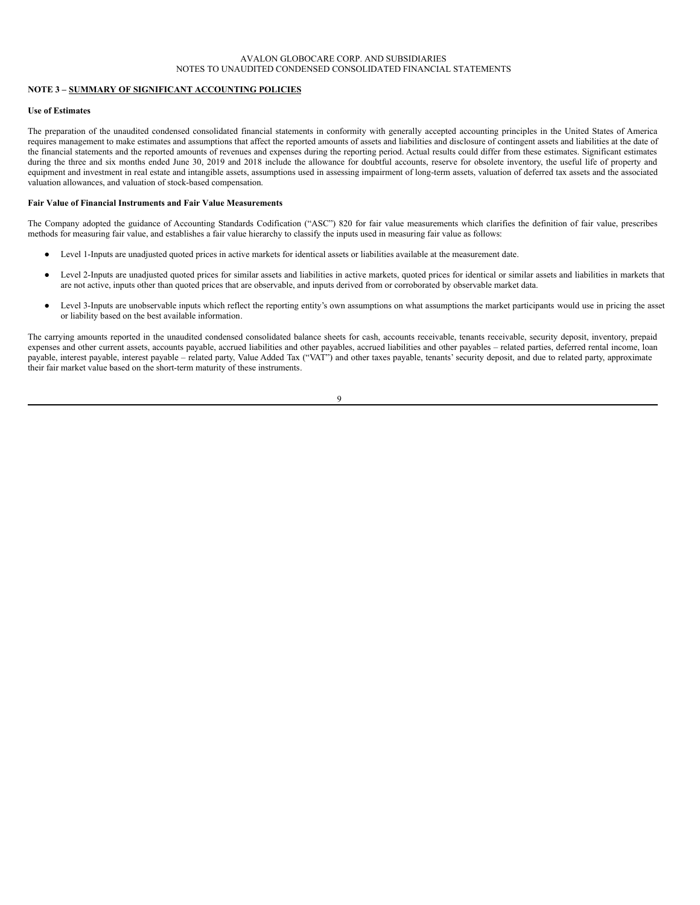# **NOTE 3 – SUMMARY OF SIGNIFICANT ACCOUNTING POLICIES**

#### **Use of Estimates**

The preparation of the unaudited condensed consolidated financial statements in conformity with generally accepted accounting principles in the United States of America requires management to make estimates and assumptions that affect the reported amounts of assets and liabilities and disclosure of contingent assets and liabilities at the date of the financial statements and the reported amounts of revenues and expenses during the reporting period. Actual results could differ from these estimates. Significant estimates during the three and six months ended June 30, 2019 and 2018 include the allowance for doubtful accounts, reserve for obsolete inventory, the useful life of property and equipment and investment in real estate and intangible assets, assumptions used in assessing impairment of long-term assets, valuation of deferred tax assets and the associated valuation allowances, and valuation of stock-based compensation.

### **Fair Value of Financial Instruments and Fair Value Measurements**

The Company adopted the guidance of Accounting Standards Codification ("ASC") 820 for fair value measurements which clarifies the definition of fair value, prescribes methods for measuring fair value, and establishes a fair value hierarchy to classify the inputs used in measuring fair value as follows:

- Level 1-Inputs are unadjusted quoted prices in active markets for identical assets or liabilities available at the measurement date.
- Level 2-Inputs are unadjusted quoted prices for similar assets and liabilities in active markets, quoted prices for identical or similar assets and liabilities in markets that are not active, inputs other than quoted prices that are observable, and inputs derived from or corroborated by observable market data.
- Level 3-Inputs are unobservable inputs which reflect the reporting entity's own assumptions on what assumptions the market participants would use in pricing the asset or liability based on the best available information.

The carrying amounts reported in the unaudited condensed consolidated balance sheets for cash, accounts receivable, tenants receivable, security deposit, inventory, prepaid expenses and other current assets, accounts payable, accrued liabilities and other payables, accrued liabilities and other payables – related parties, deferred rental income, loan payable, interest payable, interest payable – related party, Value Added Tax ("VAT") and other taxes payable, tenants' security deposit, and due to related party, approximate their fair market value based on the short-term maturity of these instruments.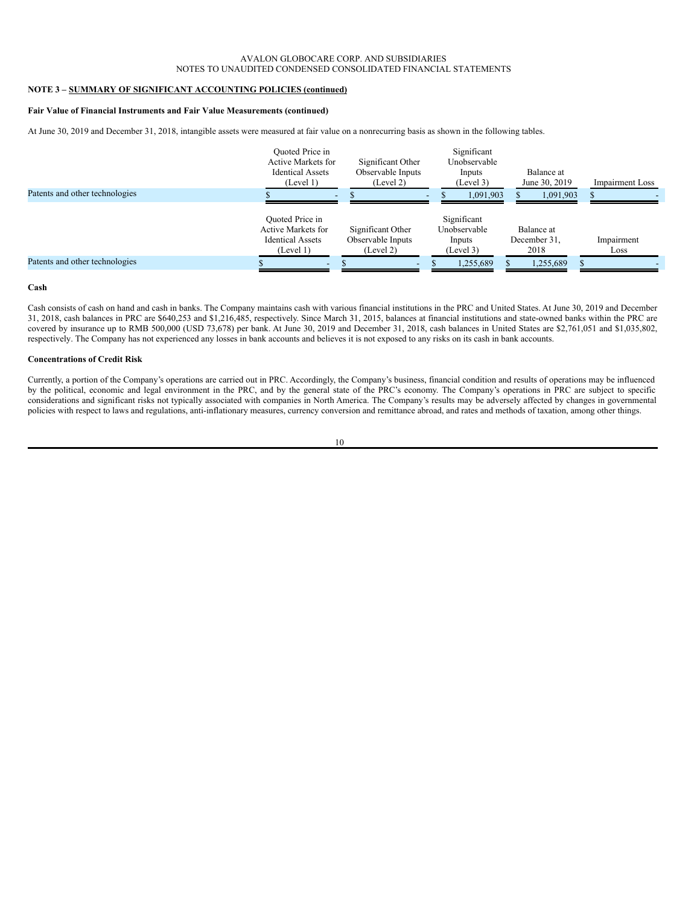## **NOTE 3 – SUMMARY OF SIGNIFICANT ACCOUNTING POLICIES (continued)**

## **Fair Value of Financial Instruments and Fair Value Measurements (continued)**

At June 30, 2019 and December 31, 2018, intangible assets were measured at fair value on a nonrecurring basis as shown in the following tables.

|                                | <b>Ouoted Price in</b><br>Active Markets for<br><b>Identical Assets</b><br>(Level 1) | Significant Other<br>Observable Inputs<br>(Level 2) | Significant<br>Unobservable<br>Inputs<br>(Level 3) | Balance at<br>June 30, 2019 | <b>Impairment Loss</b> |
|--------------------------------|--------------------------------------------------------------------------------------|-----------------------------------------------------|----------------------------------------------------|-----------------------------|------------------------|
| Patents and other technologies | $\overline{\phantom{0}}$                                                             |                                                     | 1,091,903<br>$\overline{\phantom{a}}$              | 1,091,903                   |                        |
|                                | Ouoted Price in<br>Active Markets for<br><b>Identical Assets</b>                     | Significant Other<br>Observable Inputs              | Significant<br>Unobservable<br>Inputs              | Balance at<br>December 31,  | Impairment             |
| Patents and other technologies | (Level 1)                                                                            | (Level 2)                                           | (Level 3)                                          | 2018                        | Loss                   |
|                                | -                                                                                    |                                                     | 1,255,689                                          | 1,255,689                   |                        |

#### **Cash**

Cash consists of cash on hand and cash in banks. The Company maintains cash with various financial institutions in the PRC and United States. At June 30, 2019 and December 31, 2018, cash balances in PRC are \$640,253 and \$1,216,485, respectively. Since March 31, 2015, balances at financial institutions and state-owned banks within the PRC are covered by insurance up to RMB 500,000 (USD 73,678) per bank. At June 30, 2019 and December 31, 2018, cash balances in United States are \$2,761,051 and \$1,035,802, respectively. The Company has not experienced any losses in bank accounts and believes it is not exposed to any risks on its cash in bank accounts.

# **Concentrations of Credit Risk**

Currently, a portion of the Company's operations are carried out in PRC. Accordingly, the Company's business, financial condition and results of operations may be influenced by the political, economic and legal environment in the PRC, and by the general state of the PRC's economy. The Company's operations in PRC are subject to specific considerations and significant risks not typically associated with companies in North America. The Company's results may be adversely affected by changes in governmental policies with respect to laws and regulations, anti-inflationary measures, currency conversion and remittance abroad, and rates and methods of taxation, among other things.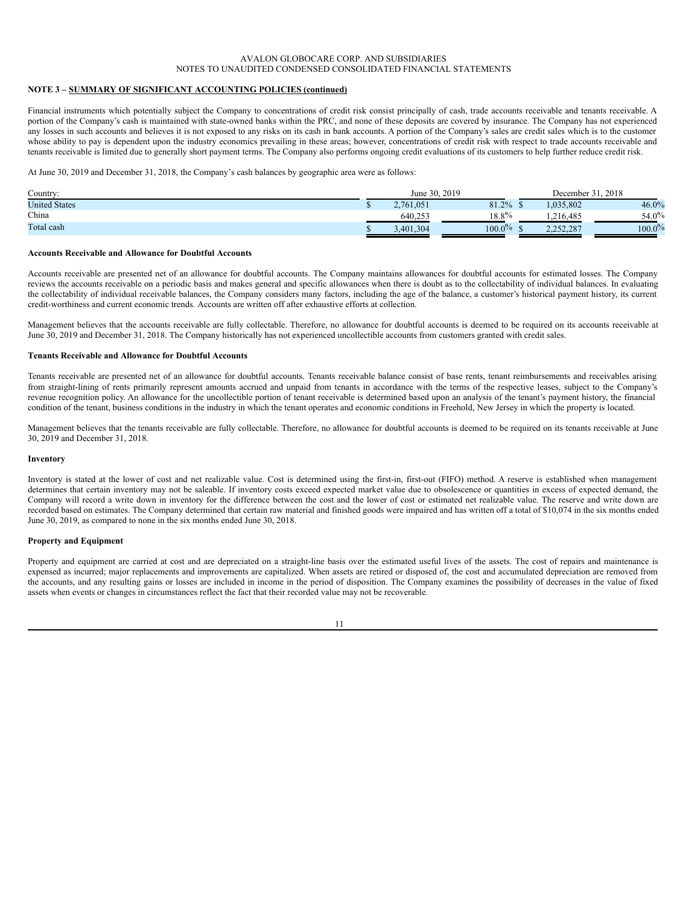# **NOTE 3 – SUMMARY OF SIGNIFICANT ACCOUNTING POLICIES (continued)**

Financial instruments which potentially subject the Company to concentrations of credit risk consist principally of cash, trade accounts receivable and tenants receivable. A portion of the Company's cash is maintained with state-owned banks within the PRC, and none of these deposits are covered by insurance. The Company has not experienced any losses in such accounts and believes it is not exposed to any risks on its cash in bank accounts. A portion of the Company's sales are credit sales which is to the customer whose ability to pay is dependent upon the industry economics prevailing in these areas; however, concentrations of credit risk with respect to trade accounts receivable and tenants receivable is limited due to generally short payment terms. The Company also performs ongoing credit evaluations of its customers to help further reduce credit risk.

At June 30, 2019 and December 31, 2018, the Company's cash balances by geographic area were as follows:

| Country:             | June 30, 2019 |           |           | 2018<br>December 31. |           |           |
|----------------------|---------------|-----------|-----------|----------------------|-----------|-----------|
| <b>United States</b> |               | 2,761,051 | 81.2%     |                      | .035,802  | 46.0%     |
| China                |               | 640,253   | 18.8%     |                      | .216.485  | 54.0%     |
| Total cash           |               | 5,401,304 | $100.0\%$ |                      | 2,252,287 | $100.0\%$ |

#### **Accounts Receivable and Allowance for Doubtful Accounts**

Accounts receivable are presented net of an allowance for doubtful accounts. The Company maintains allowances for doubtful accounts for estimated losses. The Company reviews the accounts receivable on a periodic basis and makes general and specific allowances when there is doubt as to the collectability of individual balances. In evaluating the collectability of individual receivable balances, the Company considers many factors, including the age of the balance, a customer's historical payment history, its current credit-worthiness and current economic trends. Accounts are written off after exhaustive efforts at collection.

Management believes that the accounts receivable are fully collectable. Therefore, no allowance for doubtful accounts is deemed to be required on its accounts receivable at June 30, 2019 and December 31, 2018. The Company historically has not experienced uncollectible accounts from customers granted with credit sales.

# **Tenants Receivable and Allowance for Doubtful Accounts**

Tenants receivable are presented net of an allowance for doubtful accounts. Tenants receivable balance consist of base rents, tenant reimbursements and receivables arising from straight-lining of rents primarily represent amounts accrued and unpaid from tenants in accordance with the terms of the respective leases, subject to the Company's revenue recognition policy. An allowance for the uncollectible portion of tenant receivable is determined based upon an analysis of the tenant's payment history, the financial condition of the tenant, business conditions in the industry in which the tenant operates and economic conditions in Freehold, New Jersey in which the property is located.

Management believes that the tenants receivable are fully collectable. Therefore, no allowance for doubtful accounts is deemed to be required on its tenants receivable at June 30, 2019 and December 31, 2018.

#### **Inventory**

Inventory is stated at the lower of cost and net realizable value. Cost is determined using the first-in, first-out (FIFO) method. A reserve is established when management determines that certain inventory may not be saleable. If inventory costs exceed expected market value due to obsolescence or quantities in excess of expected demand, the Company will record a write down in inventory for the difference between the cost and the lower of cost or estimated net realizable value. The reserve and write down are recorded based on estimates. The Company determined that certain raw material and finished goods were impaired and has written off a total of \$10,074 in the six months ended June 30, 2019, as compared to none in the six months ended June 30, 2018.

### **Property and Equipment**

Property and equipment are carried at cost and are depreciated on a straight-line basis over the estimated useful lives of the assets. The cost of repairs and maintenance is expensed as incurred; major replacements and improvements are capitalized. When assets are retired or disposed of, the cost and accumulated depreciation are removed from the accounts, and any resulting gains or losses are included in income in the period of disposition. The Company examines the possibility of decreases in the value of fixed assets when events or changes in circumstances reflect the fact that their recorded value may not be recoverable.

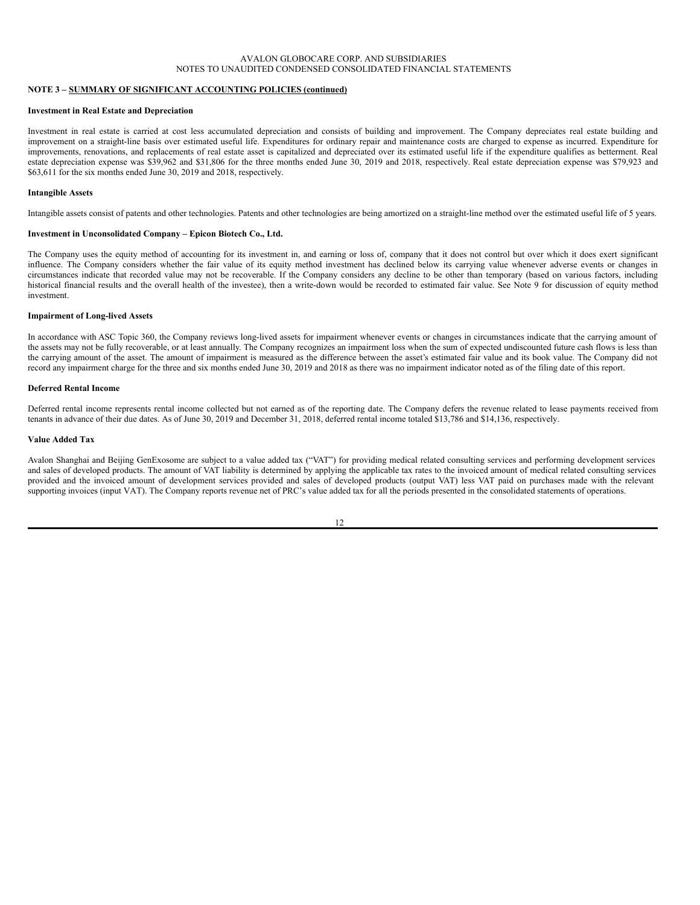# **NOTE 3 – SUMMARY OF SIGNIFICANT ACCOUNTING POLICIES (continued)**

#### **Investment in Real Estate and Depreciation**

Investment in real estate is carried at cost less accumulated depreciation and consists of building and improvement. The Company depreciates real estate building and improvement on a straight-line basis over estimated useful life. Expenditures for ordinary repair and maintenance costs are charged to expense as incurred. Expenditure for improvements, renovations, and replacements of real estate asset is capitalized and depreciated over its estimated useful life if the expenditure qualifies as betterment. Real estate depreciation expense was \$39,962 and \$31,806 for the three months ended June 30, 2019 and 2018, respectively. Real estate depreciation expense was \$79,923 and \$63,611 for the six months ended June 30, 2019 and 2018, respectively.

#### **Intangible Assets**

Intangible assets consist of patents and other technologies. Patents and other technologies are being amortized on a straight-line method over the estimated useful life of 5 years.

## **Investment in Unconsolidated Company – Epicon Biotech Co., Ltd.**

The Company uses the equity method of accounting for its investment in, and earning or loss of, company that it does not control but over which it does exert significant influence. The Company considers whether the fair value of its equity method investment has declined below its carrying value whenever adverse events or changes in circumstances indicate that recorded value may not be recoverable. If the Company considers any decline to be other than temporary (based on various factors, including historical financial results and the overall health of the investee), then a write-down would be recorded to estimated fair value. See Note 9 for discussion of equity method investment.

#### **Impairment of Long-lived Assets**

In accordance with ASC Topic 360, the Company reviews long-lived assets for impairment whenever events or changes in circumstances indicate that the carrying amount of the assets may not be fully recoverable, or at least annually. The Company recognizes an impairment loss when the sum of expected undiscounted future cash flows is less than the carrying amount of the asset. The amount of impairment is measured as the difference between the asset's estimated fair value and its book value. The Company did not record any impairment charge for the three and six months ended June 30, 2019 and 2018 as there was no impairment indicator noted as of the filing date of this report.

#### **Deferred Rental Income**

Deferred rental income represents rental income collected but not earned as of the reporting date. The Company defers the revenue related to lease payments received from tenants in advance of their due dates. As of June 30, 2019 and December 31, 2018, deferred rental income totaled \$13,786 and \$14,136, respectively.

#### **Value Added Tax**

Avalon Shanghai and Beijing GenExosome are subject to a value added tax ("VAT") for providing medical related consulting services and performing development services and sales of developed products. The amount of VAT liability is determined by applying the applicable tax rates to the invoiced amount of medical related consulting services provided and the invoiced amount of development services provided and sales of developed products (output VAT) less VAT paid on purchases made with the relevant supporting invoices (input VAT). The Company reports revenue net of PRC's value added tax for all the periods presented in the consolidated statements of operations.

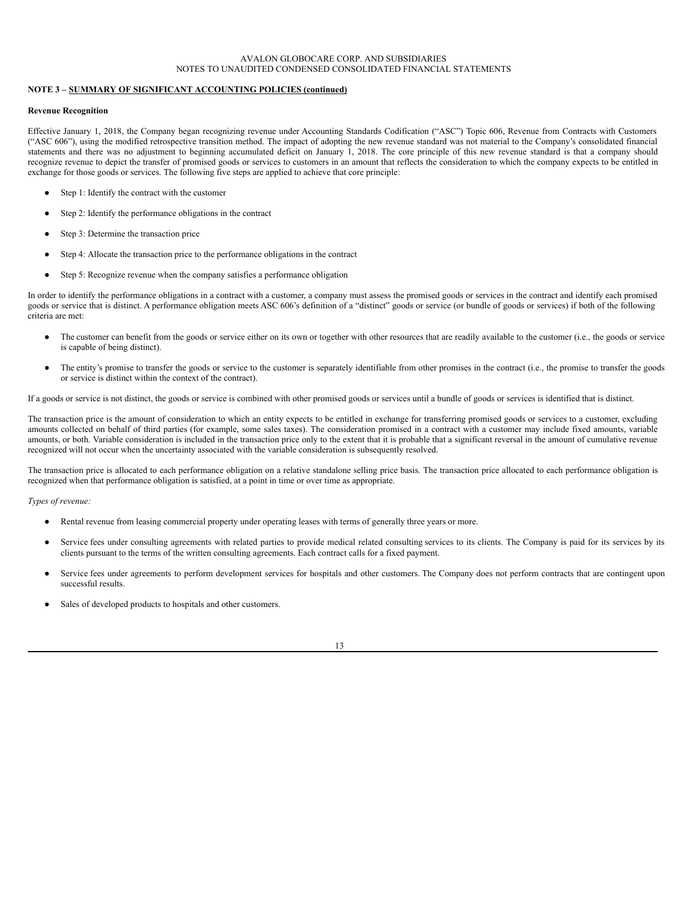# **NOTE 3 – SUMMARY OF SIGNIFICANT ACCOUNTING POLICIES (continued)**

#### **Revenue Recognition**

Effective January 1, 2018, the Company began recognizing revenue under Accounting Standards Codification ("ASC") Topic 606, Revenue from Contracts with Customers ("ASC 606"), using the modified retrospective transition method. The impact of adopting the new revenue standard was not material to the Company's consolidated financial statements and there was no adjustment to beginning accumulated deficit on January 1, 2018. The core principle of this new revenue standard is that a company should recognize revenue to depict the transfer of promised goods or services to customers in an amount that reflects the consideration to which the company expects to be entitled in exchange for those goods or services. The following five steps are applied to achieve that core principle:

- Step 1: Identify the contract with the customer
- Step 2: Identify the performance obligations in the contract
- Step 3: Determine the transaction price
- Step 4: Allocate the transaction price to the performance obligations in the contract
- Step 5: Recognize revenue when the company satisfies a performance obligation

In order to identify the performance obligations in a contract with a customer, a company must assess the promised goods or services in the contract and identify each promised goods or service that is distinct. A performance obligation meets ASC 606's definition of a "distinct" goods or service (or bundle of goods or services) if both of the following criteria are met:

- The customer can benefit from the goods or service either on its own or together with other resources that are readily available to the customer (i.e., the goods or service is capable of being distinct).
- The entity's promise to transfer the goods or service to the customer is separately identifiable from other promises in the contract (i.e., the promise to transfer the goods or service is distinct within the context of the contract).

If a goods or service is not distinct, the goods or service is combined with other promised goods or services until a bundle of goods or services is identified that is distinct.

The transaction price is the amount of consideration to which an entity expects to be entitled in exchange for transferring promised goods or services to a customer, excluding amounts collected on behalf of third parties (for example, some sales taxes). The consideration promised in a contract with a customer may include fixed amounts, variable amounts, or both. Variable consideration is included in the transaction price only to the extent that it is probable that a significant reversal in the amount of cumulative revenue recognized will not occur when the uncertainty associated with the variable consideration is subsequently resolved.

The transaction price is allocated to each performance obligation on a relative standalone selling price basis. The transaction price allocated to each performance obligation is recognized when that performance obligation is satisfied, at a point in time or over time as appropriate.

## *Types of revenue:*

- Rental revenue from leasing commercial property under operating leases with terms of generally three years or more.
- Service fees under consulting agreements with related parties to provide medical related consulting services to its clients. The Company is paid for its services by its clients pursuant to the terms of the written consulting agreements. Each contract calls for a fixed payment.
- Service fees under agreements to perform development services for hospitals and other customers. The Company does not perform contracts that are contingent upon successful results.
- Sales of developed products to hospitals and other customers.

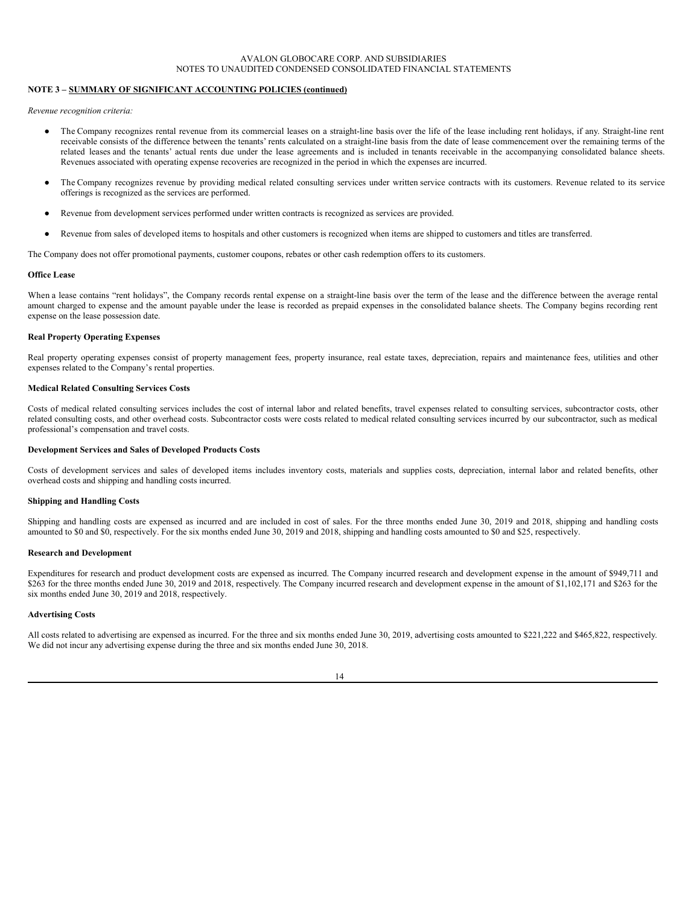## **NOTE 3 – SUMMARY OF SIGNIFICANT ACCOUNTING POLICIES (continued)**

*Revenue recognition criteria:*

- The Company recognizes rental revenue from its commercial leases on a straight-line basis over the life of the lease including rent holidays, if any. Straight-line rent receivable consists of the difference between the tenants' rents calculated on a straight-line basis from the date of lease commencement over the remaining terms of the related leases and the tenants' actual rents due under the lease agreements and is included in tenants receivable in the accompanying consolidated balance sheets. Revenues associated with operating expense recoveries are recognized in the period in which the expenses are incurred.
- The Company recognizes revenue by providing medical related consulting services under written service contracts with its customers. Revenue related to its service offerings is recognized as the services are performed.
- Revenue from development services performed under written contracts is recognized as services are provided.
- Revenue from sales of developed items to hospitals and other customers is recognized when items are shipped to customers and titles are transferred.

The Company does not offer promotional payments, customer coupons, rebates or other cash redemption offers to its customers.

#### **Office Lease**

When a lease contains "rent holidays", the Company records rental expense on a straight-line basis over the term of the lease and the difference between the average rental amount charged to expense and the amount payable under the lease is recorded as prepaid expenses in the consolidated balance sheets. The Company begins recording rent expense on the lease possession date.

#### **Real Property Operating Expenses**

Real property operating expenses consist of property management fees, property insurance, real estate taxes, depreciation, repairs and maintenance fees, utilities and other expenses related to the Company's rental properties.

#### **Medical Related Consulting Services Costs**

Costs of medical related consulting services includes the cost of internal labor and related benefits, travel expenses related to consulting services, subcontractor costs, other related consulting costs, and other overhead costs. Subcontractor costs were costs related to medical related consulting services incurred by our subcontractor, such as medical professional's compensation and travel costs.

#### **Development Services and Sales of Developed Products Costs**

Costs of development services and sales of developed items includes inventory costs, materials and supplies costs, depreciation, internal labor and related benefits, other overhead costs and shipping and handling costs incurred.

## **Shipping and Handling Costs**

Shipping and handling costs are expensed as incurred and are included in cost of sales. For the three months ended June 30, 2019 and 2018, shipping and handling costs amounted to \$0 and \$0, respectively. For the six months ended June 30, 2019 and 2018, shipping and handling costs amounted to \$0 and \$25, respectively.

#### **Research and Development**

Expenditures for research and product development costs are expensed as incurred. The Company incurred research and development expense in the amount of \$949,711 and \$263 for the three months ended June 30, 2019 and 2018, respectively. The Company incurred research and development expense in the amount of \$1,102,171 and \$263 for the six months ended June 30, 2019 and 2018, respectively.

#### **Advertising Costs**

All costs related to advertising are expensed as incurred. For the three and six months ended June 30, 2019, advertising costs amounted to \$221,222 and \$465,822, respectively. We did not incur any advertising expense during the three and six months ended June 30, 2018.

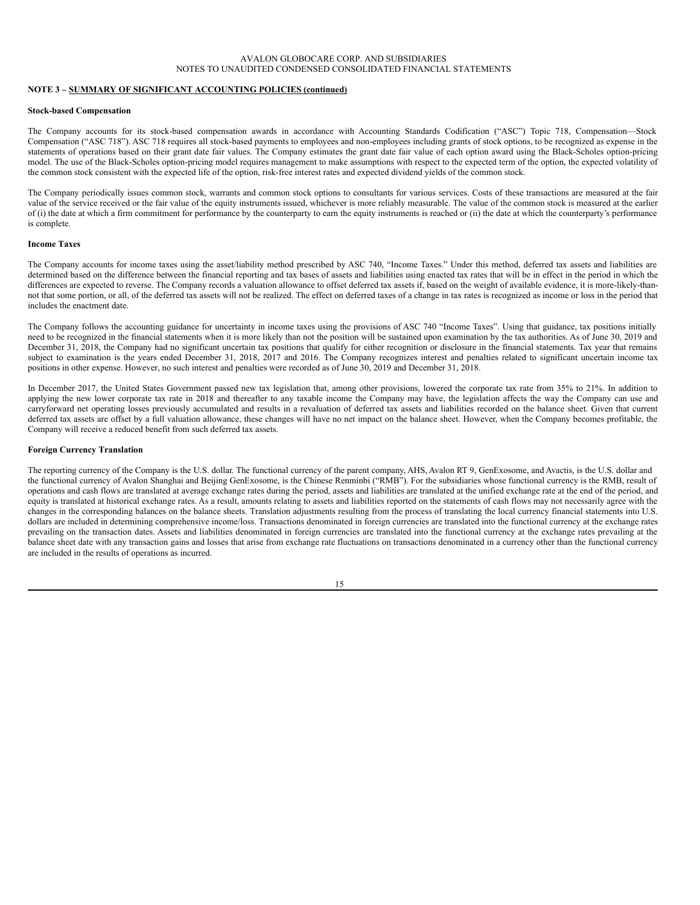## **NOTE 3 – SUMMARY OF SIGNIFICANT ACCOUNTING POLICIES (continued)**

#### **Stock-based Compensation**

The Company accounts for its stock-based compensation awards in accordance with Accounting Standards Codification ("ASC") Topic 718, Compensation—Stock Compensation ("ASC 718"). ASC 718 requires all stock-based payments to employees and non-employees including grants of stock options, to be recognized as expense in the statements of operations based on their grant date fair values. The Company estimates the grant date fair value of each option award using the Black-Scholes option-pricing model. The use of the Black-Scholes option-pricing model requires management to make assumptions with respect to the expected term of the option, the expected volatility of the common stock consistent with the expected life of the option, risk-free interest rates and expected dividend yields of the common stock.

The Company periodically issues common stock, warrants and common stock options to consultants for various services. Costs of these transactions are measured at the fair value of the service received or the fair value of the equity instruments issued, whichever is more reliably measurable. The value of the common stock is measured at the earlier of (i) the date at which a firm commitment for performance by the counterparty to earn the equity instruments is reached or (ii) the date at which the counterparty's performance is complete.

### **Income Taxes**

The Company accounts for income taxes using the asset/liability method prescribed by ASC 740, "Income Taxes." Under this method, deferred tax assets and liabilities are determined based on the difference between the financial reporting and tax bases of assets and liabilities using enacted tax rates that will be in effect in the period in which the differences are expected to reverse. The Company records a valuation allowance to offset deferred tax assets if, based on the weight of available evidence, it is more-likely-thannot that some portion, or all, of the deferred tax assets will not be realized. The effect on deferred taxes of a change in tax rates is recognized as income or loss in the period that includes the enactment date.

The Company follows the accounting guidance for uncertainty in income taxes using the provisions of ASC 740 "Income Taxes". Using that guidance, tax positions initially need to be recognized in the financial statements when it is more likely than not the position will be sustained upon examination by the tax authorities. As of June 30, 2019 and December 31, 2018, the Company had no significant uncertain tax positions that qualify for either recognition or disclosure in the financial statements. Tax year that remains subject to examination is the years ended December 31, 2018, 2017 and 2016. The Company recognizes interest and penalties related to significant uncertain income tax positions in other expense. However, no such interest and penalties were recorded as of June 30, 2019 and December 31, 2018.

In December 2017, the United States Government passed new tax legislation that, among other provisions, lowered the corporate tax rate from 35% to 21%. In addition to applying the new lower corporate tax rate in 2018 and thereafter to any taxable income the Company may have, the legislation affects the way the Company can use and carryforward net operating losses previously accumulated and results in a revaluation of deferred tax assets and liabilities recorded on the balance sheet. Given that current deferred tax assets are offset by a full valuation allowance, these changes will have no net impact on the balance sheet. However, when the Company becomes profitable, the Company will receive a reduced benefit from such deferred tax assets.

#### **Foreign Currency Translation**

The reporting currency of the Company is the U.S. dollar. The functional currency of the parent company, AHS, Avalon RT 9, GenExosome, and Avactis, is the U.S. dollar and the functional currency of Avalon Shanghai and Beijing GenExosome, is the Chinese Renminbi ("RMB"). For the subsidiaries whose functional currency is the RMB, result of operations and cash flows are translated at average exchange rates during the period, assets and liabilities are translated at the unified exchange rate at the end of the period, and equity is translated at historical exchange rates. As a result, amounts relating to assets and liabilities reported on the statements of cash flows may not necessarily agree with the changes in the corresponding balances on the balance sheets. Translation adjustments resulting from the process of translating the local currency financial statements into U.S. dollars are included in determining comprehensive income/loss. Transactions denominated in foreign currencies are translated into the functional currency at the exchange rates prevailing on the transaction dates. Assets and liabilities denominated in foreign currencies are translated into the functional currency at the exchange rates prevailing at the balance sheet date with any transaction gains and losses that arise from exchange rate fluctuations on transactions denominated in a currency other than the functional currency are included in the results of operations as incurred.

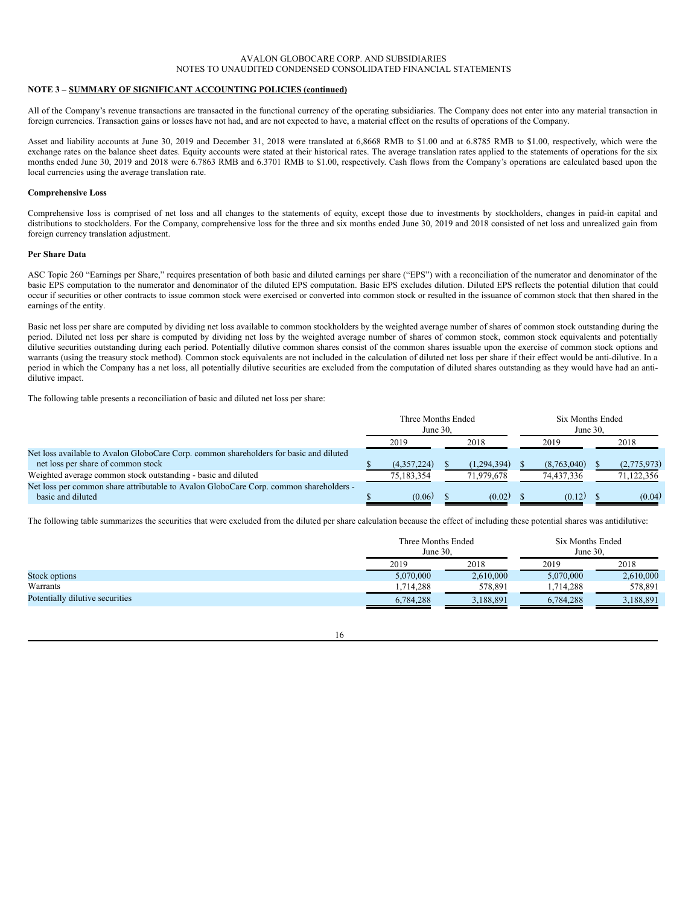## **NOTE 3 – SUMMARY OF SIGNIFICANT ACCOUNTING POLICIES (continued)**

All of the Company's revenue transactions are transacted in the functional currency of the operating subsidiaries. The Company does not enter into any material transaction in foreign currencies. Transaction gains or losses have not had, and are not expected to have, a material effect on the results of operations of the Company.

Asset and liability accounts at June 30, 2019 and December 31, 2018 were translated at 6,8668 RMB to \$1.00 and at 6.8785 RMB to \$1.00, respectively, which were the exchange rates on the balance sheet dates. Equity accounts were stated at their historical rates. The average translation rates applied to the statements of operations for the six months ended June 30, 2019 and 2018 were 6.7863 RMB and 6.3701 RMB to \$1.00, respectively. Cash flows from the Company's operations are calculated based upon the local currencies using the average translation rate.

#### **Comprehensive Loss**

Comprehensive loss is comprised of net loss and all changes to the statements of equity, except those due to investments by stockholders, changes in paid-in capital and distributions to stockholders. For the Company, comprehensive loss for the three and six months ended June 30, 2019 and 2018 consisted of net loss and unrealized gain from foreign currency translation adjustment.

#### **Per Share Data**

ASC Topic 260 "Earnings per Share," requires presentation of both basic and diluted earnings per share ("EPS") with a reconciliation of the numerator and denominator of the basic EPS computation to the numerator and denominator of the diluted EPS computation. Basic EPS excludes dilution. Diluted EPS reflects the potential dilution that could occur if securities or other contracts to issue common stock were exercised or converted into common stock or resulted in the issuance of common stock that then shared in the earnings of the entity.

Basic net loss per share are computed by dividing net loss available to common stockholders by the weighted average number of shares of common stock outstanding during the period. Diluted net loss per share is computed by dividing net loss by the weighted average number of shares of common stock, common stock equivalents and potentially dilutive securities outstanding during each period. Potentially dilutive common shares consist of the common shares issuable upon the exercise of common stock options and warrants (using the treasury stock method). Common stock equivalents are not included in the calculation of diluted net loss per share if their effect would be anti-dilutive. In a period in which the Company has a net loss, all potentially dilutive securities are excluded from the computation of diluted shares outstanding as they would have had an antidilutive impact.

The following table presents a reconciliation of basic and diluted net loss per share:

|                                                                                        | Three Months Ended |             |  |               | Six Months Ended |             |  |             |  |
|----------------------------------------------------------------------------------------|--------------------|-------------|--|---------------|------------------|-------------|--|-------------|--|
|                                                                                        |                    | June 30.    |  |               |                  | June 30.    |  |             |  |
|                                                                                        |                    | 2019        |  | 2018          |                  | 2019        |  | 2018        |  |
| Net loss available to Avalon GloboCare Corp. common shareholders for basic and diluted |                    |             |  |               |                  |             |  |             |  |
| net loss per share of common stock                                                     |                    | (4,357,224) |  | (1, 294, 394) |                  | (8,763,040) |  | (2,775,973) |  |
| Weighted average common stock outstanding - basic and diluted                          |                    | 75,183,354  |  | 71,979,678    |                  | 74,437,336  |  | 71,122,356  |  |
| Net loss per common share attributable to Avalon GloboCare Corp. common shareholders - |                    |             |  |               |                  |             |  |             |  |
| basic and diluted                                                                      |                    | (0.06)      |  | (0.02)        |                  | (0.12)      |  | (0.04)      |  |
|                                                                                        |                    |             |  |               |                  |             |  |             |  |

The following table summarizes the securities that were excluded from the diluted per share calculation because the effect of including these potential shares was antidilutive:

|                                 | Three Months Ended<br>June 30. |           | Six Months Ended<br>June 30. |           |
|---------------------------------|--------------------------------|-----------|------------------------------|-----------|
|                                 | 2019                           | 2018      | 2019                         | 2018      |
| Stock options                   | 5,070,000                      | 2,610,000 | 5,070,000                    | 2,610,000 |
| Warrants                        | .714.288                       | 578.891   | .714.288                     | 578,891   |
| Potentially dilutive securities | 6,784,288                      | 3,188,891 | 6,784,288                    | 3,188,891 |

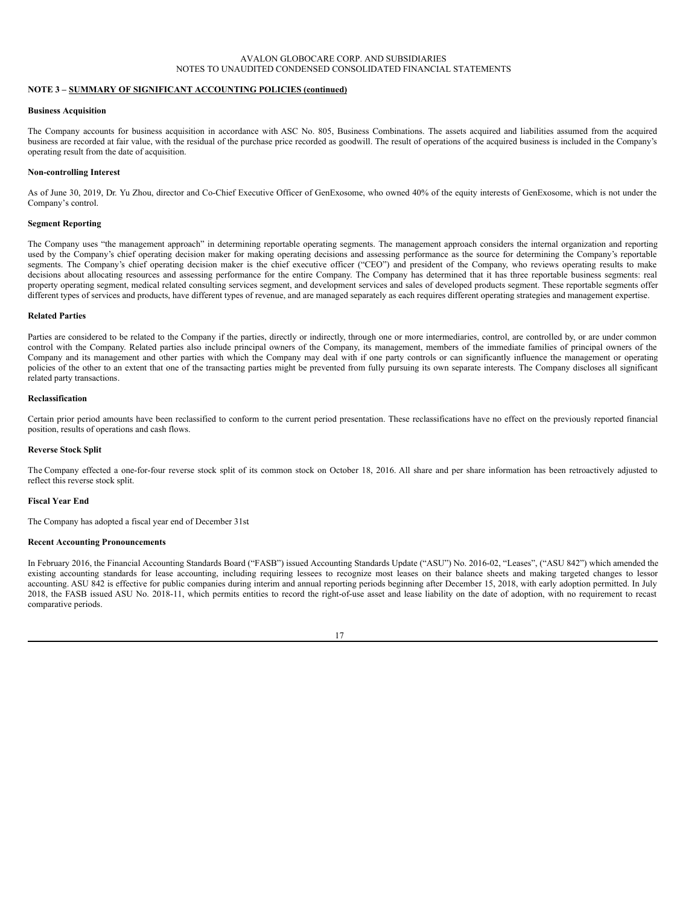# **NOTE 3 – SUMMARY OF SIGNIFICANT ACCOUNTING POLICIES (continued)**

# **Business Acquisition**

The Company accounts for business acquisition in accordance with ASC No. 805, Business Combinations. The assets acquired and liabilities assumed from the acquired business are recorded at fair value, with the residual of the purchase price recorded as goodwill. The result of operations of the acquired business is included in the Company's operating result from the date of acquisition.

## **Non-controlling Interest**

As of June 30, 2019, Dr. Yu Zhou, director and Co-Chief Executive Officer of GenExosome, who owned 40% of the equity interests of GenExosome, which is not under the Company's control.

#### **Segment Reporting**

The Company uses "the management approach" in determining reportable operating segments. The management approach considers the internal organization and reporting used by the Company's chief operating decision maker for making operating decisions and assessing performance as the source for determining the Company's reportable segments. The Company's chief operating decision maker is the chief executive officer ("CEO") and president of the Company, who reviews operating results to make decisions about allocating resources and assessing performance for the entire Company. The Company has determined that it has three reportable business segments: real property operating segment, medical related consulting services segment, and development services and sales of developed products segment. These reportable segments offer different types of services and products, have different types of revenue, and are managed separately as each requires different operating strategies and management expertise.

#### **Related Parties**

Parties are considered to be related to the Company if the parties, directly or indirectly, through one or more intermediaries, control, are controlled by, or are under common control with the Company. Related parties also include principal owners of the Company, its management, members of the immediate families of principal owners of the Company and its management and other parties with which the Company may deal with if one party controls or can significantly influence the management or operating policies of the other to an extent that one of the transacting parties might be prevented from fully pursuing its own separate interests. The Company discloses all significant related party transactions.

## **Reclassification**

Certain prior period amounts have been reclassified to conform to the current period presentation. These reclassifications have no effect on the previously reported financial position, results of operations and cash flows.

#### **Reverse Stock Split**

The Company effected a one-for-four reverse stock split of its common stock on October 18, 2016. All share and per share information has been retroactively adjusted to reflect this reverse stock split.

# **Fiscal Year End**

The Company has adopted a fiscal year end of December 31st.

#### **Recent Accounting Pronouncements**

In February 2016, the Financial Accounting Standards Board ("FASB") issued Accounting Standards Update ("ASU") No. 2016-02, "Leases", ("ASU 842") which amended the existing accounting standards for lease accounting, including requiring lessees to recognize most leases on their balance sheets and making targeted changes to lessor accounting. ASU 842 is effective for public companies during interim and annual reporting periods beginning after December 15, 2018, with early adoption permitted. In July 2018, the FASB issued ASU No. 2018-11, which permits entities to record the right-of-use asset and lease liability on the date of adoption, with no requirement to recast comparative periods.

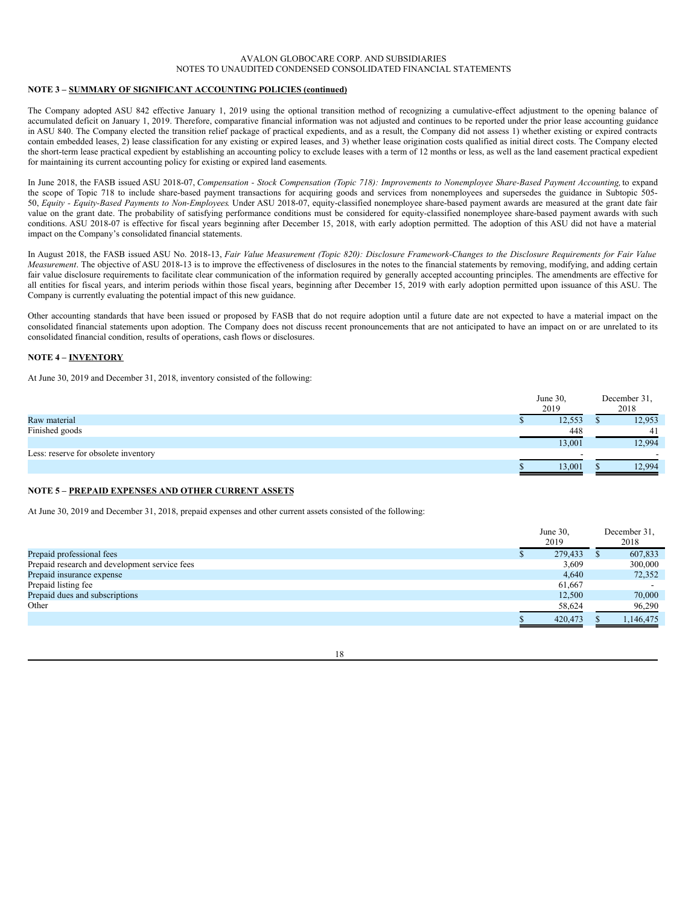# **NOTE 3 – SUMMARY OF SIGNIFICANT ACCOUNTING POLICIES (continued)**

The Company adopted ASU 842 effective January 1, 2019 using the optional transition method of recognizing a cumulative-effect adjustment to the opening balance of accumulated deficit on January 1, 2019. Therefore, comparative financial information was not adjusted and continues to be reported under the prior lease accounting guidance in ASU 840. The Company elected the transition relief package of practical expedients, and as a result, the Company did not assess 1) whether existing or expired contracts contain embedded leases, 2) lease classification for any existing or expired leases, and 3) whether lease origination costs qualified as initial direct costs. The Company elected the short-term lease practical expedient by establishing an accounting policy to exclude leases with a term of 12 months or less, as well as the land easement practical expedient for maintaining its current accounting policy for existing or expired land easements.

In June 2018, the FASB issued ASU 2018-07, Compensation - Stock Compensation (Topic 718): Improvements to Nonemployee Share-Based Payment Accounting, to expand the scope of Topic 718 to include share-based payment transactions for acquiring goods and services from nonemployees and supersedes the guidance in Subtopic 505-50, *Equity - Equity-Based Payments to Non-Employees*. Under ASU 2018-07, equity-classified nonemployee share-based payment awards are measured at the grant date fair value on the grant date. The probability of satisfying performance conditions must be considered for equity-classified nonemployee share-based payment awards with such conditions. ASU 2018-07 is effective for fiscal years beginning after December 15, 2018, with early adoption permitted. The adoption of this ASU did not have a material impact on the Company's consolidated financial statements.

In August 2018, the FASB issued ASU No. 2018-13, Fair Value Measurement (Topic 820): Disclosure Framework-Changes to the Disclosure Requirements for Fair Value *Measurement*. The objective of ASU 2018-13 is to improve the effectiveness of disclosures in the notes to the financial statements by removing, modifying, and adding certain fair value disclosure requirements to facilitate clear communication of the information required by generally accepted accounting principles. The amendments are effective for all entities for fiscal years, and interim periods within those fiscal years, beginning after December 15, 2019 with early adoption permitted upon issuance of this ASU. The Company is currently evaluating the potential impact of this new guidance.

Other accounting standards that have been issued or proposed by FASB that do not require adoption until a future date are not expected to have a material impact on the consolidated financial statements upon adoption. The Company does not discuss recent pronouncements that are not anticipated to have an impact on or are unrelated to its consolidated financial condition, results of operations, cash flows or disclosures.

# **NOTE 4 – INVENTORY**

At June 30, 2019 and December 31, 2018, inventory consisted of the following:

|                                      | June 30,<br>2019         | December 31,<br>2018 |
|--------------------------------------|--------------------------|----------------------|
| Raw material                         | 12,553                   | 12,953               |
| Finished goods                       | 448                      | -41                  |
|                                      | 13,001                   | 12,994               |
| Less: reserve for obsolete inventory | $\overline{\phantom{0}}$ |                      |
|                                      | 13,001                   | 12,994               |

# **NOTE 5 – PREPAID EXPENSES AND OTHER CURRENT ASSETS**

At June 30, 2019 and December 31, 2018, prepaid expenses and other current assets consisted of the following:

|                                               | June 30, | December 31, |
|-----------------------------------------------|----------|--------------|
|                                               | 2019     | 2018         |
| Prepaid professional fees                     | 279,433  | 607,833      |
| Prepaid research and development service fees | 3,609    | 300,000      |
| Prepaid insurance expense                     | 4.640    | 72,352       |
| Prepaid listing fee                           | 61,667   |              |
| Prepaid dues and subscriptions                | 12.500   | 70,000       |
| Other                                         | 58,624   | 96,290       |
|                                               | 420,473  | 1,146,475    |
|                                               |          |              |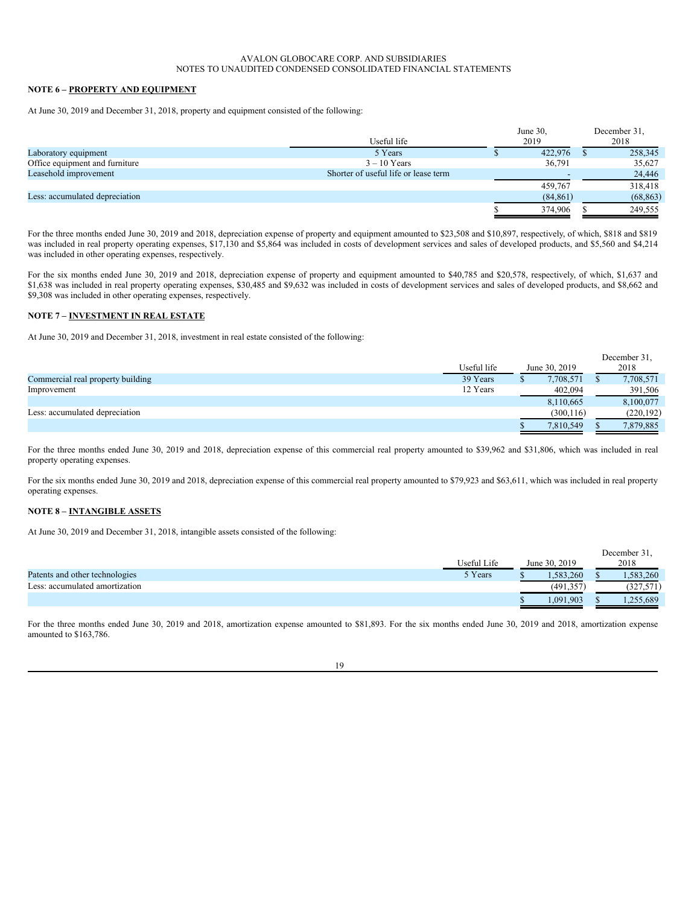# **NOTE 6 – PROPERTY AND EQUIPMENT**

At June 30, 2019 and December 31, 2018, property and equipment consisted of the following:

|                                | Useful life                          | June 30,<br>2019 |  | December 31,<br>2018 |
|--------------------------------|--------------------------------------|------------------|--|----------------------|
| Laboratory equipment           | 5 Years                              | 422,976          |  | 258,345              |
| Office equipment and furniture | $3 - 10$ Years                       | 36,791           |  | 35,627               |
| Leasehold improvement          | Shorter of useful life or lease term |                  |  | 24,446               |
|                                |                                      | 459,767          |  | 318,418              |
| Less: accumulated depreciation |                                      | (84, 861)        |  | (68, 863)            |
|                                |                                      | 374,906          |  | 249,555              |

For the three months ended June 30, 2019 and 2018, depreciation expense of property and equipment amounted to \$23,508 and \$10,897, respectively, of which, \$818 and \$819 was included in real property operating expenses, \$17,130 and \$5,864 was included in costs of development services and sales of developed products, and \$5,560 and \$4,214 was included in other operating expenses, respectively.

For the six months ended June 30, 2019 and 2018, depreciation expense of property and equipment amounted to \$40,785 and \$20,578, respectively, of which, \$1,637 and \$1,638 was included in real property operating expenses, \$30,485 and \$9,632 was included in costs of development services and sales of developed products, and \$8,662 and \$9,308 was included in other operating expenses, respectively.

# **NOTE 7 – INVESTMENT IN REAL ESTATE**

At June 30, 2019 and December 31, 2018, investment in real estate consisted of the following:

|                                   |             |               |            | December 31, |
|-----------------------------------|-------------|---------------|------------|--------------|
|                                   | Useful life | June 30, 2019 |            | 2018         |
| Commercial real property building | 39 Years    | Φ             | 7,708,571  | 7,708,571    |
| Improvement                       | 12 Years    |               | 402,094    | 391,506      |
|                                   |             |               | 8,110,665  | 8,100,077    |
| Less: accumulated depreciation    |             |               | (300, 116) | (220, 192)   |
|                                   |             |               | 7,810,549  | 7,879,885    |

For the three months ended June 30, 2019 and 2018, depreciation expense of this commercial real property amounted to \$39,962 and \$31,806, which was included in real property operating expenses.

For the six months ended June 30, 2019 and 2018, depreciation expense of this commercial real property amounted to \$79,923 and \$63,611, which was included in real property operating expenses.

## **NOTE 8 – INTANGIBLE ASSETS**

At June 30, 2019 and December 31, 2018, intangible assets consisted of the following:

|                                |             |               | December 31. |
|--------------------------------|-------------|---------------|--------------|
|                                | Useful Life | June 30, 2019 | 2018         |
| Patents and other technologies | 5 Years     | .583.260      | .583,260     |
| Less: accumulated amortization |             | (491, 357)    | (327,571)    |
|                                |             | 1,091,903     | .,255,689    |

For the three months ended June 30, 2019 and 2018, amortization expense amounted to \$81,893. For the six months ended June 30, 2019 and 2018, amortization expense amounted to \$163,786.

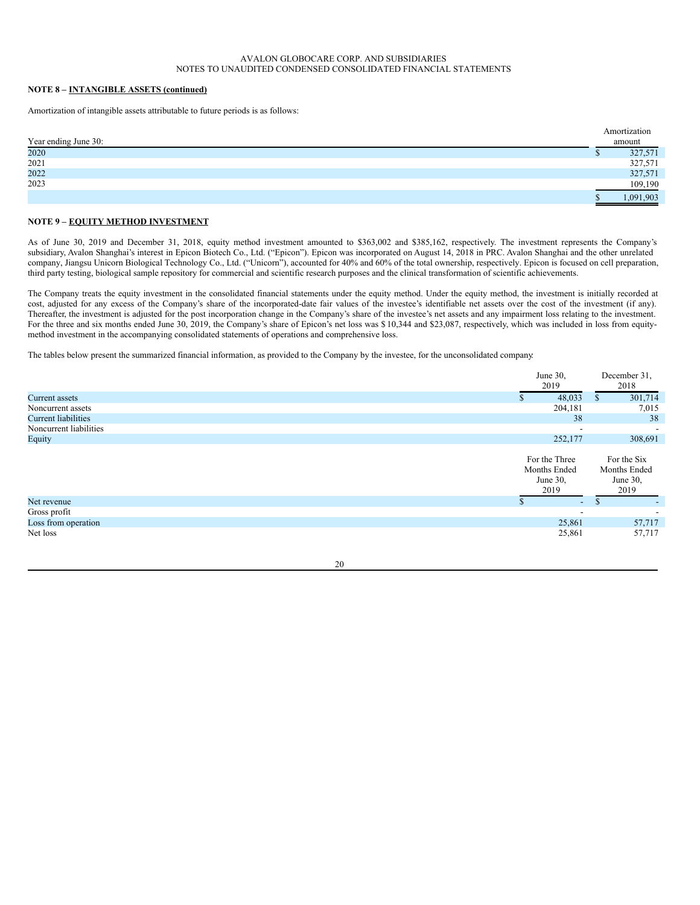## **NOTE 8 – INTANGIBLE ASSETS (continued)**

Amortization of intangible assets attributable to future periods is as follows:

|                      |  | Amortization |
|----------------------|--|--------------|
| Year ending June 30: |  | amount       |
| 2020                 |  | 327,571      |
| 2021<br>2022         |  | 327,571      |
|                      |  | 327,571      |
| 2023                 |  | 109,190      |
|                      |  | 1,091,903    |

# **NOTE 9 – EQUITY METHOD INVESTMENT**

As of June 30, 2019 and December 31, 2018, equity method investment amounted to \$363,002 and \$385,162, respectively. The investment represents the Company's subsidiary, Avalon Shanghai's interest in Epicon Biotech Co., Ltd. ("Epicon"). Epicon was incorporated on August 14, 2018 in PRC. Avalon Shanghai and the other unrelated company, Jiangsu Unicorn Biological Technology Co., Ltd. ("Unicorn"), accounted for 40% and 60% of the total ownership, respectively. Epicon is focused on cell preparation, third party testing, biological sample repository for commercial and scientific research purposes and the clinical transformation of scientific achievements.

The Company treats the equity investment in the consolidated financial statements under the equity method. Under the equity method, the investment is initially recorded at cost, adjusted for any excess of the Company's share of the incorporated-date fair values of the investee's identifiable net assets over the cost of the investment (if any). Thereafter, the investment is adjusted for the post incorporation change in the Company's share of the investee's net assets and any impairment loss relating to the investment. For the three and six months ended June 30, 2019, the Company's share of Epicon's net loss was \$ 10,344 and \$23,087, respectively, which was included in loss from equitymethod investment in the accompanying consolidated statements of operations and comprehensive loss.

The tables below present the summarized financial information, as provided to the Company by the investee, for the unconsolidated company:

|                            |    | June 30,<br>2019                                  |    | December 31,<br>2018                            |
|----------------------------|----|---------------------------------------------------|----|-------------------------------------------------|
| Current assets             | S. | 48,033                                            | S  | 301,714                                         |
| Noncurrent assets          |    | 204,181                                           |    | 7,015                                           |
| <b>Current liabilities</b> |    | 38                                                |    | 38                                              |
| Noncurrent liabilities     |    | $\blacksquare$                                    |    | $\overline{\phantom{a}}$                        |
| Equity                     |    | 252,177                                           |    | 308,691                                         |
|                            |    | For the Three<br>Months Ended<br>June 30,<br>2019 |    | For the Six<br>Months Ended<br>June 30,<br>2019 |
| Net revenue                | ъ  | $\sim$                                            | -S |                                                 |
| Gross profit               |    | $\overline{\phantom{a}}$                          |    | $\overline{\phantom{a}}$                        |
| Loss from operation        |    | 25,861                                            |    | 57,717                                          |
| Net loss                   |    | 25,861                                            |    | 57,717                                          |

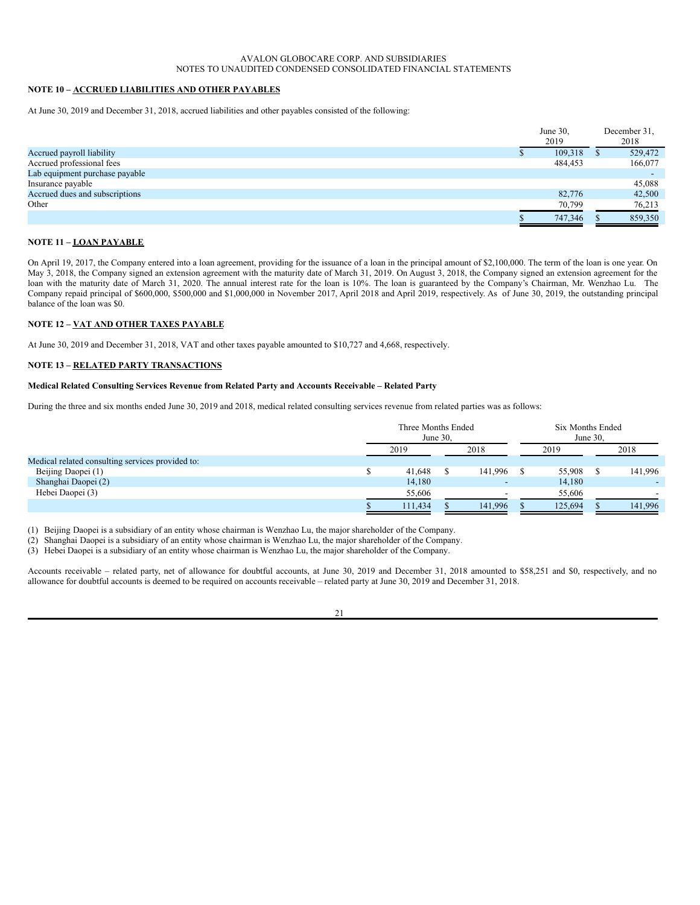# **NOTE 10 – ACCRUED LIABILITIES AND OTHER PAYABLES**

At June 30, 2019 and December 31, 2018, accrued liabilities and other payables consisted of the following:

|                                | June 30,<br>2019 | December 31,<br>2018 |
|--------------------------------|------------------|----------------------|
| Accrued payroll liability      | 109,318          | 529,472              |
| Accrued professional fees      | 484,453          | 166,077              |
| Lab equipment purchase payable |                  |                      |
| Insurance payable              |                  | 45,088               |
| Accrued dues and subscriptions | 82,776           | 42,500               |
| Other                          | 70,799           | 76,213               |
|                                | 747,346          | 859,350              |

# **NOTE 11 – LOAN PAYABLE**

On April 19, 2017, the Company entered into a loan agreement, providing for the issuance of a loan in the principal amount of \$2,100,000. The term of the loan is one year. On May 3, 2018, the Company signed an extension agreement with the maturity date of March 31, 2019. On August 3, 2018, the Company signed an extension agreement for the loan with the maturity date of March 31, 2020. The annual interest rate for the loan is 10%. The loan is guaranteed by the Company's Chairman, Mr. Wenzhao Lu. The Company repaid principal of \$600,000, \$500,000 and \$1,000,000 in November 2017, April 2018 and April 2019, respectively. As of June 30, 2019, the outstanding principal balance of the loan was \$0.

# **NOTE 12 – VAT AND OTHER TAXES PAYABLE**

At June 30, 2019 and December 31, 2018, VAT and other taxes payable amounted to \$10,727 and 4,668, respectively.

## **NOTE 13 – RELATED PARTY TRANSACTIONS**

#### **Medical Related Consulting Services Revenue from Related Party and Accounts Receivable – Related Party**

During the three and six months ended June 30, 2019 and 2018, medical related consulting services revenue from related parties was as follows:

|                                                  | Three Months Ended<br>June 30, |  | Six Months Ended<br>June 30, |      |         |      |         |
|--------------------------------------------------|--------------------------------|--|------------------------------|------|---------|------|---------|
|                                                  | 2019<br>2018                   |  |                              | 2019 |         | 2018 |         |
| Medical related consulting services provided to: |                                |  |                              |      |         |      |         |
| Beijing Daopei (1)                               | 41,648                         |  | 141.996                      |      | 55,908  |      | 141,996 |
| Shanghai Daopei (2)                              | 14,180                         |  | $\overline{\phantom{a}}$     |      | 14,180  |      |         |
| Hebei Daopei (3)                                 | 55,606                         |  |                              |      | 55,606  |      |         |
|                                                  | 111,434                        |  | 141,996                      |      | 125,694 |      | 141,996 |

(1) Beijing Daopei is a subsidiary of an entity whose chairman is Wenzhao Lu, the major shareholder of the Company.

(2) Shanghai Daopei is a subsidiary of an entity whose chairman is Wenzhao Lu, the major shareholder of the Company.

(3) Hebei Daopei is a subsidiary of an entity whose chairman is Wenzhao Lu, the major shareholder of the Company.

Accounts receivable – related party, net of allowance for doubtful accounts, at June 30, 2019 and December 31, 2018 amounted to \$58,251 and \$0, respectively, and no allowance for doubtful accounts is deemed to be required on accounts receivable – related party at June 30, 2019 and December 31, 2018.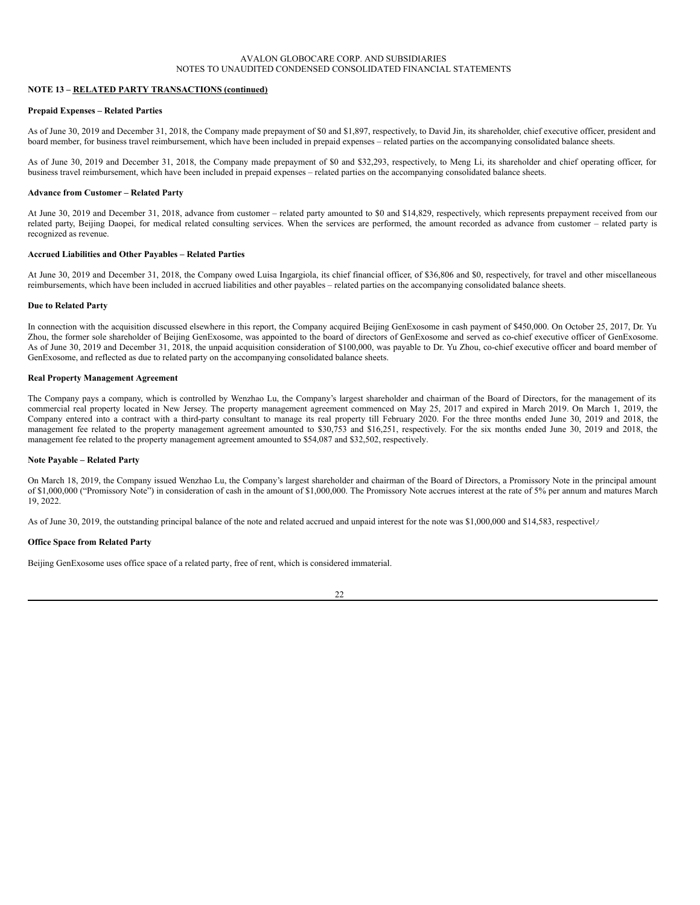## **NOTE 13 – RELATED PARTY TRANSACTIONS (continued)**

## **Prepaid Expenses – Related Parties**

As of June 30, 2019 and December 31, 2018, the Company made prepayment of \$0 and \$1,897, respectively, to David Jin, its shareholder, chief executive officer, president and board member, for business travel reimbursement, which have been included in prepaid expenses – related parties on the accompanying consolidated balance sheets.

As of June 30, 2019 and December 31, 2018, the Company made prepayment of \$0 and \$32,293, respectively, to Meng Li, its shareholder and chief operating officer, for business travel reimbursement, which have been included in prepaid expenses – related parties on the accompanying consolidated balance sheets.

#### **Advance from Customer – Related Party**

At June 30, 2019 and December 31, 2018, advance from customer – related party amounted to \$0 and \$14,829, respectively, which represents prepayment received from our related party, Beijing Daopei, for medical related consulting services. When the services are performed, the amount recorded as advance from customer – related party is recognized as revenue.

#### **Accrued Liabilities and Other Payables – Related Parties**

At June 30, 2019 and December 31, 2018, the Company owed Luisa Ingargiola, its chief financial officer, of \$36,806 and \$0, respectively, for travel and other miscellaneous reimbursements, which have been included in accrued liabilities and other payables – related parties on the accompanying consolidated balance sheets.

#### **Due to Related Party**

In connection with the acquisition discussed elsewhere in this report, the Company acquired Beijing GenExosome in cash payment of \$450,000. On October 25, 2017, Dr. Yu Zhou, the former sole shareholder of Beijing GenExosome, was appointed to the board of directors of GenExosome and served as co-chief executive officer of GenExosome. As of June 30, 2019 and December 31, 2018, the unpaid acquisition consideration of \$100,000, was payable to Dr. Yu Zhou, co-chief executive officer and board member of GenExosome, and reflected as due to related party on the accompanying consolidated balance sheets.

## **Real Property Management Agreement**

The Company pays a company, which is controlled by Wenzhao Lu, the Company's largest shareholder and chairman of the Board of Directors, for the management of its commercial real property located in New Jersey. The property management agreement commenced on May 25, 2017 and expired in March 2019. On March 1, 2019, the Company entered into a contract with a third-party consultant to manage its real property till February 2020. For the three months ended June 30, 2019 and 2018, the management fee related to the property management agreement amounted to \$30,753 and \$16,251, respectively. For the six months ended June 30, 2019 and 2018, the management fee related to the property management agreement amounted to \$54,087 and \$32,502, respectively.

## **Note Payable – Related Party**

On March 18, 2019, the Company issued Wenzhao Lu, the Company's largest shareholder and chairman of the Board of Directors, a Promissory Note in the principal amount of \$1,000,000 ("Promissory Note") in consideration of cash in the amount of \$1,000,000. The Promissory Note accrues interest at the rate of 5% per annum and matures March 19, 2022.

As of June 30, 2019, the outstanding principal balance of the note and related accrued and unpaid interest for the note was \$1,000,000 and \$14,583, respectively.

## **Office Space from Related Party**

Beijing GenExosome uses office space of a related party, free of rent, which is considered immaterial.

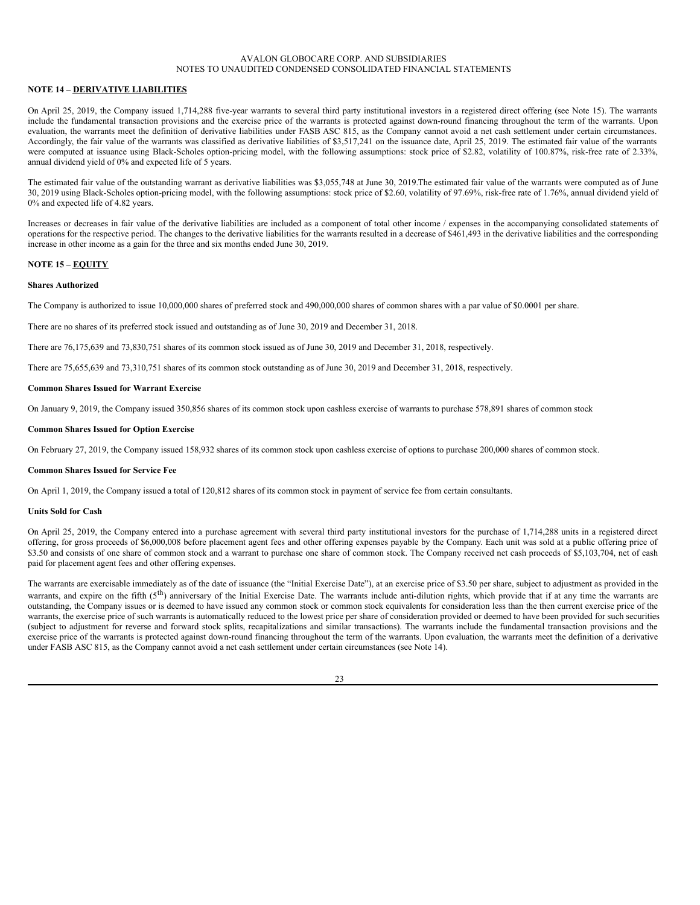## **NOTE 14 – DERIVATIVE LIABILITIES**

On April 25, 2019, the Company issued 1,714,288 five-year warrants to several third party institutional investors in a registered direct offering (see Note 15). The warrants include the fundamental transaction provisions and the exercise price of the warrants is protected against down-round financing throughout the term of the warrants. Upon evaluation, the warrants meet the definition of derivative liabilities under FASB ASC 815, as the Company cannot avoid a net cash settlement under certain circumstances. Accordingly, the fair value of the warrants was classified as derivative liabilities of \$3,517,241 on the issuance date, April 25, 2019. The estimated fair value of the warrants were computed at issuance using Black-Scholes option-pricing model, with the following assumptions: stock price of \$2.82, volatility of 100.87%, risk-free rate of 2.33%, annual dividend yield of 0% and expected life of 5 years.

The estimated fair value of the outstanding warrant as derivative liabilities was \$3,055,748 at June 30, 2019.The estimated fair value of the warrants were computed as of June 30, 2019 using Black-Scholes option-pricing model, with the following assumptions: stock price of \$2.60, volatility of 97.69%, risk-free rate of 1.76%, annual dividend yield of 0% and expected life of 4.82 years.

Increases or decreases in fair value of the derivative liabilities are included as a component of total other income / expenses in the accompanying consolidated statements of operations for the respective period. The changes to the derivative liabilities for the warrants resulted in a decrease of \$461,493 in the derivative liabilities and the corresponding increase in other income as a gain for the three and six months ended June 30, 2019.

# **NOTE 15 – EQUITY**

#### **Shares Authorized**

The Company is authorized to issue 10,000,000 shares of preferred stock and 490,000,000 shares of common shares with a par value of \$0.0001 per share.

There are no shares of its preferred stock issued and outstanding as of June 30, 2019 and December 31, 2018.

There are 76,175,639 and 73,830,751 shares of its common stock issued as of June 30, 2019 and December 31, 2018, respectively.

There are 75,655,639 and 73,310,751 shares of its common stock outstanding as of June 30, 2019 and December 31, 2018, respectively.

#### **Common Shares Issued for Warrant Exercise**

On January 9, 2019, the Company issued 350,856 shares of its common stock upon cashless exercise of warrants to purchase 578,891 shares of common stock

#### **Common Shares Issued for Option Exercise**

On February 27, 2019, the Company issued 158,932 shares of its common stock upon cashless exercise of options to purchase 200,000 shares of common stock.

### **Common Shares Issued for Service Fee**

On April 1, 2019, the Company issued a total of 120,812 shares of its common stock in payment of service fee from certain consultants.

## **Units Sold for Cash**

On April 25, 2019, the Company entered into a purchase agreement with several third party institutional investors for the purchase of 1,714,288 units in a registered direct offering, for gross proceeds of \$6,000,008 before placement agent fees and other offering expenses payable by the Company. Each unit was sold at a public offering price of \$3.50 and consists of one share of common stock and a warrant to purchase one share of common stock. The Company received net cash proceeds of \$5,103,704, net of cash paid for placement agent fees and other offering expenses.

The warrants are exercisable immediately as of the date of issuance (the "Initial Exercise Date"), at an exercise price of \$3.50 per share, subject to adjustment as provided in the warrants, and expire on the fifth  $(5<sup>th</sup>)$  anniversary of the Initial Exercise Date. The warrants include anti-dilution rights, which provide that if at any time the warrants are outstanding, the Company issues or is deemed to have issued any common stock or common stock equivalents for consideration less than the then current exercise price of the warrants, the exercise price of such warrants is automatically reduced to the lowest price per share of consideration provided or deemed to have been provided for such securities (subject to adjustment for reverse and forward stock splits, recapitalizations and similar transactions). The warrants include the fundamental transaction provisions and the exercise price of the warrants is protected against down-round financing throughout the term of the warrants. Upon evaluation, the warrants meet the definition of a derivative under FASB ASC 815, as the Company cannot avoid a net cash settlement under certain circumstances (see Note 14).

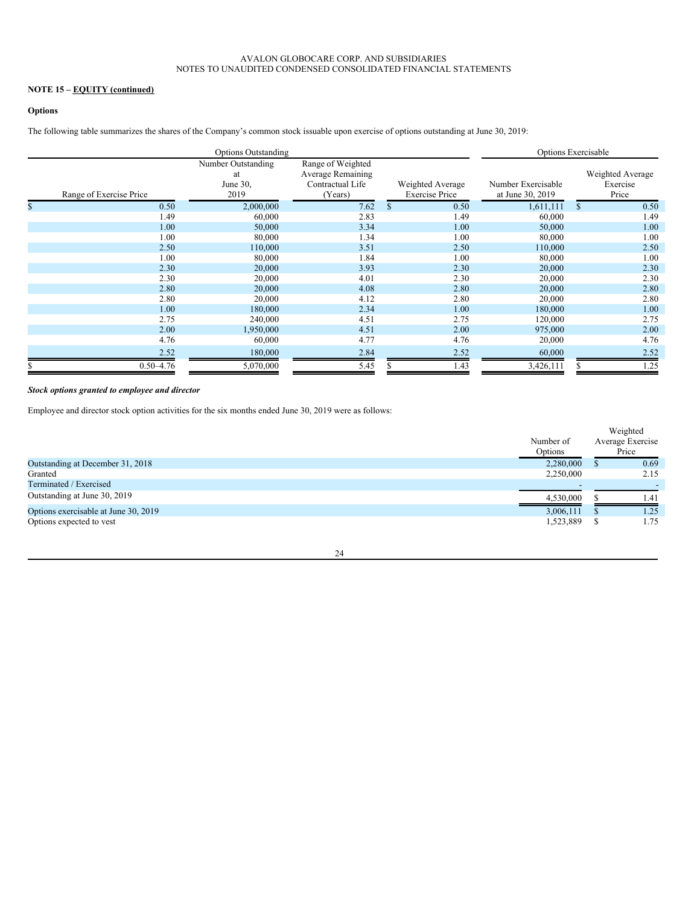# **NOTE 15 – EQUITY (continued)**

# **Options**

The following table summarizes the shares of the Company's common stock issuable upon exercise of options outstanding at June 30, 2019:

|              |                         | <b>Options Outstanding</b>                   |                                                                              |     |                                           | Options Exercisable                    |                                       |
|--------------|-------------------------|----------------------------------------------|------------------------------------------------------------------------------|-----|-------------------------------------------|----------------------------------------|---------------------------------------|
|              | Range of Exercise Price | Number Outstanding<br>at<br>June 30,<br>2019 | Range of Weighted<br><b>Average Remaining</b><br>Contractual Life<br>(Years) |     | Weighted Average<br><b>Exercise Price</b> | Number Exercisable<br>at June 30, 2019 | Weighted Average<br>Exercise<br>Price |
| $\mathbb{S}$ | 0.50                    | 2,000,000                                    | 7.62                                                                         | \$. | 0.50                                      | 1,611,111                              | \$<br>0.50                            |
|              | 1.49                    | 60,000                                       | 2.83                                                                         |     | 1.49                                      | 60,000                                 | 1.49                                  |
|              | 1.00                    | 50,000                                       | 3.34                                                                         |     | 1.00                                      | 50,000                                 | 1.00                                  |
|              | 1.00                    | 80,000                                       | 1.34                                                                         |     | 1.00                                      | 80,000                                 | 1.00                                  |
|              | 2.50                    | 110,000                                      | 3.51                                                                         |     | 2.50                                      | 110,000                                | 2.50                                  |
|              | 1.00                    | 80,000                                       | 1.84                                                                         |     | 1.00                                      | 80,000                                 | 1.00                                  |
|              | 2.30                    | 20,000                                       | 3.93                                                                         |     | 2.30                                      | 20,000                                 | 2.30                                  |
|              | 2.30                    | 20,000                                       | 4.01                                                                         |     | 2.30                                      | 20,000                                 | 2.30                                  |
|              | 2.80                    | 20,000                                       | 4.08                                                                         |     | 2.80                                      | 20,000                                 | 2.80                                  |
|              | 2.80                    | 20,000                                       | 4.12                                                                         |     | 2.80                                      | 20,000                                 | 2.80                                  |
|              | 1.00                    | 180,000                                      | 2.34                                                                         |     | 1.00                                      | 180,000                                | 1.00                                  |
|              | 2.75                    | 240,000                                      | 4.51                                                                         |     | 2.75                                      | 120,000                                | 2.75                                  |
|              | 2.00                    | 1,950,000                                    | 4.51                                                                         |     | 2.00                                      | 975,000                                | 2.00                                  |
|              | 4.76                    | 60,000                                       | 4.77                                                                         |     | 4.76                                      | 20,000                                 | 4.76                                  |
|              | 2.52                    | 180,000                                      | 2.84                                                                         |     | 2.52                                      | 60,000                                 | 2.52                                  |
|              | $0.50 - 4.76$           | 5,070,000                                    | 5.45                                                                         |     | 1.43                                      | 3,426,111                              | 1.25                                  |

# *Stock options granted to employee and director*

Employee and director stock option activities for the six months ended June 30, 2019 were as follows:

|                                      |           | Weighted                 |
|--------------------------------------|-----------|--------------------------|
|                                      | Number of | Average Exercise         |
|                                      | Options   | Price                    |
| Outstanding at December 31, 2018     | 2,280,000 | 0.69                     |
| Granted                              | 2,250,000 | 2.15                     |
| Terminated / Exercised               |           | $\overline{\phantom{a}}$ |
| Outstanding at June 30, 2019         | 4,530,000 | 1.41                     |
| Options exercisable at June 30, 2019 | 3.006.111 | 1.25                     |
| Options expected to vest             | 1,523,889 | 1.75                     |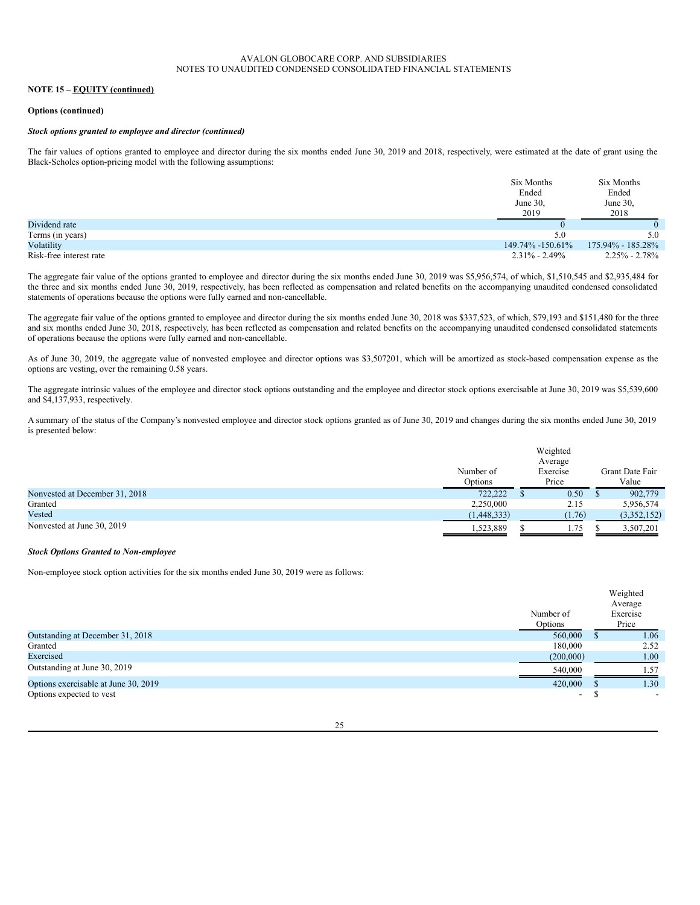# **NOTE 15 – EQUITY (continued)**

#### **Options (continued)**

### *Stock options granted to employee and director (continued)*

The fair values of options granted to employee and director during the six months ended June 30, 2019 and 2018, respectively, were estimated at the date of grant using the Black-Scholes option-pricing model with the following assumptions:

|                         | Six Months        | Six Months        |
|-------------------------|-------------------|-------------------|
|                         | Ended             | Ended             |
|                         | June 30,          | June 30,          |
|                         | 2019              | 2018              |
| Dividend rate           |                   | 0                 |
| Terms (in years)        | 5.0               | 5.0               |
| Volatility              | 149.74% -150.61%  | 175.94% - 185.28% |
| Risk-free interest rate | $2.31\% - 2.49\%$ | $2.25\% - 2.78\%$ |

The aggregate fair value of the options granted to employee and director during the six months ended June 30, 2019 was \$5,956,574, of which, \$1,510,545 and \$2,935,484 for the three and six months ended June 30, 2019, respectively, has been reflected as compensation and related benefits on the accompanying unaudited condensed consolidated statements of operations because the options were fully earned and non-cancellable.

The aggregate fair value of the options granted to employee and director during the six months ended June 30, 2018 was \$337,523, of which, \$79,193 and \$151,480 for the three and six months ended June 30, 2018, respectively, has been reflected as compensation and related benefits on the accompanying unaudited condensed consolidated statements of operations because the options were fully earned and non-cancellable.

As of June 30, 2019, the aggregate value of nonvested employee and director options was \$3,507201, which will be amortized as stock-based compensation expense as the options are vesting, over the remaining 0.58 years.

The aggregate intrinsic values of the employee and director stock options outstanding and the employee and director stock options exercisable at June 30, 2019 was \$5,539,600 and \$4,137,933, respectively.

A summary of the status of the Company's nonvested employee and director stock options granted as of June 30, 2019 and changes during the six months ended June 30, 2019 is presented below:

|                                |                      | Weighted<br>Average |                          |
|--------------------------------|----------------------|---------------------|--------------------------|
|                                | Number of<br>Options | Exercise<br>Price   | Grant Date Fair<br>Value |
| Nonvested at December 31, 2018 | 722,222              | 0.50                | 902,779                  |
| Granted                        | 2,250,000            | 2.15                | 5,956,574                |
| Vested                         | (1,448,333)          | (1.76)              | (3,352,152)              |
| Nonvested at June 30, 2019     | 1,523,889            | 1.75                | 3,507,201                |

## *Stock Options Granted to Non-employee*

Non-employee stock option activities for the six months ended June 30, 2019 were as follows:

|                                      | Number of<br>Options     | Weighted<br>Average<br>Exercise<br>Price |
|--------------------------------------|--------------------------|------------------------------------------|
| Outstanding at December 31, 2018     | 560,000                  | 1.06                                     |
| Granted                              | 180,000                  | 2.52                                     |
| Exercised                            | (200,000)                | 1.00                                     |
| Outstanding at June 30, 2019         | 540,000                  | 1.57                                     |
| Options exercisable at June 30, 2019 | 420,000                  | 1.30                                     |
| Options expected to vest             | $\overline{\phantom{a}}$ |                                          |

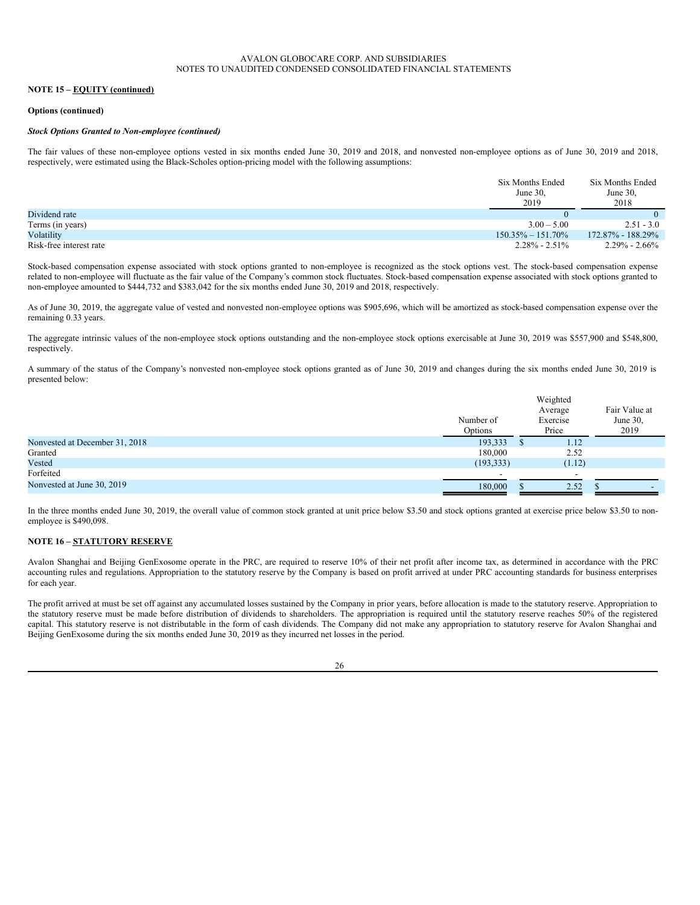# **NOTE 15 – EQUITY (continued)**

## **Options (continued)**

## *Stock Options Granted to Non-employee (continued)*

The fair values of these non-employee options vested in six months ended June 30, 2019 and 2018, and nonvested non-employee options as of June 30, 2019 and 2018, respectively, were estimated using the Black-Scholes option-pricing model with the following assumptions:

|                         | Six Months Ended<br>June 30,<br>2019 | Six Months Ended<br>June 30,<br>2018 |
|-------------------------|--------------------------------------|--------------------------------------|
| Dividend rate           |                                      |                                      |
| Terms (in years)        | $3.00 - 5.00$                        | $2.51 - 3.0$                         |
| Volatility              | $150.35\% - 151.70\%$                | 172.87% - 188.29%                    |
| Risk-free interest rate | $2.28\% - 2.51\%$                    | $2.29\% - 2.66\%$                    |

Stock-based compensation expense associated with stock options granted to non-employee is recognized as the stock options vest. The stock-based compensation expense related to non-employee will fluctuate as the fair value of the Company's common stock fluctuates. Stock-based compensation expense associated with stock options granted to non-employee amounted to \$444,732 and \$383,042 for the six months ended June 30, 2019 and 2018, respectively.

As of June 30, 2019, the aggregate value of vested and nonvested non-employee options was \$905,696, which will be amortized as stock-based compensation expense over the remaining 0.33 years.

The aggregate intrinsic values of the non-employee stock options outstanding and the non-employee stock options exercisable at June 30, 2019 was \$557,900 and \$548,800, respectively.

A summary of the status of the Company's nonvested non-employee stock options granted as of June 30, 2019 and changes during the six months ended June 30, 2019 is presented below:

|                                | Number of<br>Options |   | Weighted<br>Average<br>Exercise<br>Price | Fair Value at<br>June $30$ ,<br>2019 |
|--------------------------------|----------------------|---|------------------------------------------|--------------------------------------|
| Nonvested at December 31, 2018 | 193,333              | S | 1.12                                     |                                      |
| Granted                        | 180,000              |   | 2.52                                     |                                      |
| Vested                         | (193, 333)           |   | (1.12)                                   |                                      |
| Forfeited                      |                      |   | -                                        |                                      |
| Nonvested at June 30, 2019     | 180,000              |   | 2.52                                     |                                      |

In the three months ended June 30, 2019, the overall value of common stock granted at unit price below \$3.50 and stock options granted at exercise price below \$3.50 to nonemployee is \$490,098.

## **NOTE 16 – STATUTORY RESERVE**

Avalon Shanghai and Beijing GenExosome operate in the PRC, are required to reserve 10% of their net profit after income tax, as determined in accordance with the PRC accounting rules and regulations. Appropriation to the statutory reserve by the Company is based on profit arrived at under PRC accounting standards for business enterprises for each year.

The profit arrived at must be set off against any accumulated losses sustained by the Company in prior years, before allocation is made to the statutory reserve. Appropriation to the statutory reserve must be made before distribution of dividends to shareholders. The appropriation is required until the statutory reserve reaches 50% of the registered capital. This statutory reserve is not distributable in the form of cash dividends. The Company did not make any appropriation to statutory reserve for Avalon Shanghai and Beijing GenExosome during the six months ended June 30, 2019 as they incurred net losses in the period.

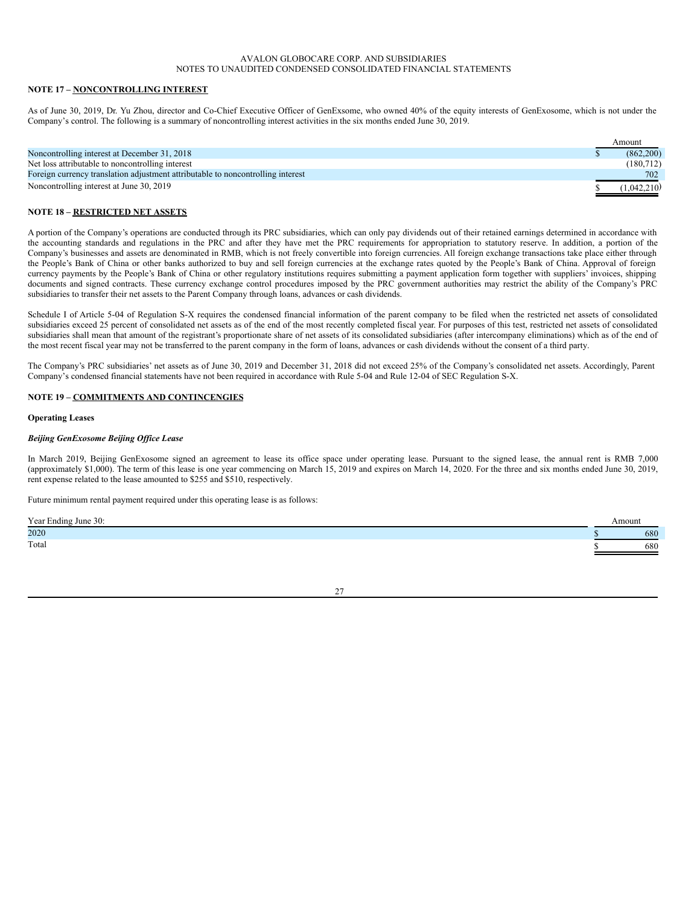## **NOTE 17 – NONCONTROLLING INTEREST**

As of June 30, 2019, Dr. Yu Zhou, director and Co-Chief Executive Officer of GenExsome, who owned 40% of the equity interests of GenExosome, which is not under the Company's control. The following is a summary of noncontrolling interest activities in the six months ended June 30, 2019.

|                                                                                 | Amount      |
|---------------------------------------------------------------------------------|-------------|
| Noncontrolling interest at December 31, 2018                                    | (862,200)   |
| Net loss attributable to noncontrolling interest                                | (180, 712)  |
| Foreign currency translation adjustment attributable to noncontrolling interest | 702         |
| Noncontrolling interest at June 30, 2019                                        | (1.042.210) |

# **NOTE 18 – RESTRICTED NET ASSETS**

A portion of the Company's operations are conducted through its PRC subsidiaries, which can only pay dividends out of their retained earnings determined in accordance with the accounting standards and regulations in the PRC and after they have met the PRC requirements for appropriation to statutory reserve. In addition, a portion of the Company's businesses and assets are denominated in RMB, which is not freely convertible into foreign currencies. All foreign exchange transactions take place either through the People's Bank of China or other banks authorized to buy and sell foreign currencies at the exchange rates quoted by the People's Bank of China. Approval of foreign currency payments by the People's Bank of China or other regulatory institutions requires submitting a payment application form together with suppliers' invoices, shipping documents and signed contracts. These currency exchange control procedures imposed by the PRC government authorities may restrict the ability of the Company's PRC subsidiaries to transfer their net assets to the Parent Company through loans, advances or cash dividends.

Schedule I of Article 5-04 of Regulation S-X requires the condensed financial information of the parent company to be filed when the restricted net assets of consolidated subsidiaries exceed 25 percent of consolidated net assets as of the end of the most recently completed fiscal year. For purposes of this test, restricted net assets of consolidated subsidiaries shall mean that amount of the registrant's proportionate share of net assets of its consolidated subsidiaries (after intercompany eliminations) which as of the end of the most recent fiscal year may not be transferred to the parent company in the form of loans, advances or cash dividends without the consent of a third party.

The Company's PRC subsidiaries' net assets as of June 30, 2019 and December 31, 2018 did not exceed 25% of the Company's consolidated net assets. Accordingly, Parent Company's condensed financial statements have not been required in accordance with Rule 5-04 and Rule 12-04 of SEC Regulation S-X.

## **NOTE 19 – COMMITMENTS AND CONTINCENGIES**

#### **Operating Leases**

## *Beijing GenExosome Beijing Of ice Lease*

In March 2019, Beijing GenExosome signed an agreement to lease its office space under operating lease. Pursuant to the signed lease, the annual rent is RMB 7,000 (approximately \$1,000). The term of this lease is one year commencing on March 15, 2019 and expires on March 14, 2020. For the three and six months ended June 30, 2019, rent expense related to the lease amounted to \$255 and \$510, respectively.

Future minimum rental payment required under this operating lease is as follows:

| Year Ending June 30: | \moun† |
|----------------------|--------|
| 2020                 | 680    |
| Total                | 680    |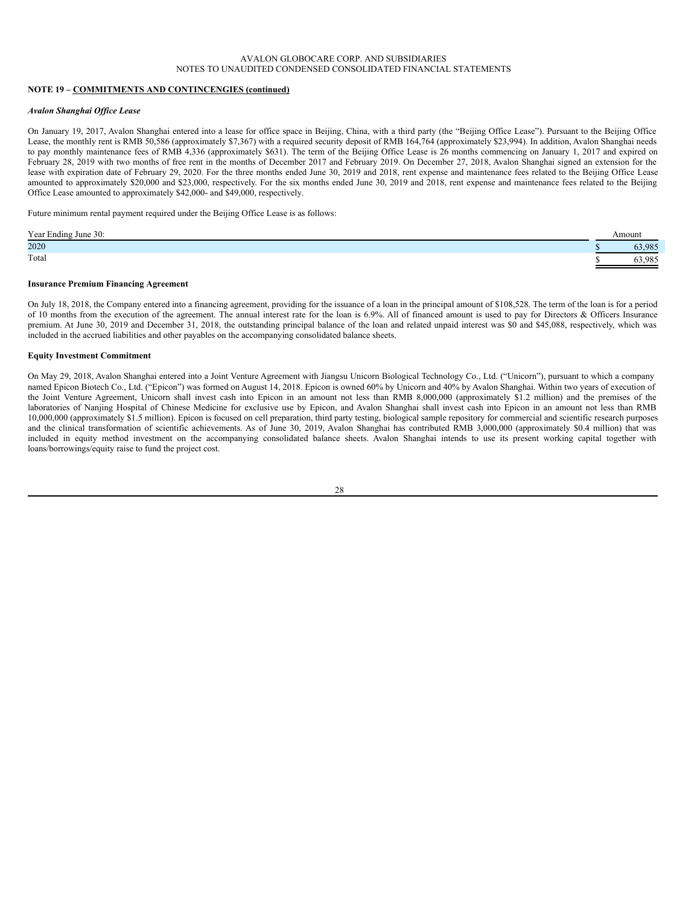## **NOTE 19 – COMMITMENTS AND CONTINCENGIES (continued)**

#### *Avalon Shanghai Of ice Lease*

On January 19, 2017, Avalon Shanghai entered into a lease for office space in Beijing, China, with a third party (the "Beijing Office Lease"). Pursuant to the Beijing Office Lease, the monthly rent is RMB 50,586 (approximately \$7,367) with a required security deposit of RMB 164,764 (approximately \$23,994). In addition, Avalon Shanghai needs to pay monthly maintenance fees of RMB 4,336 (approximately \$631). The term of the Beijing Office Lease is 26 months commencing on January 1, 2017 and expired on February 28, 2019 with two months of free rent in the months of December 2017 and February 2019. On December 27, 2018, Avalon Shanghai signed an extension for the lease with expiration date of February 29, 2020. For the three months ended June 30, 2019 and 2018, rent expense and maintenance fees related to the Beijing Office Lease amounted to approximately \$20,000 and \$23,000, respectively. For the six months ended June 30, 2019 and 2018, rent expense and maintenance fees related to the Beijing Office Lease amounted to approximately \$42,000- and \$49,000, respectively.

Future minimum rental payment required under the Beijing Office Lease is as follows:

| Year Ending.<br>June $30:$ | ⊾mount |
|----------------------------|--------|
| 2020                       | .985   |
| Total                      | .985   |

# **Insurance Premium Financing Agreement**

On July 18, 2018, the Company entered into a financing agreement, providing for the issuance of a loan in the principal amount of \$108,528. The term of the loan is for a period of 10 months from the execution of the agreement. The annual interest rate for the loan is 6.9%. All of financed amount is used to pay for Directors & Officers Insurance premium. At June 30, 2019 and December 31, 2018, the outstanding principal balance of the loan and related unpaid interest was \$0 and \$45,088, respectively, which was included in the accrued liabilities and other payables on the accompanying consolidated balance sheets.

## **Equity Investment Commitment**

On May 29, 2018, Avalon Shanghai entered into a Joint Venture Agreement with Jiangsu Unicorn Biological Technology Co., Ltd. ("Unicorn"), pursuant to which a company named Epicon Biotech Co., Ltd. ("Epicon") was formed on August 14, 2018. Epicon is owned 60% by Unicorn and 40% by Avalon Shanghai. Within two years of execution of the Joint Venture Agreement, Unicorn shall invest cash into Epicon in an amount not less than RMB 8,000,000 (approximately \$1.2 million) and the premises of the laboratories of Nanjing Hospital of Chinese Medicine for exclusive use by Epicon, and Avalon Shanghai shall invest cash into Epicon in an amount not less than RMB 10,000,000 (approximately \$1.5 million). Epicon is focused on cell preparation, third party testing, biological sample repository for commercial and scientific research purposes and the clinical transformation of scientific achievements. As of June 30, 2019, Avalon Shanghai has contributed RMB 3,000,000 (approximately \$0.4 million) that was included in equity method investment on the accompanying consolidated balance sheets. Avalon Shanghai intends to use its present working capital together with loans/borrowings/equity raise to fund the project cost.

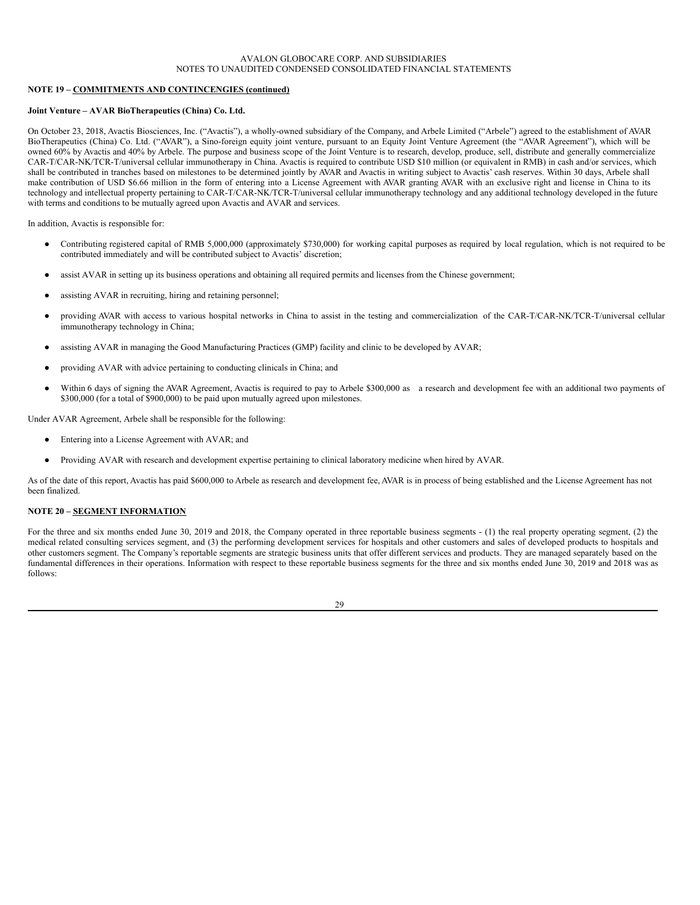# **NOTE 19 – COMMITMENTS AND CONTINCENGIES (continued)**

#### **Joint Venture – AVAR BioTherapeutics (China) Co. Ltd.**

On October 23, 2018, Avactis Biosciences, Inc. ("Avactis"), a wholly-owned subsidiary of the Company, and Arbele Limited ("Arbele") agreed to the establishment of AVAR BioTherapeutics (China) Co. Ltd. ("AVAR"), a Sino-foreign equity joint venture, pursuant to an Equity Joint Venture Agreement (the "AVAR Agreement"), which will be owned 60% by Avactis and 40% by Arbele. The purpose and business scope of the Joint Venture is to research, develop, produce, sell, distribute and generally commercialize CAR-T/CAR-NK/TCR-T/universal cellular immunotherapy in China. Avactis is required to contribute USD \$10 million (or equivalent in RMB) in cash and/or services, which shall be contributed in tranches based on milestones to be determined jointly by AVAR and Avactis in writing subject to Avactis' cash reserves. Within 30 days, Arbele shall make contribution of USD \$6.66 million in the form of entering into a License Agreement with AVAR granting AVAR with an exclusive right and license in China to its technology and intellectual property pertaining to CAR-T/CAR-NK/TCR-T/universal cellular immunotherapy technology and any additional technology developed in the future with terms and conditions to be mutually agreed upon Avactis and AVAR and services.

In addition, Avactis is responsible for:

- Contributing registered capital of RMB 5,000,000 (approximately \$730,000) for working capital purposes as required by local regulation, which is not required to be contributed immediately and will be contributed subject to Avactis' discretion;
- assist AVAR in setting up its business operations and obtaining all required permits and licenses from the Chinese government;
- assisting AVAR in recruiting, hiring and retaining personnel;
- providing AVAR with access to various hospital networks in China to assist in the testing and commercialization of the CAR-T/CAR-NK/TCR-T/universal cellular immunotherapy technology in China;
- assisting AVAR in managing the Good Manufacturing Practices (GMP) facility and clinic to be developed by AVAR;
- providing AVAR with advice pertaining to conducting clinicals in China; and
- Within 6 days of signing the AVAR Agreement, Avactis is required to pay to Arbele \$300,000 as a research and development fee with an additional two payments of \$300,000 (for a total of \$900,000) to be paid upon mutually agreed upon milestones.

Under AVAR Agreement, Arbele shall be responsible for the following:

- Entering into a License Agreement with AVAR; and
- Providing AVAR with research and development expertise pertaining to clinical laboratory medicine when hired by AVAR.

As of the date of this report, Avactis has paid \$600,000 to Arbele as research and development fee, AVAR is in process of being established and the License Agreement has not been finalized.

#### **NOTE 20 – SEGMENT INFORMATION**

For the three and six months ended June 30, 2019 and 2018, the Company operated in three reportable business segments - (1) the real property operating segment, (2) the medical related consulting services segment, and (3) the performing development services for hospitals and other customers and sales of developed products to hospitals and other customers segment. The Company's reportable segments are strategic business units that offer different services and products. They are managed separately based on the fundamental differences in their operations. Information with respect to these reportable business segments for the three and six months ended June 30, 2019 and 2018 was as follows:

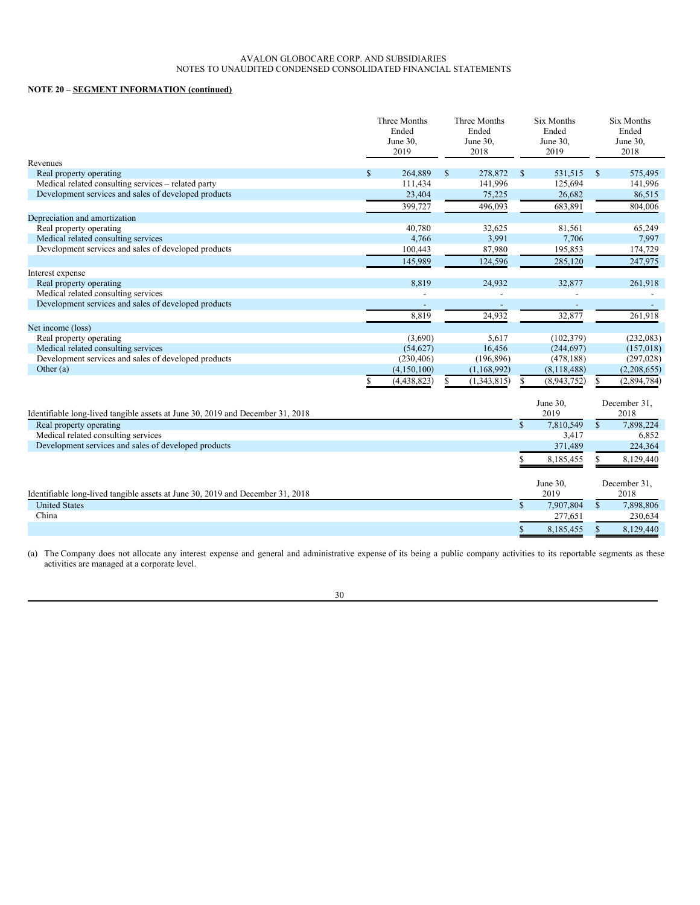# **NOTE 20 – SEGMENT INFORMATION (continued)**

| 2019<br>2019<br>2018                                                                                           |              |
|----------------------------------------------------------------------------------------------------------------|--------------|
| Revenues                                                                                                       |              |
| 264.889<br>\$<br>$\mathbb{S}$<br>278,872<br>$\mathbb{S}$<br>531,515<br>Real property operating<br><sup>S</sup> | 575,495      |
| Medical related consulting services - related party<br>111,434<br>141,996<br>125,694                           | 141,996      |
| Development services and sales of developed products<br>23,404<br>26,682<br>75,225                             | 86,515       |
| 399,727<br>496.093<br>683,891                                                                                  | 804,006      |
| Depreciation and amortization                                                                                  |              |
| 40,780<br>81,561<br>Real property operating<br>32,625                                                          | 65,249       |
| Medical related consulting services<br>4.766<br>3.991<br>7,706                                                 | 7,997        |
| Development services and sales of developed products<br>100,443<br>87,980<br>195,853                           | 174,729      |
| 145,989<br>124,596<br>285,120                                                                                  | 247,975      |
| Interest expense                                                                                               |              |
| 8,819<br>Real property operating<br>24,932<br>32,877                                                           | 261,918      |
| Medical related consulting services                                                                            |              |
| Development services and sales of developed products                                                           |              |
| 8,819<br>24,932<br>32,877                                                                                      | 261,918      |
|                                                                                                                |              |
| Net income (loss)                                                                                              |              |
| Real property operating<br>(102, 379)<br>(3,690)<br>5,617                                                      | (232,083)    |
| Medical related consulting services<br>(54, 627)<br>16,456<br>(244, 697)                                       | (157, 018)   |
| Development services and sales of developed products<br>(230, 406)<br>(196, 896)<br>(478, 188)<br>Other $(a)$  | (297, 028)   |
| (4,150,100)<br>(1,168,992)<br>(8, 118, 488)                                                                    | (2,208,655)  |
| (4, 438, 823)<br>(1,343,815)<br>(8,943,752)<br>S.<br>S<br>S.<br>S                                              | (2,894,784)  |
| June 30,                                                                                                       | December 31, |
| 2019<br>Identifiable long-lived tangible assets at June 30, 2019 and December 31, 2018                         | 2018         |
| Real property operating<br>$\mathbb{S}$<br>7,810,549<br>$\mathbb{S}$                                           | 7.898.224    |
| Medical related consulting services<br>3,417                                                                   | 6,852        |
| Development services and sales of developed products<br>371,489                                                | 224,364      |
| \$<br>8,185,455<br>\$                                                                                          | 8,129,440    |

| Identifiable long-lived tangible assets at June 30, 2019 and December 31, 2018 | June 30,<br>2019 | December 31.<br>2018 |
|--------------------------------------------------------------------------------|------------------|----------------------|
| <b>United States</b>                                                           | 7.907.804        | 7.898.806            |
| China                                                                          | 277.651          | 230.634              |
|                                                                                | 8.185.455        | 8.129.440            |

(a) The Company does not allocate any interest expense and general and administrative expense of its being a public company activities to its reportable segments as these activities are managed at a corporate level.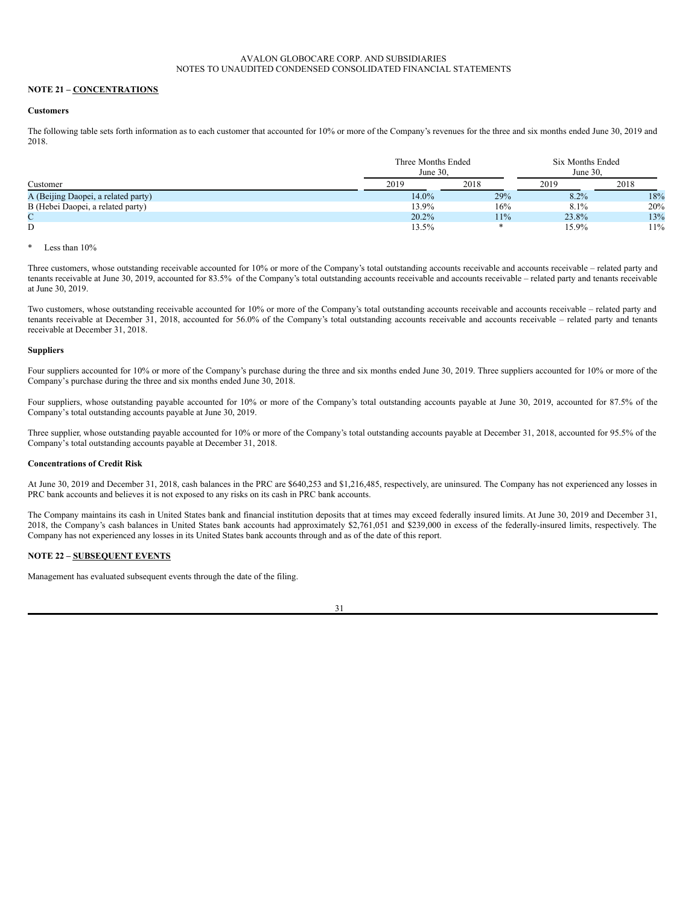# **NOTE 21 – CONCENTRATIONS**

## **Customers**

The following table sets forth information as to each customer that accounted for 10% or more of the Company's revenues for the three and six months ended June 30, 2019 and 2018.

|                                     | Three Months Ended<br>June 30. |      | Six Months Ended<br>June $30$ . |      |
|-------------------------------------|--------------------------------|------|---------------------------------|------|
| Customer                            | 2019                           | 2018 | 2019                            | 2018 |
| A (Beijing Daopei, a related party) | 14.0%                          | 29%  | 8.2%                            | 18%  |
| B (Hebei Daopei, a related party)   | 13.9%                          | 16%  | 8.1%                            | 20%  |
| С                                   | $20.2\%$                       | 11%  | 23.8%                           | 13%  |
| D                                   | 13.5%                          |      | 15.9%                           | 11%  |

#### Less than  $10%$

Three customers, whose outstanding receivable accounted for 10% or more of the Company's total outstanding accounts receivable and accounts receivable – related party and tenants receivable at June 30, 2019, accounted for 83.5% of the Company's total outstanding accounts receivable and accounts receivable – related party and tenants receivable at June 30, 2019.

Two customers, whose outstanding receivable accounted for 10% or more of the Company's total outstanding accounts receivable and accounts receivable – related party and tenants receivable at December 31, 2018, accounted for 56.0% of the Company's total outstanding accounts receivable and accounts receivable – related party and tenants receivable at December 31, 2018.

## **Suppliers**

Four suppliers accounted for 10% or more of the Company's purchase during the three and six months ended June 30, 2019. Three suppliers accounted for 10% or more of the Company's purchase during the three and six months ended June 30, 2018.

Four suppliers, whose outstanding payable accounted for 10% or more of the Company's total outstanding accounts payable at June 30, 2019, accounted for 87.5% of the Company's total outstanding accounts payable at June 30, 2019.

Three supplier, whose outstanding payable accounted for 10% or more of the Company's total outstanding accounts payable at December 31, 2018, accounted for 95.5% of the Company's total outstanding accounts payable at December 31, 2018.

## **Concentrations of Credit Risk**

At June 30, 2019 and December 31, 2018, cash balances in the PRC are \$640,253 and \$1,216,485, respectively, are uninsured. The Company has not experienced any losses in PRC bank accounts and believes it is not exposed to any risks on its cash in PRC bank accounts.

The Company maintains its cash in United States bank and financial institution deposits that at times may exceed federally insured limits. At June 30, 2019 and December 31, 2018, the Company's cash balances in United States bank accounts had approximately \$2,761,051 and \$239,000 in excess of the federally-insured limits, respectively. The Company has not experienced any losses in its United States bank accounts through and as of the date of this report.

## **NOTE 22 – SUBSEQUENT EVENTS**

Management has evaluated subsequent events through the date of the filing.

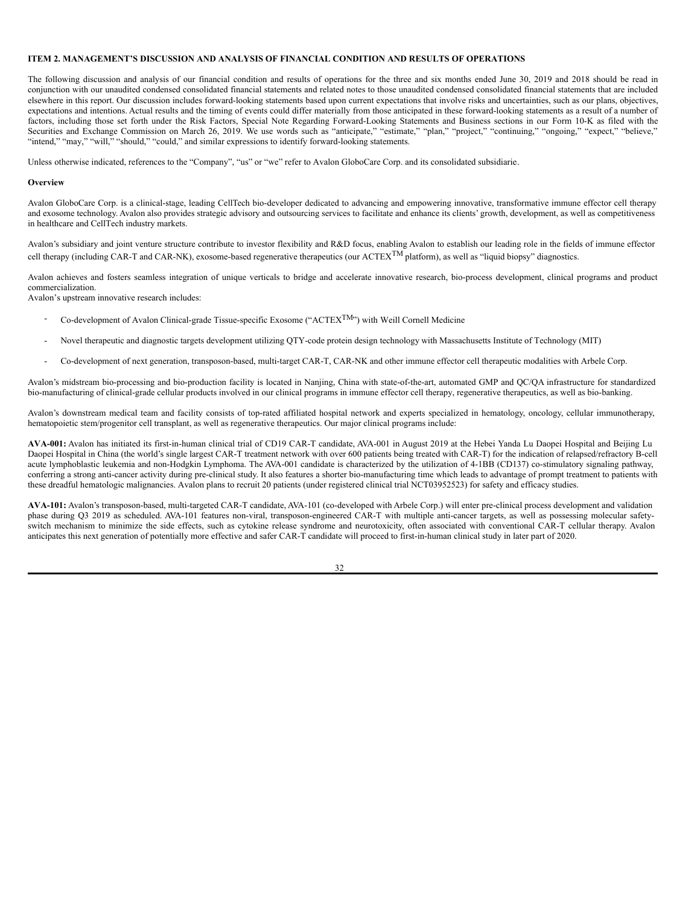# **ITEM 2. MANAGEMENT'S DISCUSSION AND ANALYSIS OF FINANCIAL CONDITION AND RESULTS OF OPERATIONS**

The following discussion and analysis of our financial condition and results of operations for the three and six months ended June 30, 2019 and 2018 should be read in conjunction with our unaudited condensed consolidated financial statements and related notes to those unaudited condensed consolidated financial statements that are included elsewhere in this report. Our discussion includes forward-looking statements based upon current expectations that involve risks and uncertainties, such as our plans, objectives, expectations and intentions. Actual results and the timing of events could differ materially from those anticipated in these forward-looking statements as a result of a number of factors, including those set forth under the Risk Factors, Special Note Regarding Forward-Looking Statements and Business sections in our Form 10-K as filed with the Securities and Exchange Commission on March 26, 2019. We use words such as "anticipate," "estimate," "plan," "project," "continuing," "ongoing," "expect," "believe," "intend," "may," "will," "should," "could," and similar expressions to identify forward-looking statements.

Unless otherwise indicated, references to the "Company", "us" or "we" refer to Avalon GloboCare Corp. and its consolidated subsidiaries.

#### **Overview**

Avalon GloboCare Corp. is a clinical-stage, leading CellTech bio-developer dedicated to advancing and empowering innovative, transformative immune effector cell therapy and exosome technology. Avalon also provides strategic advisory and outsourcing services to facilitate and enhance its clients' growth, development, as well as competitiveness in healthcare and CellTech industry markets.

Avalon's subsidiary and joint venture structure contribute to investor flexibility and R&D focus, enabling Avalon to establish our leading role in the fields of immune effector cell therapy (including CAR-T and CAR-NK), exosome-based regenerative therapeutics (our  $\text{ACTEX}^{\text{TM}}$  platform), as well as "liquid biopsy" diagnostics.

Avalon achieves and fosters seamless integration of unique verticals to bridge and accelerate innovative research, bio-process development, clinical programs and product commercialization.

Avalon's upstream innovative research includes:

- Co-development of Avalon Clinical-grade Tissue-specific Exosome ("ACTEX<sup>TM</sup>") with Weill Cornell Medicine
- Novel therapeutic and diagnostic targets development utilizing QTY-code protein design technology with Massachusetts Institute of Technology (MIT)
- Co-development of next generation, transposon-based, multi-target CAR-T, CAR-NK and other immune effector cell therapeutic modalities with Arbele Corp.

Avalon's midstream bio-processing and bio-production facility is located in Nanjing, China with state-of-the-art, automated GMP and QC/QA infrastructure for standardized bio-manufacturing of clinical-grade cellular products involved in our clinical programs in immune effector cell therapy, regenerative therapeutics, as well as bio-banking.

Avalon's downstream medical team and facility consists of top-rated affiliated hospital network and experts specialized in hematology, oncology, cellular immunotherapy, hematopoietic stem/progenitor cell transplant, as well as regenerative therapeutics. Our major clinical programs include:

**AVA-001:** Avalon has initiated its first-in-human clinical trial of CD19 CAR-T candidate, AVA-001 in August 2019 at the Hebei Yanda Lu Daopei Hospital and Beijing Lu Daopei Hospital in China (the world's single largest CAR-T treatment network with over 600 patients being treated with CAR-T) for the indication of relapsed/refractory B-cell acute lymphoblastic leukemia and non-Hodgkin Lymphoma. The AVA-001 candidate is characterized by the utilization of 4-1BB (CD137) co-stimulatory signaling pathway, conferring a strong anti-cancer activity during pre-clinical study. It also features a shorter bio-manufacturing time which leads to advantage of prompt treatment to patients with these dreadful hematologic malignancies. Avalon plans to recruit 20 patients (under registered clinical trial NCT03952523) for safety and efficacy studies.

**AVA-101:** Avalon's transposon-based, multi-targeted CAR-T candidate, AVA-101 (co-developed with Arbele Corp.) will enter pre-clinical process development and validation phase during Q3 2019 as scheduled. AVA-101 features non-viral, transposon-engineered CAR-T with multiple anti-cancer targets, as well as possessing molecular safetyswitch mechanism to minimize the side effects, such as cytokine release syndrome and neurotoxicity, often associated with conventional CAR-T cellular therapy. Avalon anticipates this next generation of potentially more effective and safer CAR-T candidate will proceed to first-in-human clinical study in later part of 2020.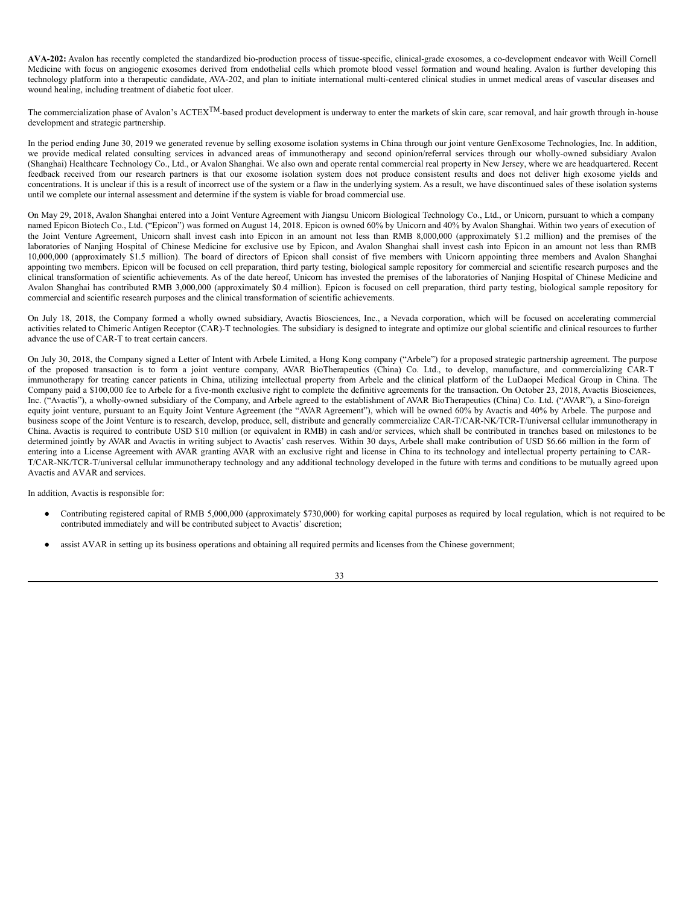**AVA-202:** Avalon has recently completed the standardized bio-production process of tissue-specific, clinical-grade exosomes, a co-development endeavor with Weill Cornell Medicine with focus on angiogenic exosomes derived from endothelial cells which promote blood vessel formation and wound healing. Avalon is further developing this technology platform into a therapeutic candidate, AVA-202, and plan to initiate international multi-centered clinical studies in unmet medical areas of vascular diseases and wound healing, including treatment of diabetic foot ulcer.

The commercialization phase of Avalon's  $\text{ACTEX}^{\text{TM}}$ -based product development is underway to enter the markets of skin care, scar removal, and hair growth through in-house development and strategic partnership.

In the period ending June 30, 2019 we generated revenue by selling exosome isolation systems in China through our joint venture GenExosome Technologies, Inc. In addition, we provide medical related consulting services in advanced areas of immunotherapy and second opinion/referral services through our wholly-owned subsidiary Avalon (Shanghai) Healthcare Technology Co., Ltd., or Avalon Shanghai. We also own and operate rental commercial real property in New Jersey, where we are headquartered. Recent feedback received from our research partners is that our exosome isolation system does not produce consistent results and does not deliver high exosome yields and concentrations. It is unclear if this is a result of incorrect use of the system or a flaw in the underlying system. As a result, we have discontinued sales of these isolation systems until we complete our internal assessment and determine if the system is viable for broad commercial use.

On May 29, 2018, Avalon Shanghai entered into a Joint Venture Agreement with Jiangsu Unicorn Biological Technology Co., Ltd., or Unicorn, pursuant to which a company named Epicon Biotech Co., Ltd. ("Epicon") was formed on August 14, 2018. Epicon is owned 60% by Unicorn and 40% by Avalon Shanghai. Within two years of execution of the Joint Venture Agreement, Unicorn shall invest cash into Epicon in an amount not less than RMB 8,000,000 (approximately \$1.2 million) and the premises of the laboratories of Nanjing Hospital of Chinese Medicine for exclusive use by Epicon, and Avalon Shanghai shall invest cash into Epicon in an amount not less than RMB 10,000,000 (approximately \$1.5 million). The board of directors of Epicon shall consist of five members with Unicorn appointing three members and Avalon Shanghai appointing two members. Epicon will be focused on cell preparation, third party testing, biological sample repository for commercial and scientific research purposes and the clinical transformation of scientific achievements. As of the date hereof, Unicorn has invested the premises of the laboratories of Nanjing Hospital of Chinese Medicine and Avalon Shanghai has contributed RMB 3,000,000 (approximately \$0.4 million). Epicon is focused on cell preparation, third party testing, biological sample repository for commercial and scientific research purposes and the clinical transformation of scientific achievements.

On July 18, 2018, the Company formed a wholly owned subsidiary, Avactis Biosciences, Inc., a Nevada corporation, which will be focused on accelerating commercial activities related to Chimeric Antigen Receptor (CAR)-T technologies. The subsidiary is designed to integrate and optimize our global scientific and clinical resources to further advance the use of CAR-T to treat certain cancers.

On July 30, 2018, the Company signed a Letter of Intent with Arbele Limited, a Hong Kong company ("Arbele") for a proposed strategic partnership agreement. The purpose of the proposed transaction is to form a joint venture company, AVAR BioTherapeutics (China) Co. Ltd., to develop, manufacture, and commercializing CAR-T immunotherapy for treating cancer patients in China, utilizing intellectual property from Arbele and the clinical platform of the LuDaopei Medical Group in China. The Company paid a \$100,000 fee to Arbele for a five-month exclusive right to complete the definitive agreements for the transaction. On October 23, 2018, Avactis Biosciences, Inc. ("Avactis"), a wholly-owned subsidiary of the Company, and Arbele agreed to the establishment of AVAR BioTherapeutics (China) Co. Ltd. ("AVAR"), a Sino-foreign equity joint venture, pursuant to an Equity Joint Venture Agreement (the "AVAR Agreement"), which will be owned 60% by Avactis and 40% by Arbele. The purpose and business scope of the Joint Venture is to research, develop, produce, sell, distribute and generally commercialize CAR-T/CAR-NK/TCR-T/universal cellular immunotherapy in China. Avactis is required to contribute USD \$10 million (or equivalent in RMB) in cash and/or services, which shall be contributed in tranches based on milestones to be determined jointly by AVAR and Avactis in writing subject to Avactis' cash reserves. Within 30 days, Arbele shall make contribution of USD \$6.66 million in the form of entering into a License Agreement with AVAR granting AVAR with an exclusive right and license in China to its technology and intellectual property pertaining to CAR-T/CAR-NK/TCR-T/universal cellular immunotherapy technology and any additional technology developed in the future with terms and conditions to be mutually agreed upon Avactis and AVAR and services.

In addition, Avactis is responsible for:

- Contributing registered capital of RMB 5,000,000 (approximately \$730,000) for working capital purposes as required by local regulation, which is not required to be contributed immediately and will be contributed subject to Avactis' discretion;
- assist AVAR in setting up its business operations and obtaining all required permits and licenses from the Chinese government;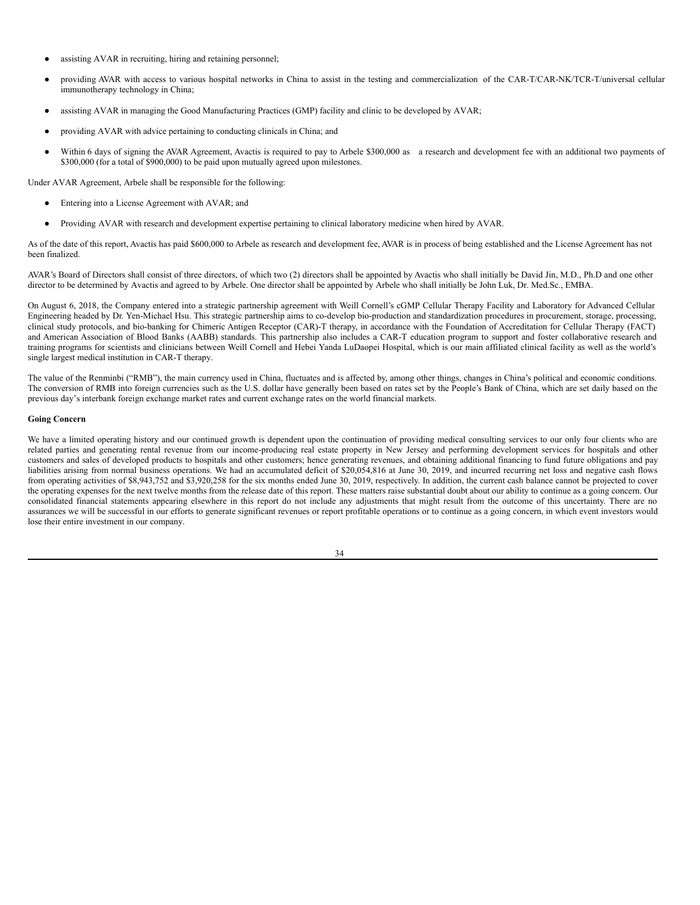- assisting AVAR in recruiting, hiring and retaining personnel;
- providing AVAR with access to various hospital networks in China to assist in the testing and commercialization of the CAR-T/CAR-NK/TCR-T/universal cellular immunotherapy technology in China;
- assisting AVAR in managing the Good Manufacturing Practices (GMP) facility and clinic to be developed by AVAR;
- providing AVAR with advice pertaining to conducting clinicals in China; and
- Within 6 days of signing the AVAR Agreement, Avactis is required to pay to Arbele \$300,000 as a research and development fee with an additional two payments of \$300,000 (for a total of \$900,000) to be paid upon mutually agreed upon milestones.

Under AVAR Agreement, Arbele shall be responsible for the following:

- Entering into a License Agreement with AVAR; and
- Providing AVAR with research and development expertise pertaining to clinical laboratory medicine when hired by AVAR.

As of the date of this report, Avactis has paid \$600,000 to Arbele as research and development fee, AVAR is in process of being established and the License Agreement has not been finalized.

AVAR's Board of Directors shall consist of three directors, of which two (2) directors shall be appointed by Avactis who shall initially be David Jin, M.D., Ph.D and one other director to be determined by Avactis and agreed to by Arbele. One director shall be appointed by Arbele who shall initially be John Luk, Dr. Med.Sc., EMBA.

On August 6, 2018, the Company entered into a strategic partnership agreement with Weill Cornell's cGMP Cellular Therapy Facility and Laboratory for Advanced Cellular Engineering headed by Dr. Yen-Michael Hsu. This strategic partnership aims to co-develop bio-production and standardization procedures in procurement, storage, processing, clinical study protocols, and bio-banking for Chimeric Antigen Receptor (CAR)-T therapy, in accordance with the Foundation of Accreditation for Cellular Therapy (FACT) and American Association of Blood Banks (AABB) standards. This partnership also includes a CAR-T education program to support and foster collaborative research and training programs for scientists and clinicians between Weill Cornell and Hebei Yanda LuDaopei Hospital, which is our main affiliated clinical facility as well as the world's single largest medical institution in CAR-T therapy.

The value of the Renminbi ("RMB"), the main currency used in China, fluctuates and is affected by, among other things, changes in China's political and economic conditions. The conversion of RMB into foreign currencies such as the U.S. dollar have generally been based on rates set by the People's Bank of China, which are set daily based on the previous day's interbank foreign exchange market rates and current exchange rates on the world financial markets.

# **Going Concern**

We have a limited operating history and our continued growth is dependent upon the continuation of providing medical consulting services to our only four clients who are related parties and generating rental revenue from our income-producing real estate property in New Jersey and performing development services for hospitals and other customers and sales of developed products to hospitals and other customers; hence generating revenues, and obtaining additional financing to fund future obligations and pay liabilities arising from normal business operations. We had an accumulated deficit of \$20,054,816 at June 30, 2019, and incurred recurring net loss and negative cash flows from operating activities of \$8,943,752 and \$3,920,258 for the six months ended June 30, 2019, respectively. In addition, the current cash balance cannot be projected to cover the operating expenses for the next twelve months from the release date of this report. These matters raise substantial doubt about our ability to continue as a going concern. Our consolidated financial statements appearing elsewhere in this report do not include any adjustments that might result from the outcome of this uncertainty. There are no assurances we will be successful in our efforts to generate significant revenues or report profitable operations or to continue as a going concern, in which event investors would lose their entire investment in our company.

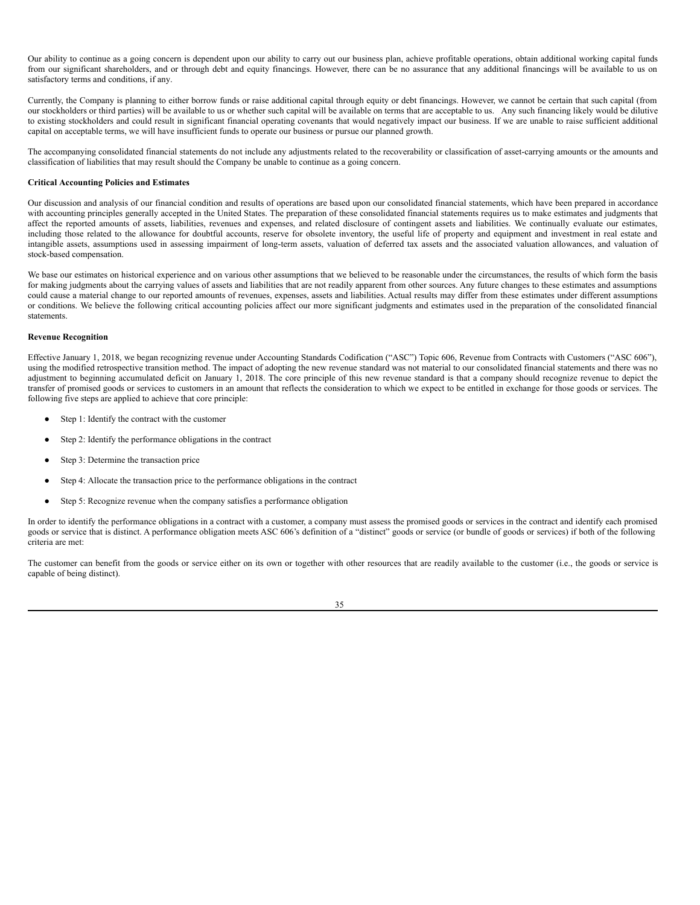Our ability to continue as a going concern is dependent upon our ability to carry out our business plan, achieve profitable operations, obtain additional working capital funds from our significant shareholders, and or through debt and equity financings. However, there can be no assurance that any additional financings will be available to us on satisfactory terms and conditions, if any.

Currently, the Company is planning to either borrow funds or raise additional capital through equity or debt financings. However, we cannot be certain that such capital (from our stockholders or third parties) will be available to us or whether such capital will be available on terms that are acceptable to us. Any such financing likely would be dilutive to existing stockholders and could result in significant financial operating covenants that would negatively impact our business. If we are unable to raise sufficient additional capital on acceptable terms, we will have insufficient funds to operate our business or pursue our planned growth.

The accompanying consolidated financial statements do not include any adjustments related to the recoverability or classification of asset-carrying amounts or the amounts and classification of liabilities that may result should the Company be unable to continue as a going concern.

## **Critical Accounting Policies and Estimates**

Our discussion and analysis of our financial condition and results of operations are based upon our consolidated financial statements, which have been prepared in accordance with accounting principles generally accepted in the United States. The preparation of these consolidated financial statements requires us to make estimates and judgments that affect the reported amounts of assets, liabilities, revenues and expenses, and related disclosure of contingent assets and liabilities. We continually evaluate our estimates, including those related to the allowance for doubtful accounts, reserve for obsolete inventory, the useful life of property and equipment and investment in real estate and intangible assets, assumptions used in assessing impairment of long-term assets, valuation of deferred tax assets and the associated valuation allowances, and valuation of stock-based compensation.

We base our estimates on historical experience and on various other assumptions that we believed to be reasonable under the circumstances, the results of which form the basis for making judgments about the carrying values of assets and liabilities that are not readily apparent from other sources. Any future changes to these estimates and assumptions could cause a material change to our reported amounts of revenues, expenses, assets and liabilities. Actual results may differ from these estimates under different assumptions or conditions. We believe the following critical accounting policies affect our more significant judgments and estimates used in the preparation of the consolidated financial statements.

#### **Revenue Recognition**

Effective January 1, 2018, we began recognizing revenue under Accounting Standards Codification ("ASC") Topic 606, Revenue from Contracts with Customers ("ASC 606"), using the modified retrospective transition method. The impact of adopting the new revenue standard was not material to our consolidated financial statements and there was no adjustment to beginning accumulated deficit on January  $\hat{1}$ , 2018. The core principle of this new revenue standard is that a company should recognize revenue to depict the transfer of promised goods or services to customers in an amount that reflects the consideration to which we expect to be entitled in exchange for those goods or services. The following five steps are applied to achieve that core principle:

- Step 1: Identify the contract with the customer
- Step 2: Identify the performance obligations in the contract
- Step 3: Determine the transaction price
- Step 4: Allocate the transaction price to the performance obligations in the contract
- Step 5: Recognize revenue when the company satisfies a performance obligation

In order to identify the performance obligations in a contract with a customer, a company must assess the promised goods or services in the contract and identify each promised goods or service that is distinct. A performance obligation meets ASC 606's definition of a "distinct" goods or service (or bundle of goods or services) if both of the following criteria are met:

The customer can benefit from the goods or service either on its own or together with other resources that are readily available to the customer (i.e., the goods or service is capable of being distinct).

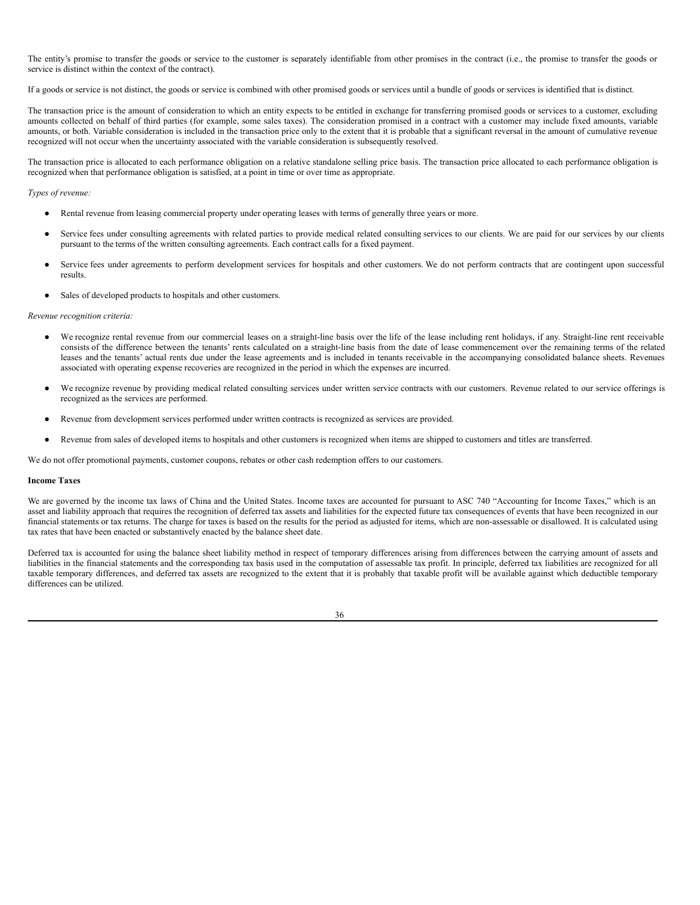The entity's promise to transfer the goods or service to the customer is separately identifiable from other promises in the contract (i.e., the promise to transfer the goods or service is distinct within the context of the contract).

If a goods or service is not distinct, the goods or service is combined with other promised goods or services until a bundle of goods or services is identified that is distinct.

The transaction price is the amount of consideration to which an entity expects to be entitled in exchange for transferring promised goods or services to a customer, excluding amounts collected on behalf of third parties (for example, some sales taxes). The consideration promised in a contract with a customer may include fixed amounts, variable amounts, or both. Variable consideration is included in the transaction price only to the extent that it is probable that a significant reversal in the amount of cumulative revenue recognized will not occur when the uncertainty associated with the variable consideration is subsequently resolved.

The transaction price is allocated to each performance obligation on a relative standalone selling price basis. The transaction price allocated to each performance obligation is recognized when that performance obligation is satisfied, at a point in time or over time as appropriate.

*Types of revenue:*

- Rental revenue from leasing commercial property under operating leases with terms of generally three years or more.
- Service fees under consulting agreements with related parties to provide medical related consulting services to our clients. We are paid for our services by our clients pursuant to the terms of the written consulting agreements. Each contract calls for a fixed payment.
- Service fees under agreements to perform development services for hospitals and other customers. We do not perform contracts that are contingent upon successful results.
- Sales of developed products to hospitals and other customers.

#### *Revenue recognition criteria:*

- We recognize rental revenue from our commercial leases on a straight-line basis over the life of the lease including rent holidays, if any. Straight-line rent receivable consists of the difference between the tenants' rents calculated on a straight-line basis from the date of lease commencement over the remaining terms of the related leases and the tenants' actual rents due under the lease agreements and is included in tenants receivable in the accompanying consolidated balance sheets. Revenues associated with operating expense recoveries are recognized in the period in which the expenses are incurred.
- We recognize revenue by providing medical related consulting services under written service contracts with our customers. Revenue related to our service offerings is recognized as the services are performed.
- Revenue from development services performed under written contracts is recognized as services are provided.
- Revenue from sales of developed items to hospitals and other customers is recognized when items are shipped to customers and titles are transferred.

We do not offer promotional payments, customer coupons, rebates or other cash redemption offers to our customers.

#### **Income Taxes**

We are governed by the income tax laws of China and the United States. Income taxes are accounted for pursuant to ASC 740 "Accounting for Income Taxes," which is an asset and liability approach that requires the recognition of deferred tax assets and liabilities for the expected future tax consequences of events that have been recognized in our financial statements or tax returns. The charge for taxes is based on the results for the period as adjusted for items, which are non-assessable or disallowed. It is calculated using tax rates that have been enacted or substantively enacted by the balance sheet date.

Deferred tax is accounted for using the balance sheet liability method in respect of temporary differences arising from differences between the carrying amount of assets and liabilities in the financial statements and the corresponding tax basis used in the computation of assessable tax profit. In principle, deferred tax liabilities are recognized for all taxable temporary differences, and deferred tax assets are recognized to the extent that it is probably that taxable profit will be available against which deductible temporary differences can be utilized.

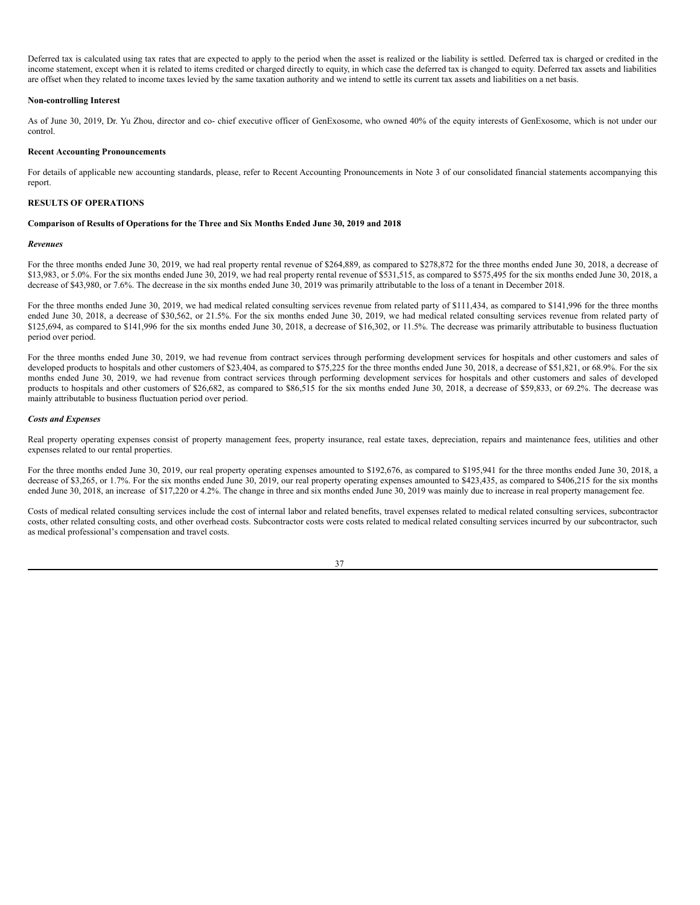Deferred tax is calculated using tax rates that are expected to apply to the period when the asset is realized or the liability is settled. Deferred tax is charged or credited in the income statement, except when it is related to items credited or charged directly to equity, in which case the deferred tax is changed to equity. Deferred tax assets and liabilities are offset when they related to income taxes levied by the same taxation authority and we intend to settle its current tax assets and liabilities on a net basis.

### **Non-controlling Interest**

As of June 30, 2019, Dr. Yu Zhou, director and co- chief executive officer of GenExosome, who owned 40% of the equity interests of GenExosome, which is not under our control.

#### **Recent Accounting Pronouncements**

For details of applicable new accounting standards, please, refer to Recent Accounting Pronouncements in Note 3 of our consolidated financial statements accompanying this report.

## **RESULTS OF OPERATIONS**

### **Comparison of Results of Operations for the Three and Six Months Ended June 30, 2019 and 2018**

#### *Revenues*

For the three months ended June 30, 2019, we had real property rental revenue of \$264,889, as compared to \$278,872 for the three months ended June 30, 2018, a decrease of \$13,983, or 5.0%. For the six months ended June 30, 2019, we had real property rental revenue of \$531,515, as compared to \$575,495 for the six months ended June 30, 2018, a decrease of \$43,980, or 7.6%. The decrease in the six months ended June 30, 2019 was primarily attributable to the loss of a tenant in December 2018.

For the three months ended June 30, 2019, we had medical related consulting services revenue from related party of \$111,434, as compared to \$141,996 for the three months ended June 30, 2018, a decrease of \$30,562, or 21.5%. For the six months ended June 30, 2019, we had medical related consulting services revenue from related party of \$125,694, as compared to \$141,996 for the six months ended June 30, 2018, a decrease of \$16,302, or 11.5%. The decrease was primarily attributable to business fluctuation period over period.

For the three months ended June 30, 2019, we had revenue from contract services through performing development services for hospitals and other customers and sales of developed products to hospitals and other customers of \$23,404, as compared to \$75,225 for the three months ended June 30, 2018, a decrease of \$51,821, or 68.9%. For the six months ended June 30, 2019, we had revenue from contract services through performing development services for hospitals and other customers and sales of developed products to hospitals and other customers of \$26,682, as compared to \$86,515 for the six months ended June 30, 2018, a decrease of \$59,833, or 69.2%. The decrease was mainly attributable to business fluctuation period over period.

#### *Costs and Expenses*

Real property operating expenses consist of property management fees, property insurance, real estate taxes, depreciation, repairs and maintenance fees, utilities and other expenses related to our rental properties.

For the three months ended June 30, 2019, our real property operating expenses amounted to \$192,676, as compared to \$195,941 for the three months ended June 30, 2018, a decrease of \$3,265, or 1.7%. For the six months ended June 30, 2019, our real property operating expenses amounted to \$423,435, as compared to \$406,215 for the six months ended June 30, 2018, an increase of \$17,220 or 4.2%. The change in three and six months ended June 30, 2019 was mainly due to increase in real property management fee.

Costs of medical related consulting services include the cost of internal labor and related benefits, travel expenses related to medical related consulting services, subcontractor costs, other related consulting costs, and other overhead costs. Subcontractor costs were costs related to medical related consulting services incurred by our subcontractor, such as medical professional's compensation and travel costs.

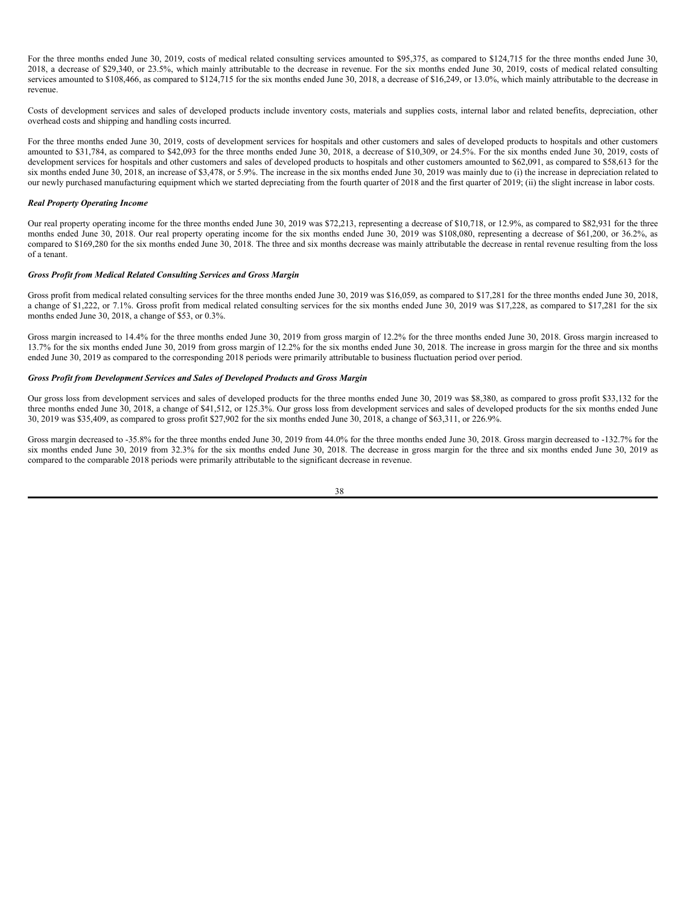For the three months ended June 30, 2019, costs of medical related consulting services amounted to \$95,375, as compared to \$124,715 for the three months ended June 30, 2018, a decrease of \$29,340, or 23.5%, which mainly attributable to the decrease in revenue. For the six months ended June 30, 2019, costs of medical related consulting services amounted to \$108,466, as compared to \$124,715 for the six months ended June 30, 2018, a decrease of \$16,249, or 13.0%, which mainly attributable to the decrease in revenue.

Costs of development services and sales of developed products include inventory costs, materials and supplies costs, internal labor and related benefits, depreciation, other overhead costs and shipping and handling costs incurred.

For the three months ended June 30, 2019, costs of development services for hospitals and other customers and sales of developed products to hospitals and other customers amounted to \$31,784, as compared to \$42,093 for the three months ended June 30, 2018, a decrease of \$10,309, or 24.5%. For the six months ended June 30, 2019, costs of development services for hospitals and other customers and sales of developed products to hospitals and other customers amounted to \$62,091, as compared to \$58,613 for the six months ended June 30, 2018, an increase of \$3,478, or 5.9%. The increase in the six months ended June 30, 2019 was mainly due to (i) the increase in depreciation related to our newly purchased manufacturing equipment which we started depreciating from the fourth quarter of 2018 and the first quarter of 2019; (ii) the slight increase in labor costs.

## *Real Property Operating Income*

Our real property operating income for the three months ended June 30, 2019 was \$72,213, representing a decrease of \$10,718, or 12.9%, as compared to \$82,931 for the three months ended June 30, 2018. Our real property operating income for the six months ended June 30, 2019 was \$108,080, representing a decrease of \$61,200, or 36.2%, as compared to \$169,280 for the six months ended June 30, 2018. The three and six months decrease was mainly attributable the decrease in rental revenue resulting from the loss of a tenant.

## *Gross Profit from Medical Related Consulting Services and Gross Margin*

Gross profit from medical related consulting services for the three months ended June 30, 2019 was \$16,059, as compared to \$17,281 for the three months ended June 30, 2018, a change of \$1,222, or 7.1%. Gross profit from medical related consulting services for the six months ended June 30, 2019 was \$17,228, as compared to \$17,281 for the six months ended June 30, 2018, a change of \$53, or 0.3%.

Gross margin increased to 14.4% for the three months ended June 30, 2019 from gross margin of 12.2% for the three months ended June 30, 2018. Gross margin increased to 13.7% for the six months ended June 30, 2019 from gross margin of 12.2% for the six months ended June 30, 2018. The increase in gross margin for the three and six months ended June 30, 2019 as compared to the corresponding 2018 periods were primarily attributable to business fluctuation period over period.

# *Gross Profit from Development Services and Sales of Developed Products and Gross Margin*

Our gross loss from development services and sales of developed products for the three months ended June 30, 2019 was \$8,380, as compared to gross profit \$33,132 for the three months ended June 30, 2018, a change of \$41,512, or 125.3%. Our gross loss from development services and sales of developed products for the six months ended June 30, 2019 was \$35,409, as compared to gross profit \$27,902 for the six months ended June 30, 2018, a change of \$63,311, or 226.9%.

Gross margin decreased to -35.8% for the three months ended June 30, 2019 from 44.0% for the three months ended June 30, 2018. Gross margin decreased to -132.7% for the six months ended June 30, 2019 from 32.3% for the six months ended June 30, 2018. The decrease in gross margin for the three and six months ended June 30, 2019 as compared to the comparable 2018 periods were primarily attributable to the significant decrease in revenue.

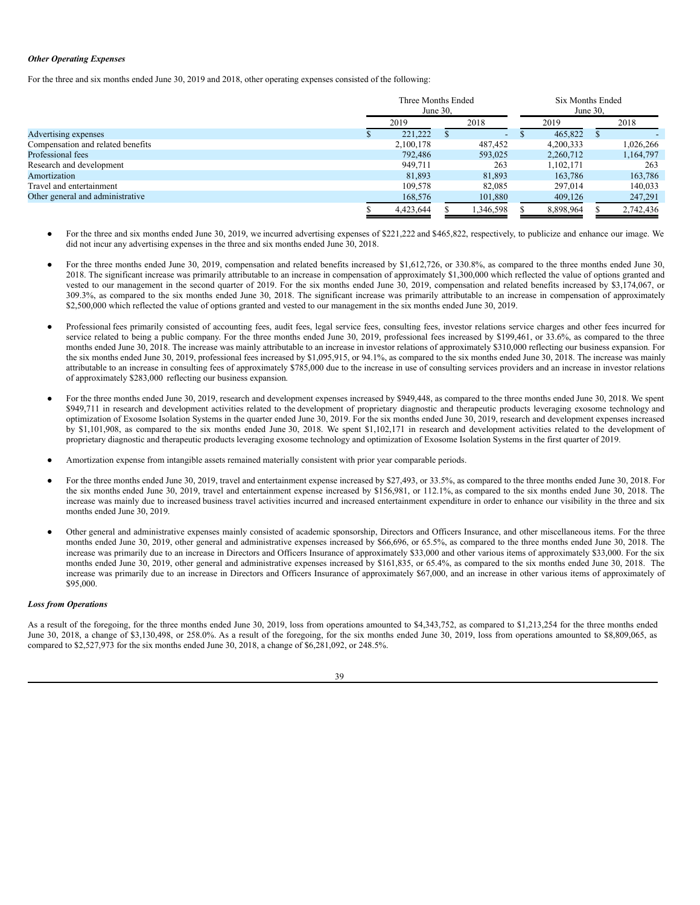#### *Other Operating Expenses*

For the three and six months ended June 30, 2019 and 2018, other operating expenses consisted of the following:

|                                   | Three Months Ended<br>June 30, |  |           | Six Months Ended<br>June 30, |           |      |           |
|-----------------------------------|--------------------------------|--|-----------|------------------------------|-----------|------|-----------|
|                                   | 2018<br>2019                   |  |           | 2019                         |           | 2018 |           |
| Advertising expenses              | 221,222                        |  | $\sim$    |                              | 465,822   |      |           |
| Compensation and related benefits | 2,100,178                      |  | 487,452   |                              | 4,200,333 |      | 1,026,266 |
| Professional fees                 | 792,486                        |  | 593,025   |                              | 2,260,712 |      | 1,164,797 |
| Research and development          | 949.711                        |  | 263       |                              | 1.102.171 |      | 263       |
| Amortization                      | 81.893                         |  | 81,893    |                              | 163,786   |      | 163,786   |
| Travel and entertainment          | 109,578                        |  | 82,085    |                              | 297,014   |      | 140,033   |
| Other general and administrative  | 168,576                        |  | 101,880   |                              | 409,126   |      | 247,291   |
|                                   | 4,423,644                      |  | 1,346,598 |                              | 8,898,964 |      | 2,742,436 |

- For the three and six months ended June 30, 2019, we incurred advertising expenses of \$221,222 and \$465,822, respectively, to publicize and enhance our image. We did not incur any advertising expenses in the three and six months ended June 30, 2018.
- For the three months ended June 30, 2019, compensation and related benefits increased by \$1,612,726, or 330.8%, as compared to the three months ended June 30, 2018. The significant increase was primarily attributable to an increase in compensation of approximately \$1,300,000 which reflected the value of options granted and vested to our management in the second quarter of 2019. For the six months ended June 30, 2019, compensation and related benefits increased by \$3,174,067, or 309.3%, as compared to the six months ended June 30, 2018. The significant increase was primarily attributable to an increase in compensation of approximately \$2,500,000 which reflected the value of options granted and vested to our management in the six months ended June 30, 2019.
- Professional fees primarily consisted of accounting fees, audit fees, legal service fees, consulting fees, investor relations service charges and other fees incurred for service related to being a public company. For the three months ended June 30, 2019, professional fees increased by \$199,461, or 33.6%, as compared to the three months ended June 30, 2018. The increase was mainly attributable to an increase in investor relations of approximately \$310,000 reflecting our business expansion. For the six months ended June 30, 2019, professional fees increased by \$1,095,915, or 94.1%, as compared to the six months ended June 30, 2018. The increase was mainly attributable to an increase in consulting fees of approximately \$785,000 due to the increase in use of consulting services providers and an increase in investor relations of approximately \$283,000 reflecting our business expansion.
- For the three months ended June 30, 2019, research and development expenses increased by \$949,448, as compared to the three months ended June 30, 2018. We spent \$949,711 in research and development activities related to the development of proprietary diagnostic and therapeutic products leveraging exosome technology and optimization of Exosome Isolation Systems in the quarter ended June 30, 2019. For the six months ended June 30, 2019, research and development expenses increased by \$1,101,908, as compared to the six months ended June 30, 2018. We spent \$1,102,171 in research and development activities related to the development of proprietary diagnostic and therapeutic products leveraging exosome technology and optimization of Exosome Isolation Systems in the first quarter of 2019.
- Amortization expense from intangible assets remained materially consistent with prior year comparable periods.
- For the three months ended June 30, 2019, travel and entertainment expense increased by \$27,493, or 33.5%, as compared to the three months ended June 30, 2018. For the six months ended June 30, 2019, travel and entertainment expense increased by \$156,981, or 112.1%, as compared to the six months ended June 30, 2018. The increase was mainly due to increased business travel activities incurred and increased entertainment expenditure in order to enhance our visibility in the three and six months ended June 30, 2019.
- Other general and administrative expenses mainly consisted of academic sponsorship, Directors and Officers Insurance, and other miscellaneous items. For the three months ended June 30, 2019, other general and administrative expenses increased by \$66,696, or 65.5%, as compared to the three months ended June 30, 2018. The increase was primarily due to an increase in Directors and Officers Insurance of approximately \$33,000 and other various items of approximately \$33,000. For the six months ended June 30, 2019, other general and administrative expenses increased by \$161,835, or 65.4%, as compared to the six months ended June 30, 2018. The increase was primarily due to an increase in Directors and Officers Insurance of approximately \$67,000, and an increase in other various items of approximately of \$95,000.

## *Loss from Operations*

As a result of the foregoing, for the three months ended June 30, 2019, loss from operations amounted to \$4,343,752, as compared to \$1,213,254 for the three months ended June 30, 2018, a change of \$3,130,498, or 258.0%. As a result of the foregoing, for the six months ended June 30, 2019, loss from operations amounted to \$8,809,065, as compared to \$2,527,973 for the six months ended June 30, 2018, a change of \$6,281,092, or 248.5%.

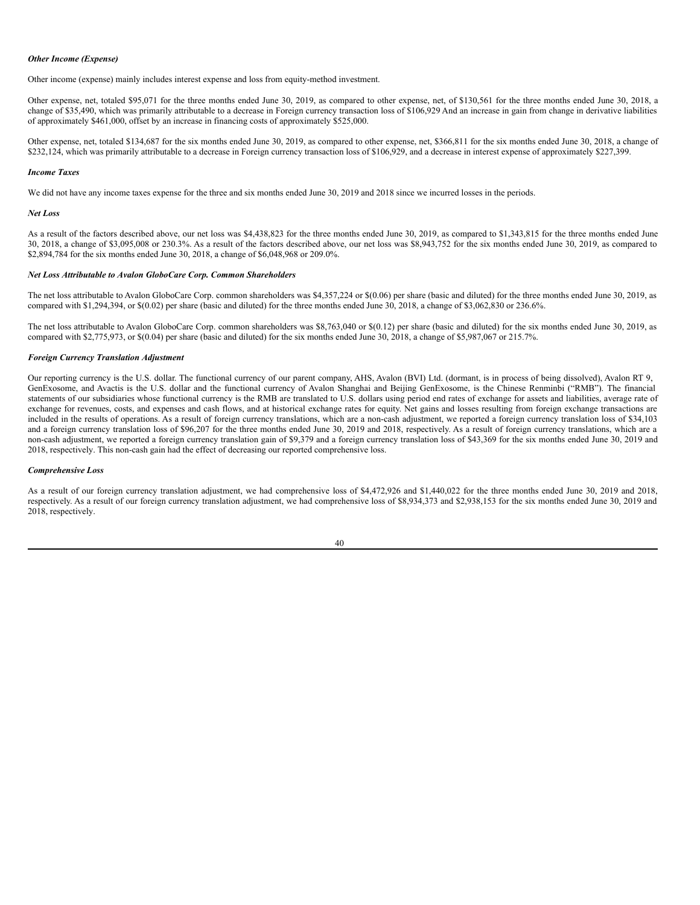#### *Other Income (Expense)*

Other income (expense) mainly includes interest expense and loss from equity-method investment.

Other expense, net, totaled \$95,071 for the three months ended June 30, 2019, as compared to other expense, net, of \$130,561 for the three months ended June 30, 2018, a change of \$35,490, which was primarily attributable to a decrease in Foreign currency transaction loss of \$106,929 And an increase in gain from change in derivative liabilities of approximately \$461,000, offset by an increase in financing costs of approximately \$525,000.

Other expense, net, totaled \$134,687 for the six months ended June 30, 2019, as compared to other expense, net, \$366,811 for the six months ended June 30, 2018, a change of \$232,124, which was primarily attributable to a decrease in Foreign currency transaction loss of \$106,929, and a decrease in interest expense of approximately \$227,399.

#### *Income Taxes*

We did not have any income taxes expense for the three and six months ended June 30, 2019 and 2018 since we incurred losses in the periods.

#### *Net Loss*

As a result of the factors described above, our net loss was \$4,438,823 for the three months ended June 30, 2019, as compared to \$1,343,815 for the three months ended June 30, 2018, a change of \$3,095,008 or 230.3%. As a result of the factors described above, our net loss was \$8,943,752 for the six months ended June 30, 2019, as compared to \$2,894,784 for the six months ended June 30, 2018, a change of \$6,048,968 or 209.0%.

#### *Net Loss Attributable to Avalon GloboCare Corp. Common Shareholders*

The net loss attributable to Avalon GloboCare Corp. common shareholders was \$4,357,224 or \$(0.06) per share (basic and diluted) for the three months ended June 30, 2019, as compared with \$1,294,394, or \$(0.02) per share (basic and diluted) for the three months ended June 30, 2018, a change of \$3,062,830 or 236.6%.

The net loss attributable to Avalon GloboCare Corp. common shareholders was \$8,763,040 or \$(0.12) per share (basic and diluted) for the six months ended June 30, 2019, as compared with \$2,775,973, or \$(0.04) per share (basic and diluted) for the six months ended June 30, 2018, a change of \$5,987,067 or 215.7%.

### *Foreign Currency Translation Adjustment*

Our reporting currency is the U.S. dollar. The functional currency of our parent company, AHS, Avalon (BVI) Ltd. (dormant, is in process of being dissolved), Avalon RT 9, GenExosome, and Avactis is the U.S. dollar and the functional currency of Avalon Shanghai and Beijing GenExosome, is the Chinese Renminbi ("RMB"). The financial statements of our subsidiaries whose functional currency is the RMB are translated to U.S. dollars using period end rates of exchange for assets and liabilities, average rate of exchange for revenues, costs, and expenses and cash flows, and at historical exchange rates for equity. Net gains and losses resulting from foreign exchange transactions are included in the results of operations. As a result of foreign currency translations, which are a non-cash adjustment, we reported a foreign currency translation loss of \$34,103 and a foreign currency translation loss of \$96,207 for the three months ended June 30, 2019 and 2018, respectively. As a result of foreign currency translations, which are a non-cash adjustment, we reported a foreign currency translation gain of \$9,379 and a foreign currency translation loss of \$43,369 for the six months ended June 30, 2019 and 2018, respectively. This non-cash gain had the effect of decreasing our reported comprehensive loss.

#### *Comprehensive Loss*

As a result of our foreign currency translation adjustment, we had comprehensive loss of \$4,472,926 and \$1,440,022 for the three months ended June 30, 2019 and 2018, respectively. As a result of our foreign currency translation adjustment, we had comprehensive loss of \$8,934,373 and \$2,938,153 for the six months ended June 30, 2019 and 2018, respectively.

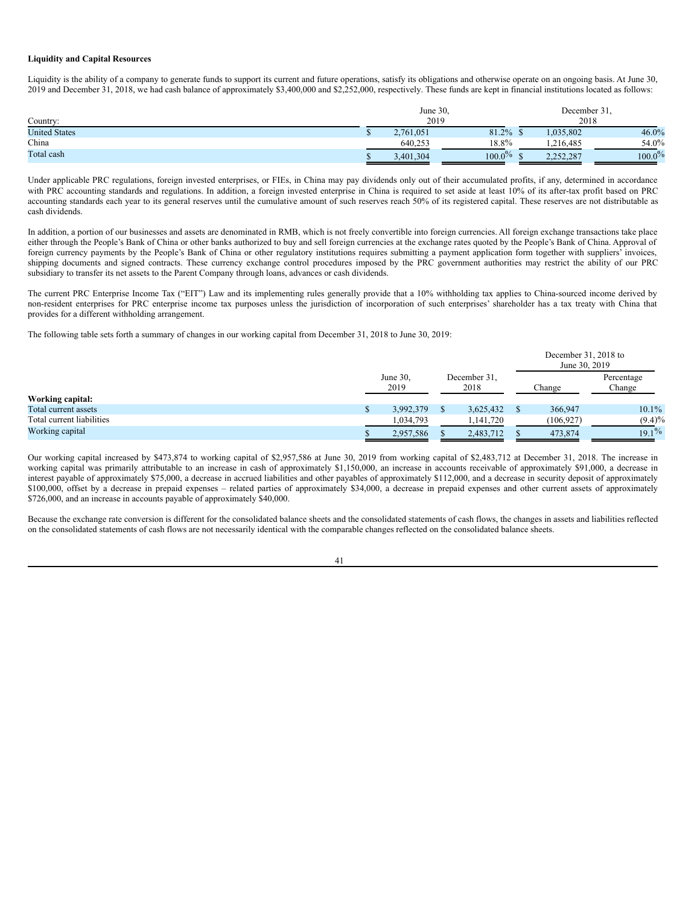#### **Liquidity and Capital Resources**

Liquidity is the ability of a company to generate funds to support its current and future operations, satisfy its obligations and otherwise operate on an ongoing basis. At June 30, 2019 and December 31, 2018, we had cash balance of approximately \$3,400,000 and \$2,252,000, respectively. These funds are kept in financial institutions located as follows:

|                      | June 30,  |           |           | December 31, |  |
|----------------------|-----------|-----------|-----------|--------------|--|
| Country:             | 2019      |           | 2018      |              |  |
| <b>United States</b> | 2,761,051 | 81.2%     | .035,802  | 46.0%        |  |
| China                | 640,253   | 18.8%     | 1.216.485 | 54.0%        |  |
| Total cash           | 3,401,304 | $100.0\%$ | 2,252,287 | $100.0\%$    |  |

Under applicable PRC regulations, foreign invested enterprises, or FIEs, in China may pay dividends only out of their accumulated profits, if any, determined in accordance with PRC accounting standards and regulations. In addition, a foreign invested enterprise in China is required to set aside at least 10% of its after-tax profit based on PRC accounting standards each year to its general reserves until the cumulative amount of such reserves reach 50% of its registered capital. These reserves are not distributable as cash dividends.

In addition, a portion of our businesses and assets are denominated in RMB, which is not freely convertible into foreign currencies. All foreign exchange transactions take place either through the People's Bank of China or other banks authorized to buy and sell foreign currencies at the exchange rates quoted by the People's Bank of China. Approval of foreign currency payments by the People's Bank of China or other regulatory institutions requires submitting a payment application form together with suppliers' invoices, shipping documents and signed contracts. These currency exchange control procedures imposed by the PRC government authorities may restrict the ability of our PRC subsidiary to transfer its net assets to the Parent Company through loans, advances or cash dividends.

The current PRC Enterprise Income Tax ("EIT") Law and its implementing rules generally provide that a 10% withholding tax applies to China-sourced income derived by non-resident enterprises for PRC enterprise income tax purposes unless the jurisdiction of incorporation of such enterprises' shareholder has a tax treaty with China that provides for a different withholding arrangement.

The following table sets forth a summary of changes in our working capital from December 31, 2018 to June 30, 2019:

|                           |                  |  |                      |  | December $31, 2018$ to<br>June 30, 2019 |                      |  |  |  |
|---------------------------|------------------|--|----------------------|--|-----------------------------------------|----------------------|--|--|--|
|                           | June 30,<br>2019 |  | December 31,<br>2018 |  | Change                                  | Percentage<br>Change |  |  |  |
| Working capital:          |                  |  |                      |  |                                         |                      |  |  |  |
| Total current assets      | 3,992,379        |  | 3,625,432            |  | 366,947                                 | $10.1\%$             |  |  |  |
| Total current liabilities | 1,034,793        |  | ,141,720             |  | (106, 927)                              | $(9.4)\%$            |  |  |  |
| Working capital           | 2,957,586        |  | 2,483,712            |  | 473,874                                 | $19.1\%$             |  |  |  |

Our working capital increased by \$473,874 to working capital of \$2,957,586 at June 30, 2019 from working capital of \$2,483,712 at December 31, 2018. The increase in working capital was primarily attributable to an increase in cash of approximately \$1,150,000, an increase in accounts receivable of approximately \$91,000, a decrease in interest payable of approximately \$75,000, a decrease in accrued liabilities and other payables of approximately \$112,000, and a decrease in security deposit of approximately \$100,000, offset by a decrease in prepaid expenses – related parties of approximately \$34,000, a decrease in prepaid expenses and other current assets of approximately \$726,000, and an increase in accounts payable of approximately \$40,000.

Because the exchange rate conversion is different for the consolidated balance sheets and the consolidated statements of cash flows, the changes in assets and liabilities reflected on the consolidated statements of cash flows are not necessarily identical with the comparable changes reflected on the consolidated balance sheets.

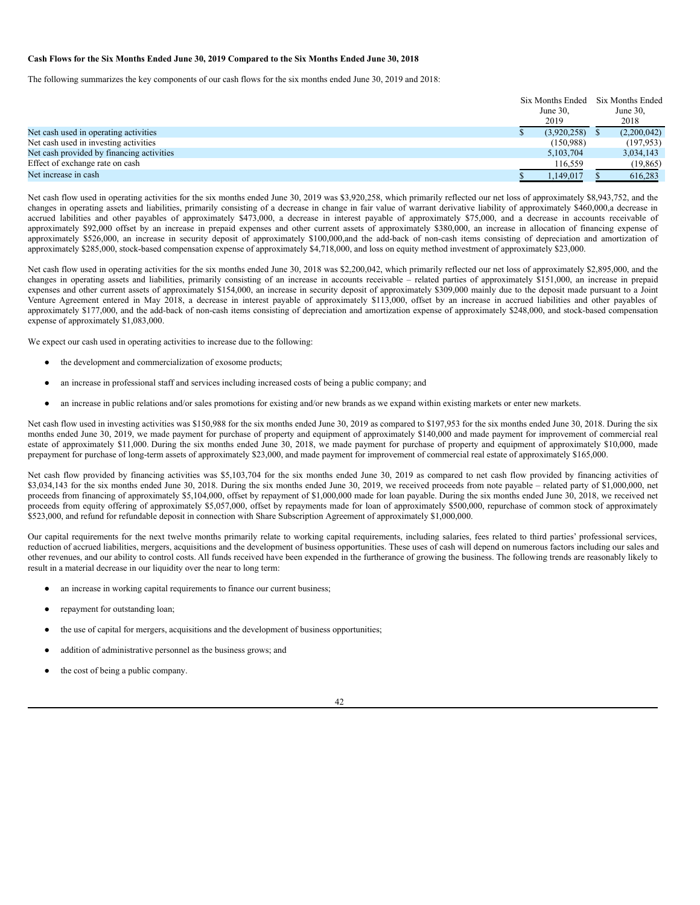#### Cash Flows for the Six Months Ended June 30, 2019 Compared to the Six Months Ended June 30, 2018

The following summarizes the key components of our cash flows for the six months ended June 30, 2019 and 2018:

|                                           | Six Months Ended |  | Six Months Ended |
|-------------------------------------------|------------------|--|------------------|
|                                           | June 30.         |  | June 30,         |
|                                           | 2019             |  | 2018             |
| Net cash used in operating activities     | (3,920,258)      |  | (2,200,042)      |
| Net cash used in investing activities     | (150,988)        |  | (197, 953)       |
| Net cash provided by financing activities | 5,103,704        |  | 3,034,143        |
| Effect of exchange rate on cash           | 116.559          |  | (19, 865)        |
| Net increase in cash                      | 1.149.017        |  | 616.283          |

Net cash flow used in operating activities for the six months ended June 30, 2019 was \$3,920,258, which primarily reflected our net loss of approximately \$8,943,752, and the changes in operating assets and liabilities, primarily consisting of a decrease in change in fair value of warrant derivative liability of approximately \$460,000,a decrease in accrued labilities and other payables of approximately \$473,000, a decrease in interest payable of approximately \$75,000, and a decrease in accounts receivable of approximately \$92,000 offset by an increase in prepaid expenses and other current assets of approximately \$380,000, an increase in allocation of financing expense of approximately \$526,000, an increase in security deposit of approximately \$100,000,and the add-back of non-cash items consisting of depreciation and amortization of approximately \$285,000, stock-based compensation expense of approximately \$4,718,000, and loss on equity method investment of approximately \$23,000.

Net cash flow used in operating activities for the six months ended June 30, 2018 was \$2,200,042, which primarily reflected our net loss of approximately \$2,895,000, and the changes in operating assets and liabilities, primarily consisting of an increase in accounts receivable – related parties of approximately \$151,000, an increase in prepaid expenses and other current assets of approximately \$154,000, an increase in security deposit of approximately \$309,000 mainly due to the deposit made pursuant to a Joint Venture Agreement entered in May 2018, a decrease in interest payable of approximately \$113,000, offset by an increase in accrued liabilities and other payables of approximately \$177,000, and the add-back of non-cash items consisting of depreciation and amortization expense of approximately \$248,000, and stock-based compensation expense of approximately \$1,083,000.

We expect our cash used in operating activities to increase due to the following:

- the development and commercialization of exosome products;
- an increase in professional staff and services including increased costs of being a public company; and
- an increase in public relations and/or sales promotions for existing and/or new brands as we expand within existing markets or enter new markets.

Net cash flow used in investing activities was \$150,988 for the six months ended June 30, 2019 as compared to \$197,953 for the six months ended June 30, 2018. During the six months ended June 30, 2019, we made payment for purchase of property and equipment of approximately \$140,000 and made payment for improvement of commercial real estate of approximately \$11,000. During the six months ended June 30, 2018, we made payment for purchase of property and equipment of approximately \$10,000, made prepayment for purchase of long-term assets of approximately \$23,000, and made payment for improvement of commercial real estate of approximately \$165,000.

Net cash flow provided by financing activities was \$5,103,704 for the six months ended June 30, 2019 as compared to net cash flow provided by financing activities of \$3,034,143 for the six months ended June 30, 2018. During the six months ended June 30, 2019, we received proceeds from note payable – related party of \$1,000,000, net proceeds from financing of approximately \$5,104,000, offset by repayment of \$1,000,000 made for loan payable. During the six months ended June 30, 2018, we received net proceeds from equity offering of approximately \$5,057,000, offset by repayments made for loan of approximately \$500,000, repurchase of common stock of approximately \$523,000, and refund for refundable deposit in connection with Share Subscription Agreement of approximately \$1,000,000.

Our capital requirements for the next twelve months primarily relate to working capital requirements, including salaries, fees related to third parties' professional services, reduction of accrued liabilities, mergers, acquisitions and the development of business opportunities. These uses of cash will depend on numerous factors including our sales and other revenues, and our ability to control costs. All funds received have been expended in the furtherance of growing the business. The following trends are reasonably likely to result in a material decrease in our liquidity over the near to long term:

- an increase in working capital requirements to finance our current business;
- repayment for outstanding loan;
- the use of capital for mergers, acquisitions and the development of business opportunities;
- addition of administrative personnel as the business grows; and
- the cost of being a public company.

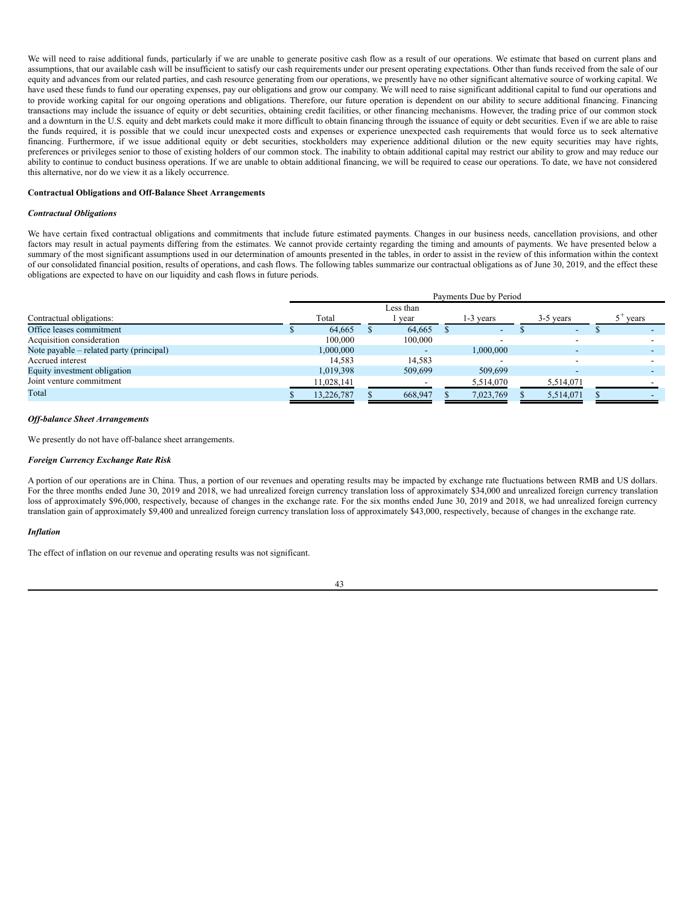We will need to raise additional funds, particularly if we are unable to generate positive cash flow as a result of our operations. We estimate that based on current plans and assumptions, that our available cash will be insufficient to satisfy our cash requirements under our present operating expectations. Other than funds received from the sale of our equity and advances from our related parties, and cash resource generating from our operations, we presently have no other significant alternative source of working capital. We have used these funds to fund our operating expenses, pay our obligations and grow our company. We will need to raise significant additional capital to fund our operations and to provide working capital for our ongoing operations and obligations. Therefore, our future operation is dependent on our ability to secure additional financing. Financing transactions may include the issuance of equity or debt securities, obtaining credit facilities, or other financing mechanisms. However, the trading price of our common stock and a downturn in the U.S. equity and debt markets could make it more difficult to obtain financing through the issuance of equity or debt securities. Even if we are able to raise the funds required, it is possible that we could incur unexpected costs and expenses or experience unexpected cash requirements that would force us to seek alternative financing. Furthermore, if we issue additional equity or debt securities, stockholders may experience additional dilution or the new equity securities may have rights, preferences or privileges senior to those of existing holders of our common stock. The inability to obtain additional capital may restrict our ability to grow and may reduce our ability to continue to conduct business operations. If we are unable to obtain additional financing, we will be required to cease our operations. To date, we have not considered this alternative, nor do we view it as a likely occurrence.

#### **Contractual Obligations and Off-Balance Sheet Arrangements**

#### *Contractual Obligations*

We have certain fixed contractual obligations and commitments that include future estimated payments. Changes in our business needs, cancellation provisions, and other factors may result in actual payments differing from the estimates. We cannot provide certainty regarding the timing and amounts of payments. We have presented below a summary of the most significant assumptions used in our determination of amounts presented in the tables, in order to assist in the review of this information within the context of our consolidated financial position, results of operations, and cash flows. The following tables summarize our contractual obligations as of June 30, 2019, and the effect these obligations are expected to have on our liquidity and cash flows in future periods.

|                                          | Payments Due by Period |  |           |  |                          |  |                          |       |
|------------------------------------------|------------------------|--|-----------|--|--------------------------|--|--------------------------|-------|
|                                          |                        |  | Less than |  |                          |  |                          |       |
| Contractual obligations:                 | Total                  |  | year      |  | 1-3 years                |  | $3-5$ years              | years |
| Office leases commitment                 | 64.665                 |  | 64.665    |  | $\overline{\phantom{0}}$ |  | $\overline{\phantom{a}}$ |       |
| Acquisition consideration                | 100,000                |  | 100,000   |  |                          |  |                          |       |
| Note payable – related party (principal) | 1,000,000              |  |           |  | 1,000,000                |  |                          |       |
| Accrued interest                         | 14.583                 |  | 14.583    |  |                          |  |                          |       |
| Equity investment obligation             | 1,019,398              |  | 509,699   |  | 509.699                  |  | -                        |       |
| Joint venture commitment                 | 11,028,141             |  |           |  | 5,514,070                |  | 5,514,071                |       |
| Total                                    | 13,226,787             |  | 668,947   |  | 7,023,769                |  | 5,514,071                |       |

#### *Of -balance Sheet Arrangements*

We presently do not have off-balance sheet arrangements.

## *Foreign Currency Exchange Rate Risk*

A portion of our operations are in China. Thus, a portion of our revenues and operating results may be impacted by exchange rate fluctuations between RMB and US dollars. For the three months ended June 30, 2019 and 2018, we had unrealized foreign currency translation loss of approximately \$34,000 and unrealized foreign currency translation loss of approximately \$96,000, respectively, because of changes in the exchange rate. For the six months ended June 30, 2019 and 2018, we had unrealized foreign currency translation gain of approximately \$9,400 and unrealized foreign currency translation loss of approximately \$43,000, respectively, because of changes in the exchange rate.

## *Inflation*

The effect of inflation on our revenue and operating results was not significant.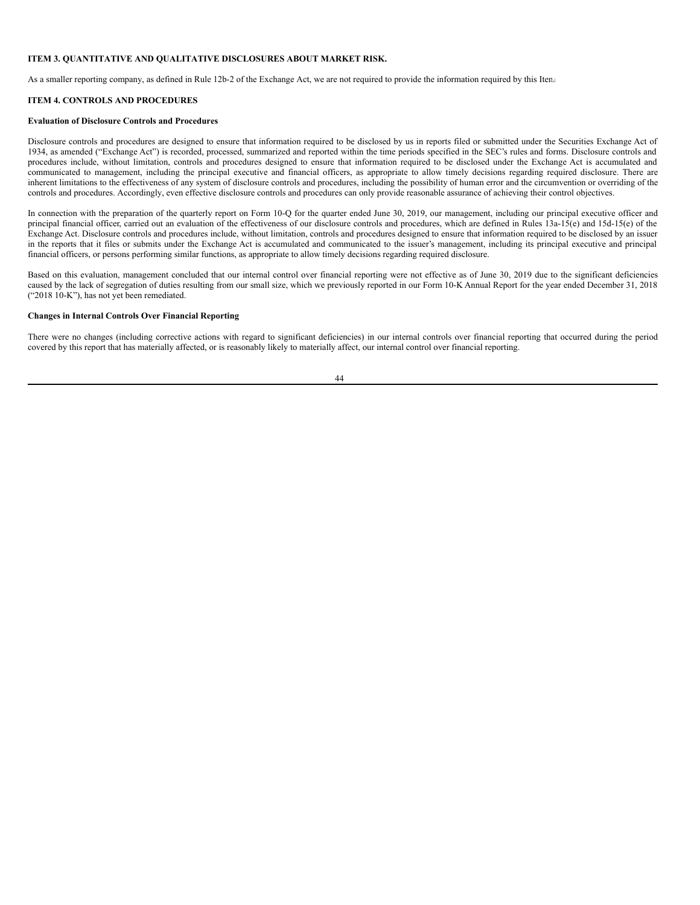#### **ITEM 3. QUANTITATIVE AND QUALITATIVE DISCLOSURES ABOUT MARKET RISK.**

As a smaller reporting company, as defined in Rule 12b-2 of the Exchange Act, we are not required to provide the information required by this Item.

# **ITEM 4. CONTROLS AND PROCEDURES**

#### **Evaluation of Disclosure Controls and Procedures**

Disclosure controls and procedures are designed to ensure that information required to be disclosed by us in reports filed or submitted under the Securities Exchange Act of 1934, as amended ("Exchange Act") is recorded, processed, summarized and reported within the time periods specified in the SEC's rules and forms. Disclosure controls and procedures include, without limitation, controls and procedures designed to ensure that information required to be disclosed under the Exchange Act is accumulated and communicated to management, including the principal executive and financial officers, as appropriate to allow timely decisions regarding required disclosure. There are inherent limitations to the effectiveness of any system of disclosure controls and procedures, including the possibility of human error and the circumvention or overriding of the controls and procedures. Accordingly, even effective disclosure controls and procedures can only provide reasonable assurance of achieving their control objectives.

In connection with the preparation of the quarterly report on Form 10-Q for the quarter ended June 30, 2019, our management, including our principal executive officer and principal financial officer, carried out an evaluation of the effectiveness of our disclosure controls and procedures, which are defined in Rules 13a-15(e) and 15d-15(e) of the Exchange Act. Disclosure controls and procedures include, without limitation, controls and procedures designed to ensure that information required to be disclosed by an issuer in the reports that it files or submits under the Exchange Act is accumulated and communicated to the issuer's management, including its principal executive and principal financial officers, or persons performing similar functions, as appropriate to allow timely decisions regarding required disclosure.

Based on this evaluation, management concluded that our internal control over financial reporting were not effective as of June 30, 2019 due to the significant deficiencies caused by the lack of segregation of duties resulting from our small size, which we previously reported in our Form 10-K Annual Report for the year ended December 31, 2018 ("2018 10-K"), has not yet been remediated.

#### **Changes in Internal Controls Over Financial Reporting**

There were no changes (including corrective actions with regard to significant deficiencies) in our internal controls over financial reporting that occurred during the period covered by this report that has materially affected, or is reasonably likely to materially affect, our internal control over financial reporting.

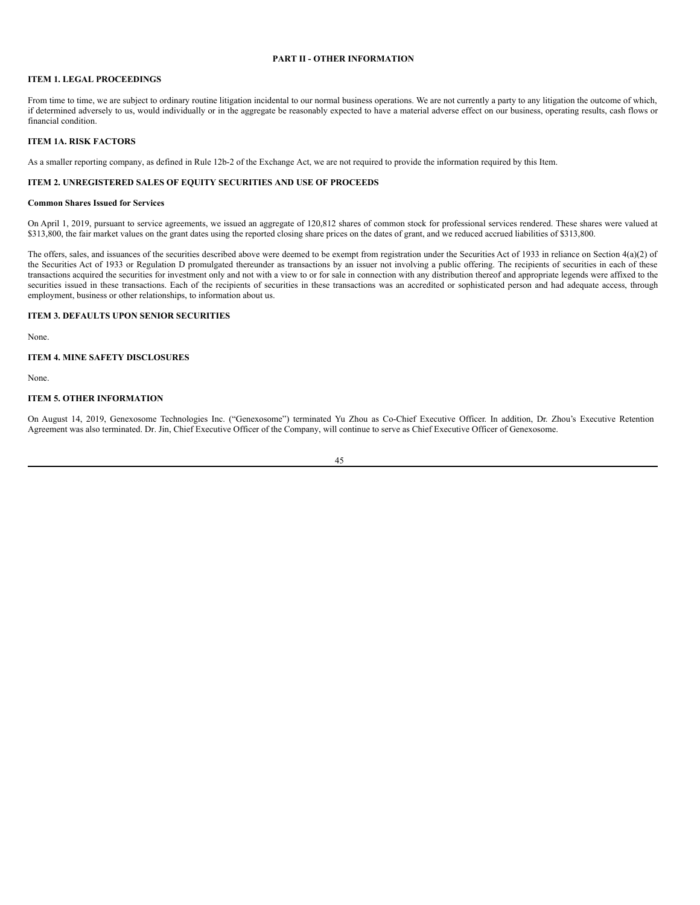# **PART II - OTHER INFORMATION**

## **ITEM 1. LEGAL PROCEEDINGS**

From time to time, we are subject to ordinary routine litigation incidental to our normal business operations. We are not currently a party to any litigation the outcome of which, if determined adversely to us, would individually or in the aggregate be reasonably expected to have a material adverse effect on our business, operating results, cash flows or financial condition.

## **ITEM 1A. RISK FACTORS**

As a smaller reporting company, as defined in Rule 12b-2 of the Exchange Act, we are not required to provide the information required by this Item.

# **ITEM 2. UNREGISTERED SALES OF EQUITY SECURITIES AND USE OF PROCEEDS**

## **Common Shares Issued for Services**

On April 1, 2019, pursuant to service agreements, we issued an aggregate of 120,812 shares of common stock for professional services rendered. These shares were valued at \$313,800, the fair market values on the grant dates using the reported closing share prices on the dates of grant, and we reduced accrued liabilities of \$313,800.

The offers, sales, and issuances of the securities described above were deemed to be exempt from registration under the Securities Act of 1933 in reliance on Section 4(a)(2) of the Securities Act of 1933 or Regulation D promulgated thereunder as transactions by an issuer not involving a public offering. The recipients of securities in each of these transactions acquired the securities for investment only and not with a view to or for sale in connection with any distribution thereof and appropriate legends were affixed to the securities issued in these transactions. Each of the recipients of securities in these transactions was an accredited or sophisticated person and had adequate access, through employment, business or other relationships, to information about us.

#### **ITEM 3. DEFAULTS UPON SENIOR SECURITIES**

None.

# **ITEM 4. MINE SAFETY DISCLOSURES**

None.

#### **ITEM 5. OTHER INFORMATION**

On August 14, 2019, Genexosome Technologies Inc. ("Genexosome") terminated Yu Zhou as Co-Chief Executive Officer. In addition, Dr. Zhou's Executive Retention Agreement was also terminated. Dr. Jin, Chief Executive Officer of the Company, will continue to serve as Chief Executive Officer of Genexosome.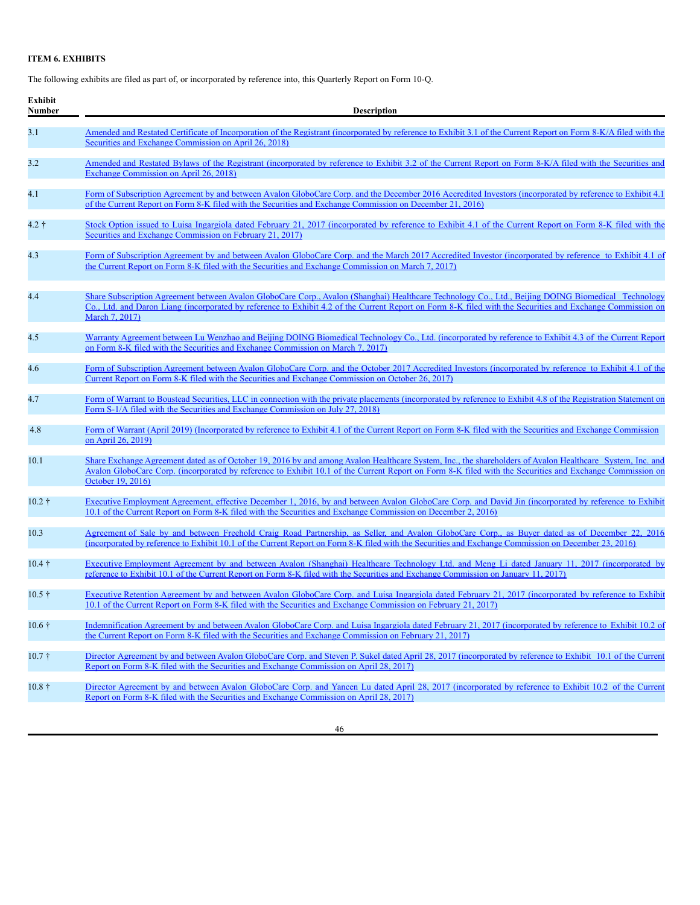# **ITEM 6. EXHIBITS**

The following exhibits are filed as part of, or incorporated by reference into, this Quarterly Report on Form 10-Q.

| Exhibit<br>Number       | <b>Description</b>                                                                                                                                                                                                                                                                                                                         |
|-------------------------|--------------------------------------------------------------------------------------------------------------------------------------------------------------------------------------------------------------------------------------------------------------------------------------------------------------------------------------------|
| 3.1                     | Amended and Restated Certificate of Incorporation of the Registrant (incorporated by reference to Exhibit 3.1 of the Current Report on Form 8-K/A filed with the<br>Securities and Exchange Commission on April 26, 2018)                                                                                                                  |
| 3.2                     | Amended and Restated Bylaws of the Registrant (incorporated by reference to Exhibit 3.2 of the Current Report on Form 8-K/A filed with the Securities and<br>Exchange Commission on April 26, 2018)                                                                                                                                        |
| 4.1                     | Form of Subscription Agreement by and between Avalon GloboCare Corp. and the December 2016 Accredited Investors (incorporated by reference to Exhibit 4.1)<br>of the Current Report on Form 8-K filed with the Securities and Exchange Commission on December 21, 2016)                                                                    |
| 4.2 †                   | Stock Option issued to Luisa Ingargiola dated February 21, 2017 (incorporated by reference to Exhibit 4.1 of the Current Report on Form 8-K filed with the<br>Securities and Exchange Commission on February 21, 2017)                                                                                                                     |
| 4.3                     | Form of Subscription Agreement by and between Avalon GloboCare Corp. and the March 2017 Accredited Investor (incorporated by reference to Exhibit 4.1 of<br>the Current Report on Form 8-K filed with the Securities and Exchange Commission on March 7, 2017)                                                                             |
| 4.4                     | Share Subscription Agreement between Avalon GloboCare Corp., Avalon (Shanghai) Healthcare Technology Co., Ltd., Beijing DOING Biomedical Technology<br>Co., Ltd. and Daron Liang (incorporated by reference to Exhibit 4.2 of the Current Report on Form 8-K filed with the Securities and Exchange Commission on<br>March 7, 2017)        |
| 4.5                     | Warranty Agreement between Lu Wenzhao and Beijing DOING Biomedical Technology Co., Ltd. (incorporated by reference to Exhibit 4.3 of the Current Report<br>on Form 8-K filed with the Securities and Exchange Commission on March 7, 2017)                                                                                                 |
| 4.6                     | Form of Subscription Agreement between Avalon GloboCare Corp. and the October 2017 Accredited Investors (incorporated by reference to Exhibit 4.1 of the<br>Current Report on Form 8-K filed with the Securities and Exchange Commission on October 26, 2017)                                                                              |
| 4.7                     | Form of Warrant to Boustead Securities, LLC in connection with the private placements (incorporated by reference to Exhibit 4.8 of the Registration Statement or<br>Form S-1/A filed with the Securities and Exchange Commission on July 27, 2018)                                                                                         |
| 4.8                     | Form of Warrant (April 2019) (Incorporated by reference to Exhibit 4.1 of the Current Report on Form 8-K filed with the Securities and Exchange Commission<br>on April 26, 2019)                                                                                                                                                           |
| 10.1                    | Share Exchange Agreement dated as of October 19, 2016 by and among Avalon Healthcare System, Inc., the shareholders of Avalon Healthcare System, Inc. and<br>Avalon GloboCare Corp. (incorporated by reference to Exhibit 10.1 of the Current Report on Form 8-K filed with the Securities and Exchange Commission on<br>October 19, 2016) |
| $10.2 \dagger$          | Executive Employment Agreement, effective December 1, 2016, by and between Avalon GloboCare Corp. and David Jin (incorporated by reference to Exhibit<br>10.1 of the Current Report on Form 8-K filed with the Securities and Exchange Commission on December 2, 2016)                                                                     |
| 10.3                    | Agreement of Sale by and between Freehold Craig Road Partnership, as Seller, and Avalon GloboCare Corp., as Buyer dated as of December 22, 2016<br>(incorporated by reference to Exhibit 10.1 of the Current Report on Form 8-K filed with the Securities and Exchange Commission on December 23, 2016)                                    |
| $10.4 \dagger$          | Executive Employment Agreement by and between Avalon (Shanghai) Healthcare Technology Ltd. and Meng Li dated January 11, 2017 (incorporated by<br>reference to Exhibit 10.1 of the Current Report on Form 8-K filed with the Securities and Exchange Commission on January 11, 2017)                                                       |
| $10.5 \dagger$          | Executive Retention Agreement by and between Avalon GloboCare Corp. and Luisa Ingargiola dated February 21, 2017 (incorporated by reference to Exhibit<br>10.1 of the Current Report on Form 8-K filed with the Securities and Exchange Commission on February 21, 2017)                                                                   |
| $10.6 \;{\rm \ddagger}$ | Indemnification Agreement by and between Ayalon GloboCare Corp. and Luisa Ingargiola dated February 21, 2017 (incorporated by reference to Exhibit 10.2 of<br>the Current Report on Form 8-K filed with the Securities and Exchange Commission on February 21, 2017)                                                                       |
| $10.7 \;{\rm \ddagger}$ | Director Agreement by and between Avalon GloboCare Corp. and Steven P. Sukel dated April 28, 2017 (incorporated by reference to Exhibit 10.1 of the Current<br>Report on Form 8-K filed with the Securities and Exchange Commission on April 28, 2017)                                                                                     |
| $10.8 +$                | Director Agreement by and between Avalon GloboCare Corp. and Yancen Lu dated April 28, 2017 (incorporated by reference to Exhibit 10.2 of the Current<br>Report on Form 8-K filed with the Securities and Exchange Commission on April 28, 2017)                                                                                           |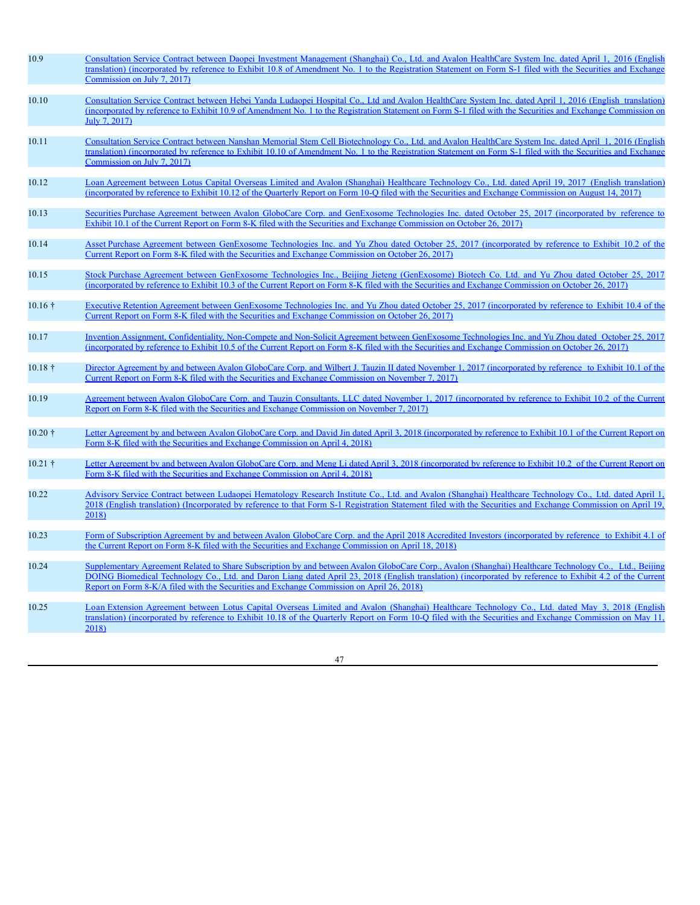| 10.9                                 | Consultation Service Contract between Daopei Investment Management (Shanghai) Co., Ltd. and Avalon HealthCare System Inc. dated April 1, 2016 (English<br>translation) (incorporated by reference to Exhibit 10.8 of Amendment No. 1 to the Registration Statement on Form S-1 filed with the Securities and Exchange<br>Commission on July 7, 2017)                                                              |
|--------------------------------------|-------------------------------------------------------------------------------------------------------------------------------------------------------------------------------------------------------------------------------------------------------------------------------------------------------------------------------------------------------------------------------------------------------------------|
| 10.10                                | Consultation Service Contract between Hebei Yanda Ludaopei Hospital Co., Ltd and Avalon HealthCare System Inc. dated April 1, 2016 (English translation)<br>(incorporated by reference to Exhibit 10.9 of Amendment No. 1 to the Registration Statement on Form S-1 filed with the Securities and Exchange Commission on<br>July 7, 2017)                                                                         |
| 10.11                                | Consultation Service Contract between Nanshan Memorial Stem Cell Biotechnology Co., Ltd. and Avalon HealthCare System Inc. dated April 1, 2016 (English<br>translation) (incorporated by reference to Exhibit 10.10 of Amendment No. 1 to the Registration Statement on Form S-1 filed with the Securities and Exchange<br>Commission on July 7, 2017)                                                            |
| 10.12                                | Loan Agreement between Lotus Capital Overseas Limited and Avalon (Shanghai) Healthcare Technology Co., Ltd. dated April 19, 2017 (English translation)<br>(incorporated by reference to Exhibit 10.12 of the Quarterly Report on Form 10-Q filed with the Securities and Exchange Commission on August 14, 2017)                                                                                                  |
| 10.13                                | Securities Purchase Agreement between Avalon GloboCare Corp. and GenExosome Technologies Inc. dated October 25, 2017 (incorporated by reference to<br>Exhibit 10.1 of the Current Report on Form 8-K filed with the Securities and Exchange Commission on October 26, 2017)                                                                                                                                       |
| 10.14                                | Asset Purchase Agreement between GenExosome Technologies Inc. and Yu Zhou dated October 25, 2017 (incorporated by reference to Exhibit 10.2 of the<br>Current Report on Form 8-K filed with the Securities and Exchange Commission on October 26, 2017)                                                                                                                                                           |
| 10.15                                | Stock Purchase Agreement between GenExosome Technologies Inc., Beijing Jieteng (GenExosome) Biotech Co. Ltd. and Yu Zhou dated October 25, 2017<br>(incorporated by reference to Exhibit 10.3 of the Current Report on Form 8-K filed with the Securities and Exchange Commission on October 26, 2017)                                                                                                            |
| $10.16 \;{\rm \ddagger}$             | Executive Retention Agreement between GenExosome Technologies Inc. and Yu Zhou dated October 25, 2017 (incorporated by reference to Exhibit 10.4 of the<br>Current Report on Form 8-K filed with the Securities and Exchange Commission on October 26, 2017)                                                                                                                                                      |
| 10.17                                | Invention Assignment, Confidentiality, Non-Compete and Non-Solicit Agreement between GenExosome Technologies Inc. and Yu Zhou dated October 25, 2017<br>(incorporated by reference to Exhibit 10.5 of the Current Report on Form 8-K filed with the Securities and Exchange Commission on October 26, 2017)                                                                                                       |
| $10.18 \text{ }^{\dagger}$           | Director Agreement by and between Avalon GloboCare Corp. and Wilbert J. Tauzin II dated November 1, 2017 (incorporated by reference to Exhibit 10.1 of the<br>Current Report on Form 8-K filed with the Securities and Exchange Commission on November 7, 2017)                                                                                                                                                   |
| 10.19                                | Agreement between Avalon GloboCare Corp. and Tauzin Consultants, LLC dated November 1, 2017 (incorporated by reference to Exhibit 10.2 of the Current<br>Report on Form 8-K filed with the Securities and Exchange Commission on November 7, 2017)                                                                                                                                                                |
| $10.20 \text{ }^{\circ}$             | Letter Agreement by and between Avalon GloboCare Corp. and David Jin dated April 3, 2018 (incorporated by reference to Exhibit 10.1 of the Current Report on<br>Form 8-K filed with the Securities and Exchange Commission on April 4, 2018)                                                                                                                                                                      |
| $10.21 \text{ } \text{ }^{\text{*}}$ | Letter Agreement by and between Avalon GloboCare Corp. and Meng Li dated April 3, 2018 (incorporated by reference to Exhibit 10.2 of the Current Report on<br>Form 8-K filed with the Securities and Exchange Commission on April 4, 2018)                                                                                                                                                                        |
| 10.22                                | Advisory Service Contract between Ludaopei Hematology Research Institute Co., Ltd. and Avalon (Shanghai) Healthcare Technology Co., Ltd. dated April 1,<br>2018 (English translation) (Incorporated by reference to that Form S-1 Registration Statement filed with the Securities and Exchange Commission on April 19,<br>2018)                                                                                  |
| 10.23                                | Form of Subscription Agreement by and between Avalon GloboCare Corp. and the April 2018 Accredited Investors (incorporated by reference to Exhibit 4.1 of<br>the Current Report on Form 8-K filed with the Securities and Exchange Commission on April 18, 2018)                                                                                                                                                  |
| 10.24                                | Supplementary Agreement Related to Share Subscription by and between Avalon GloboCare Corp., Avalon (Shanghai) Healthcare Technology Co., Ltd., Beijing<br>DOING Biomedical Technology Co., Ltd. and Daron Liang dated April 23, 2018 (English translation) (incorporated by reference to Exhibit 4.2 of the Current<br>Report on Form 8-K/A filed with the Securities and Exchange Commission on April 26, 2018) |
| 10.25                                | Loan Extension Agreement between Lotus Capital Overseas Limited and Avalon (Shanghai) Healthcare Technology Co., Ltd. dated May 3, 2018 (English<br>translation) (incorporated by reference to Exhibit 10.18 of the Quarterly Report on Form 10-Q filed with the Securities and Exchange Commission on May 11,<br>2018)                                                                                           |
|                                      |                                                                                                                                                                                                                                                                                                                                                                                                                   |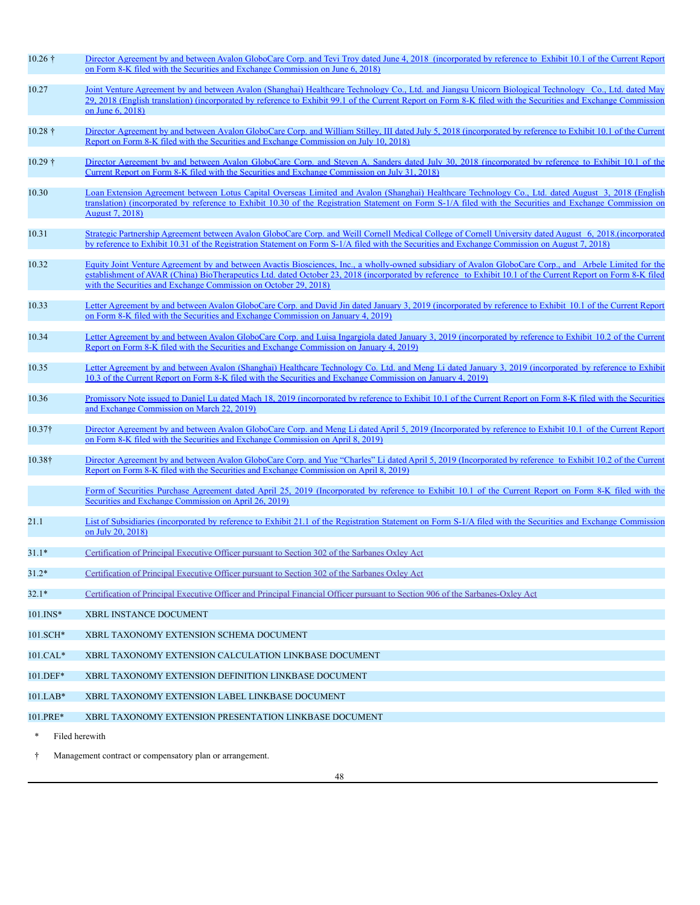| $10.26 \text{ }^{\dagger}$ | Director Agreement by and between Avalon GloboCare Corp. and Tevi Troy dated June 4, 2018 (incorporated by reference to Exhibit 10.1 of the Current Report<br>on Form 8-K filed with the Securities and Exchange Commission on June 6, 2018)                                                                                                                                                 |
|----------------------------|----------------------------------------------------------------------------------------------------------------------------------------------------------------------------------------------------------------------------------------------------------------------------------------------------------------------------------------------------------------------------------------------|
| 10.27                      | Joint Venture Agreement by and between Avalon (Shanghai) Healthcare Technology Co., Ltd. and Jiangsu Unicorn Biological Technology Co., Ltd. dated May<br>29, 2018 (English translation) (incorporated by reference to Exhibit 99.1 of the Current Report on Form 8-K filed with the Securities and Exchange Commission<br>on June 6, 2018)                                                  |
| $10.28 \dagger$            | Director Agreement by and between Avalon GloboCare Corp. and William Stilley, III dated July 5, 2018 (incorporated by reference to Exhibit 10.1 of the Current<br>Report on Form 8-K filed with the Securities and Exchange Commission on July 10, 2018)                                                                                                                                     |
| 10.29 †                    | Director Agreement by and between Avalon GloboCare Corp. and Steven A. Sanders dated July 30, 2018 (incorporated by reference to Exhibit 10.1 of the<br>Current Report on Form 8-K filed with the Securities and Exchange Commission on July 31, 2018)                                                                                                                                       |
| 10.30                      | Loan Extension Agreement between Lotus Capital Overseas Limited and Avalon (Shanghai) Healthcare Technology Co., Ltd. dated August 3, 2018 (English<br>translation) (incorporated by reference to Exhibit 10.30 of the Registration Statement on Form S-1/A filed with the Securities and Exchange Commission on<br><b>August 7, 2018</b> )                                                  |
| 10.31                      | Strategic Partnership Agreement between Avalon GloboCare Corp. and Weill Cornell Medical College of Cornell University dated August 6, 2018.(incorporated)<br>by reference to Exhibit 10.31 of the Registration Statement on Form S-1/A filed with the Securities and Exchange Commission on August 7, 2018)                                                                                 |
| 10.32                      | Equity Joint Venture Agreement by and between Avactis Biosciences, Inc., a wholly-owned subsidiary of Avalon GloboCare Corp., and Arbele Limited for the<br>establishment of AVAR (China) BioTherapeutics Ltd. dated October 23, 2018 (incorporated by reference to Exhibit 10.1 of the Current Report on Form 8-K filed<br>with the Securities and Exchange Commission on October 29, 2018) |
| 10.33                      | Letter Agreement by and between Avalon GloboCare Corp. and David Jin dated January 3, 2019 (incorporated by reference to Exhibit 10.1 of the Current Report<br>on Form 8-K filed with the Securities and Exchange Commission on January 4, 2019)                                                                                                                                             |
| 10.34                      | Letter Agreement by and between Avalon GloboCare Corp. and Luisa Ingargiola dated January 3, 2019 (incorporated by reference to Exhibit 10.2 of the Current<br>Report on Form 8-K filed with the Securities and Exchange Commission on January 4, 2019)                                                                                                                                      |
| 10.35                      | Letter Agreement by and between Avalon (Shanghai) Healthcare Technology Co. Ltd. and Meng Li dated January 3, 2019 (incorporated by reference to Exhibi<br>10.3 of the Current Report on Form 8-K filed with the Securities and Exchange Commission on January 4, 2019)                                                                                                                      |
| 10.36                      | Promissory Note issued to Daniel Lu dated Mach 18, 2019 (incorporated by reference to Exhibit 10.1 of the Current Report on Form 8-K filed with the Securities<br>and Exchange Commission on March 22, 2019)                                                                                                                                                                                 |
| $10.37\dagger$             | Director Agreement by and between Avalon GloboCare Corp. and Meng Li dated April 5, 2019 (Incorporated by reference to Exhibit 10.1 of the Current Report<br>on Form 8-K filed with the Securities and Exchange Commission on April 8, 2019)                                                                                                                                                 |
| $10.38\dagger$             | Director Agreement by and between Avalon GloboCare Corp. and Yue "Charles" Li dated April 5, 2019 (Incorporated by reference to Exhibit 10.2 of the Current<br>Report on Form 8-K filed with the Securities and Exchange Commission on April 8, 2019)                                                                                                                                        |
|                            | Form of Securities Purchase Agreement dated April 25, 2019 (Incorporated by reference to Exhibit 10.1 of the Current Report on Form 8-K filed with the<br>Securities and Exchange Commission on April 26, 2019)                                                                                                                                                                              |
| 21.1                       | List of Subsidiaries (incorporated by reference to Exhibit 21.1 of the Registration Statement on Form S-1/A filed with the Securities and Exchange Commission<br>on July 20, 2018)                                                                                                                                                                                                           |
| $31.1*$                    | Certification of Principal Executive Officer pursuant to Section 302 of the Sarbanes Oxley Act                                                                                                                                                                                                                                                                                               |
| $31.2*$                    | Certification of Principal Executive Officer pursuant to Section 302 of the Sarbanes Oxley Act                                                                                                                                                                                                                                                                                               |
| $32.1*$                    | Certification of Principal Executive Officer and Principal Financial Officer pursuant to Section 906 of the Sarbanes-Oxley Act                                                                                                                                                                                                                                                               |
| 101.INS*                   | XBRL INSTANCE DOCUMENT                                                                                                                                                                                                                                                                                                                                                                       |
| 101.SCH*                   | XBRL TAXONOMY EXTENSION SCHEMA DOCUMENT                                                                                                                                                                                                                                                                                                                                                      |
| 101.CAL*                   | XBRL TAXONOMY EXTENSION CALCULATION LINKBASE DOCUMENT                                                                                                                                                                                                                                                                                                                                        |
| 101.DEF*                   | XBRL TAXONOMY EXTENSION DEFINITION LINKBASE DOCUMENT                                                                                                                                                                                                                                                                                                                                         |
| 101.LAB*                   | XBRL TAXONOMY EXTENSION LABEL LINKBASE DOCUMENT                                                                                                                                                                                                                                                                                                                                              |
| 101.PRE*                   | XBRL TAXONOMY EXTENSION PRESENTATION LINKBASE DOCUMENT                                                                                                                                                                                                                                                                                                                                       |
| *                          | Filed herewith                                                                                                                                                                                                                                                                                                                                                                               |

† Management contract or compensatory plan or arrangement.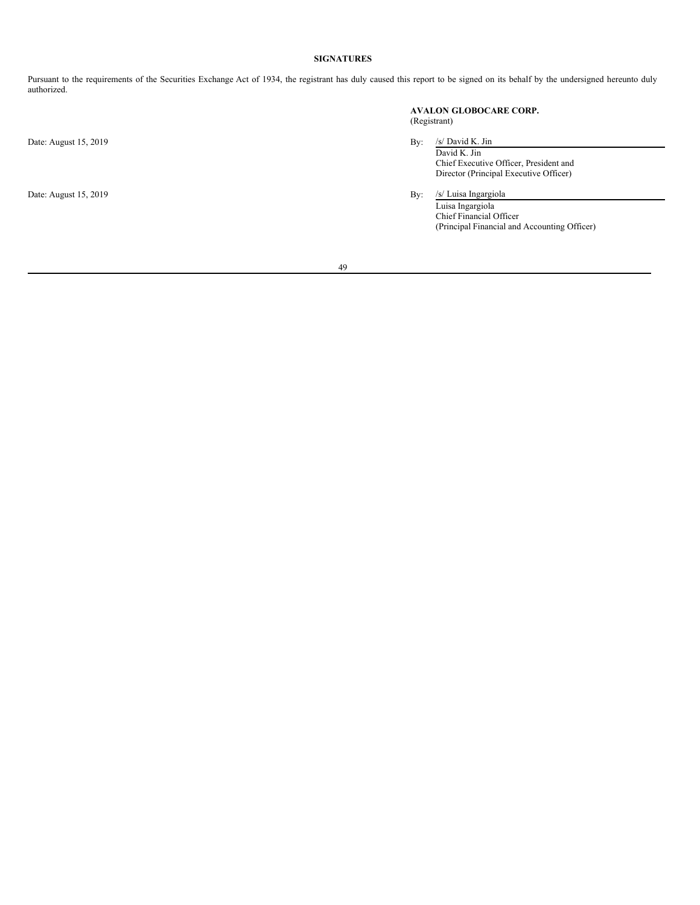# **SIGNATURES**

Pursuant to the requirements of the Securities Exchange Act of 1934, the registrant has duly caused this report to be signed on its behalf by the undersigned hereunto duly authorized.

Date: August 15, 2019 By: /s/ David K. Jin

# **AVALON GLOBOCARE CORP.** (Registrant)

David K. Jin Chief Executive Officer, President and Director (Principal Executive Officer)

Date: August 15, 2019 By: /s/ Luisa Ingargiola

Luisa Ingargiola Chief Financial Officer (Principal Financial and Accounting Officer)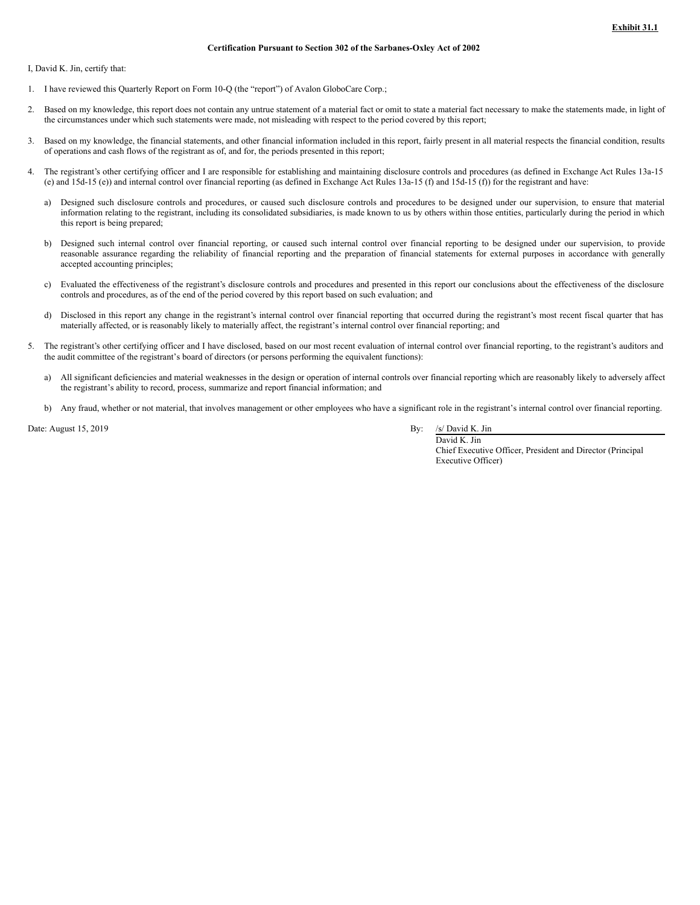### **Certification Pursuant to Section 302 of the Sarbanes-Oxley Act of 2002**

<span id="page-55-0"></span>I, David K. Jin, certify that:

- 1. I have reviewed this Quarterly Report on Form 10-Q (the "report") of Avalon GloboCare Corp.;
- 2. Based on my knowledge, this report does not contain any untrue statement of a material fact or omit to state a material fact necessary to make the statements made, in light of the circumstances under which such statements were made, not misleading with respect to the period covered by this report;
- 3. Based on my knowledge, the financial statements, and other financial information included in this report, fairly present in all material respects the financial condition, results of operations and cash flows of the registrant as of, and for, the periods presented in this report;
- 4. The registrant's other certifying officer and I are responsible for establishing and maintaining disclosure controls and procedures (as defined in Exchange Act Rules 13a-15 (e) and 15d-15 (e)) and internal control over financial reporting (as defined in Exchange Act Rules 13a-15 (f) and 15d-15 (f)) for the registrant and have:
	- a) Designed such disclosure controls and procedures, or caused such disclosure controls and procedures to be designed under our supervision, to ensure that material information relating to the registrant, including its consolidated subsidiaries, is made known to us by others within those entities, particularly during the period in which this report is being prepared;
	- b) Designed such internal control over financial reporting, or caused such internal control over financial reporting to be designed under our supervision, to provide reasonable assurance regarding the reliability of financial reporting and the preparation of financial statements for external purposes in accordance with generally accepted accounting principles;
	- c) Evaluated the effectiveness of the registrant's disclosure controls and procedures and presented in this report our conclusions about the effectiveness of the disclosure controls and procedures, as of the end of the period covered by this report based on such evaluation; and
	- d) Disclosed in this report any change in the registrant's internal control over financial reporting that occurred during the registrant's most recent fiscal quarter that has materially affected, or is reasonably likely to materially affect, the registrant's internal control over financial reporting; and
- 5. The registrant's other certifying officer and I have disclosed, based on our most recent evaluation of internal control over financial reporting, to the registrant's auditors and the audit committee of the registrant's board of directors (or persons performing the equivalent functions):
	- a) All significant deficiencies and material weaknesses in the design or operation of internal controls over financial reporting which are reasonably likely to adversely affect the registrant's ability to record, process, summarize and report financial information; and
	- b) Any fraud, whether or not material, that involves management or other employees who have a significant role in the registrant's internal control over financial reporting.

Date: August 15, 2019 By: /s/ David K. Jin

David K. Jin Chief Executive Officer, President and Director (Principal Executive Officer)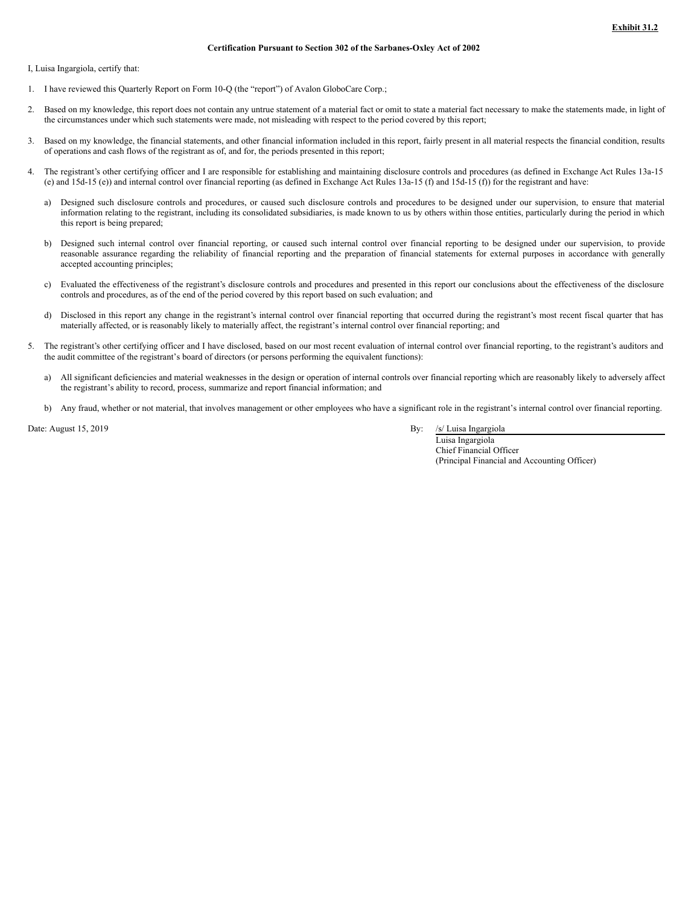## **Certification Pursuant to Section 302 of the Sarbanes-Oxley Act of 2002**

<span id="page-56-0"></span>I, Luisa Ingargiola, certify that:

- 1. I have reviewed this Quarterly Report on Form 10-Q (the "report") of Avalon GloboCare Corp.;
- 2. Based on my knowledge, this report does not contain any untrue statement of a material fact or omit to state a material fact necessary to make the statements made, in light of the circumstances under which such statements were made, not misleading with respect to the period covered by this report;
- 3. Based on my knowledge, the financial statements, and other financial information included in this report, fairly present in all material respects the financial condition, results of operations and cash flows of the registrant as of, and for, the periods presented in this report;
- 4. The registrant's other certifying officer and I are responsible for establishing and maintaining disclosure controls and procedures (as defined in Exchange Act Rules 13a-15 (e) and 15d-15 (e)) and internal control over financial reporting (as defined in Exchange Act Rules 13a-15 (f) and 15d-15 (f)) for the registrant and have:
	- a) Designed such disclosure controls and procedures, or caused such disclosure controls and procedures to be designed under our supervision, to ensure that material information relating to the registrant, including its consolidated subsidiaries, is made known to us by others within those entities, particularly during the period in which this report is being prepared;
	- b) Designed such internal control over financial reporting, or caused such internal control over financial reporting to be designed under our supervision, to provide reasonable assurance regarding the reliability of financial reporting and the preparation of financial statements for external purposes in accordance with generally accepted accounting principles;
	- c) Evaluated the effectiveness of the registrant's disclosure controls and procedures and presented in this report our conclusions about the effectiveness of the disclosure controls and procedures, as of the end of the period covered by this report based on such evaluation; and
	- d) Disclosed in this report any change in the registrant's internal control over financial reporting that occurred during the registrant's most recent fiscal quarter that has materially affected, or is reasonably likely to materially affect, the registrant's internal control over financial reporting; and
- 5. The registrant's other certifying officer and I have disclosed, based on our most recent evaluation of internal control over financial reporting, to the registrant's auditors and the audit committee of the registrant's board of directors (or persons performing the equivalent functions):
	- a) All significant deficiencies and material weaknesses in the design or operation of internal controls over financial reporting which are reasonably likely to adversely affect the registrant's ability to record, process, summarize and report financial information; and
	- b) Any fraud, whether or not material, that involves management or other employees who have a significant role in the registrant's internal control over financial reporting.

Date: August 15, 2019 **By:** /s/ Luisa Ingargiola

Luisa Ingargiola Chief Financial Officer (Principal Financial and Accounting Officer)